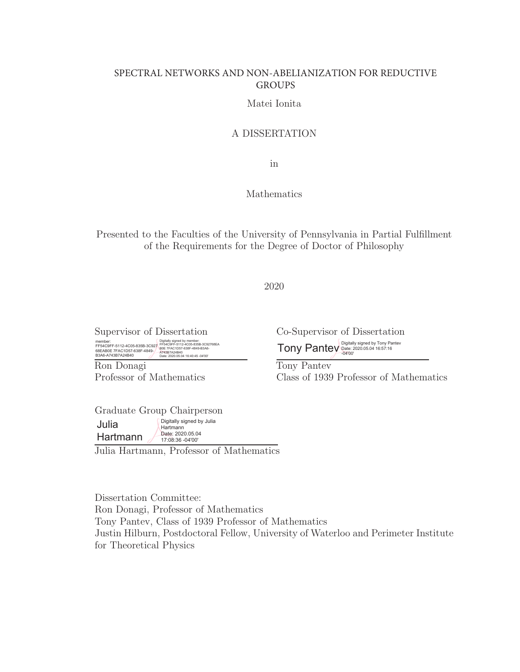### SPECTRAL NETWORKS AND NON-ABELIANIZATION FOR REDUCTIVE GROUPS

### Matei Ionita

### A DISSERTATION

in

Mathematics

Presented to the Faculties of the University of Pennsylvania in Partial Fulfillment of the Requirements for the Degree of Doctor of Philosophy

2020

Supervisor of Dissertation member: FF54C9FF-5112-4C05-835B-3C927 68EAB0E 7FAC1D57-638F-4849- B3A6-A743B7A24B40 Digitally signed by member: FF54C9FF-5112-4C05-835B-3C92768EA B0E 7FAC1D57-638F-4849-B3A6- A743B7A24B40 Date: 2020.05.04 16:40:45 -04'00'

Ron Donagi Professor of Mathematics Co-Supervisor of Dissertation Tony Pantev Digitally signed by Tony Pantev Date: 2020.05.04 16:57:16 -04'00'

Tony Pantev Class of 1939 Professor of Mathematics

Graduate Group Chairperson Julia Hartmann Digitally signed by Julia Hartmann Date: 2020.05.04 17:08:36 -04'00'

Julia Hartmann, Professor of Mathematics

Dissertation Committee: Ron Donagi, Professor of Mathematics Tony Pantev, Class of 1939 Professor of Mathematics Justin Hilburn, Postdoctoral Fellow, University of Waterloo and Perimeter Institute for Theoretical Physics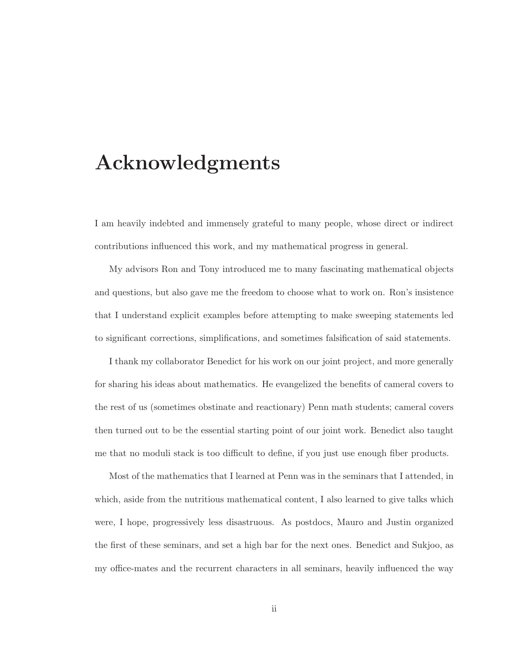# **Acknowledgments**

I am heavily indebted and immensely grateful to many people, whose direct or indirect contributions influenced this work, and my mathematical progress in general.

My advisors Ron and Tony introduced me to many fascinating mathematical objects and questions, but also gave me the freedom to choose what to work on. Ron's insistence that I understand explicit examples before attempting to make sweeping statements led to significant corrections, simplifications, and sometimes falsification of said statements.

I thank my collaborator Benedict for his work on our joint project, and more generally for sharing his ideas about mathematics. He evangelized the benefits of cameral covers to the rest of us (sometimes obstinate and reactionary) Penn math students; cameral covers then turned out to be the essential starting point of our joint work. Benedict also taught me that no moduli stack is too difficult to define, if you just use enough fiber products.

Most of the mathematics that I learned at Penn was in the seminars that I attended, in which, aside from the nutritious mathematical content, I also learned to give talks which were, I hope, progressively less disastruous. As postdocs, Mauro and Justin organized the first of these seminars, and set a high bar for the next ones. Benedict and Sukjoo, as my office-mates and the recurrent characters in all seminars, heavily influenced the way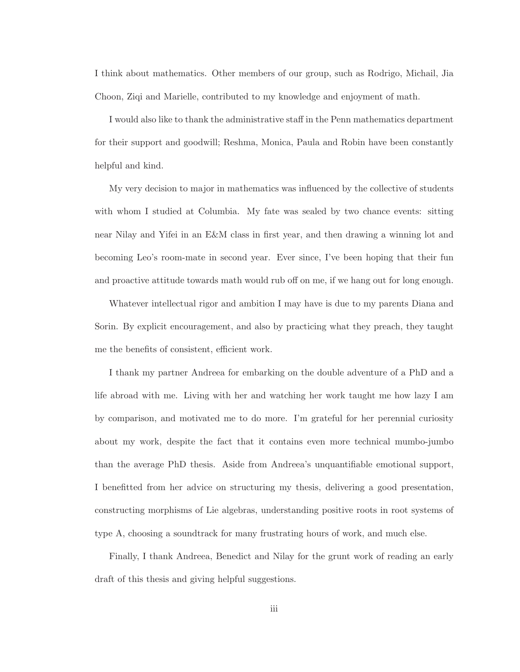I think about mathematics. Other members of our group, such as Rodrigo, Michail, Jia Choon, Ziqi and Marielle, contributed to my knowledge and enjoyment of math.

I would also like to thank the administrative staff in the Penn mathematics department for their support and goodwill; Reshma, Monica, Paula and Robin have been constantly helpful and kind.

My very decision to major in mathematics was influenced by the collective of students with whom I studied at Columbia. My fate was sealed by two chance events: sitting near Nilay and Yifei in an E&M class in first year, and then drawing a winning lot and becoming Leo's room-mate in second year. Ever since, I've been hoping that their fun and proactive attitude towards math would rub off on me, if we hang out for long enough.

Whatever intellectual rigor and ambition I may have is due to my parents Diana and Sorin. By explicit encouragement, and also by practicing what they preach, they taught me the benefits of consistent, efficient work.

I thank my partner Andreea for embarking on the double adventure of a PhD and a life abroad with me. Living with her and watching her work taught me how lazy I am by comparison, and motivated me to do more. I'm grateful for her perennial curiosity about my work, despite the fact that it contains even more technical mumbo-jumbo than the average PhD thesis. Aside from Andreea's unquantifiable emotional support, I benefitted from her advice on structuring my thesis, delivering a good presentation, constructing morphisms of Lie algebras, understanding positive roots in root systems of type A, choosing a soundtrack for many frustrating hours of work, and much else.

Finally, I thank Andreea, Benedict and Nilay for the grunt work of reading an early draft of this thesis and giving helpful suggestions.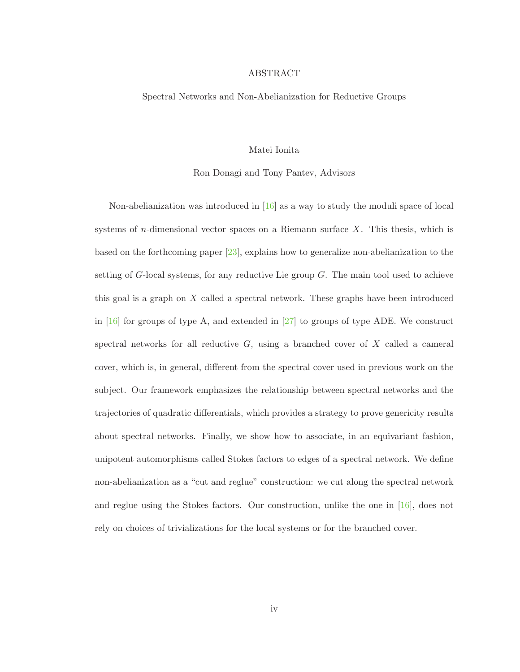#### ABSTRACT

#### Spectral Networks and Non-Abelianization for Reductive Groups

#### Matei Ionita

#### Ron Donagi and Tony Pantev, Advisors

Non-abelianization was introduced in [16] as a way to study the moduli space of local systems of *n*-dimensional vector spaces on a Riemann surface  $X$ . This thesis, which is based on the forthcoming paper  $[23]$ , explains how to generalize non-abelianization to the setting of  $G$ -local systems, for any reductive Lie group  $G$ . The main tool used to achieve this goal is a graph on  $X$  called a spectral network. These graphs have been introduced in [16] for groups of type A, and extended in [27] to groups of type ADE. We construct spectral networks for all reductive  $G$ , using a branched cover of  $X$  called a cameral cover, which is, in general, different from the spectral cover used in previous work on the subject. Our framework emphasizes the relationship between spectral networks and the trajectories of quadratic differentials, which provides a strategy to prove genericity results about spectral networks. Finally, we show how to associate, in an equivariant fashion, unipotent automorphisms called Stokes factors to edges of a spectral network. We define non-abelianization as a "cut and reglue" construction: we cut along the spectral network and reglue using the Stokes factors. Our construction, unlike the one in  $[16]$ , does not rely on choices of trivializations for the local systems or for the branched cover.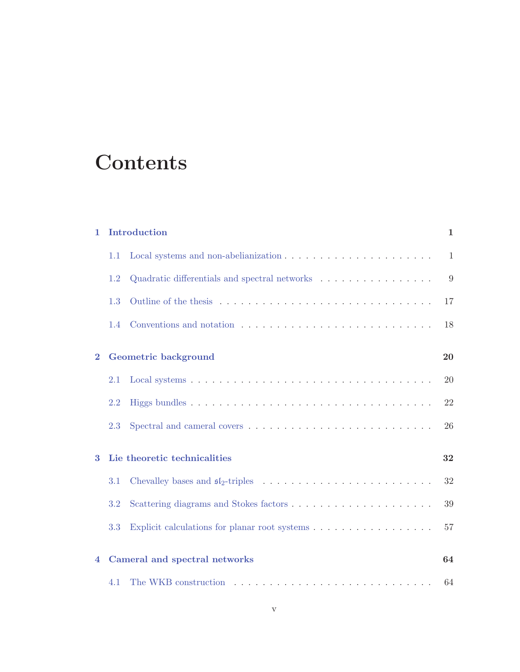# **Contents**

| $\mathbf{1}$ |                              | Introduction                                                                  | $\mathbf 1$ |  |  |  |
|--------------|------------------------------|-------------------------------------------------------------------------------|-------------|--|--|--|
|              | 1.1                          |                                                                               | 1           |  |  |  |
|              | 1.2                          | Quadratic differentials and spectral networks $\dots \dots \dots \dots \dots$ | 9           |  |  |  |
|              | 1.3                          |                                                                               | 17          |  |  |  |
|              | 1.4                          |                                                                               | 18          |  |  |  |
| $\bf{2}$     | Geometric background         |                                                                               |             |  |  |  |
|              |                              |                                                                               | 20          |  |  |  |
|              | 2.1                          |                                                                               | <b>20</b>   |  |  |  |
|              | 2.2                          |                                                                               | 22          |  |  |  |
|              | 2.3                          |                                                                               | 26          |  |  |  |
| 3            | Lie theoretic technicalities |                                                                               |             |  |  |  |
|              | 3.1                          |                                                                               | 32          |  |  |  |
|              | 3.2                          |                                                                               | 39          |  |  |  |
|              | 3.3                          | Explicit calculations for planar root systems                                 | 57          |  |  |  |
|              |                              |                                                                               |             |  |  |  |
| 4            |                              | Cameral and spectral networks                                                 | 64          |  |  |  |
|              | 4.1                          |                                                                               | 64          |  |  |  |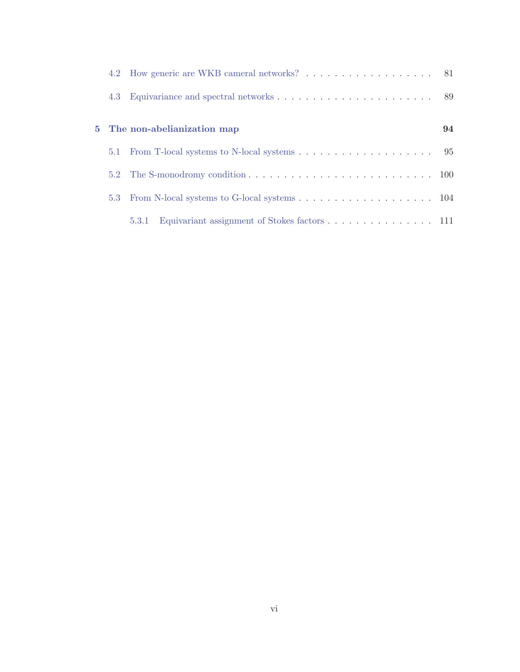|     | 4.2 How generic are WKB cameral networks? 81          |    |
|-----|-------------------------------------------------------|----|
|     |                                                       |    |
|     | 5 The non-abelianization map                          | 94 |
| 5.1 |                                                       |    |
|     |                                                       |    |
| 5.3 |                                                       |    |
|     | Equivariant assignment of Stokes factors 111<br>5.3.1 |    |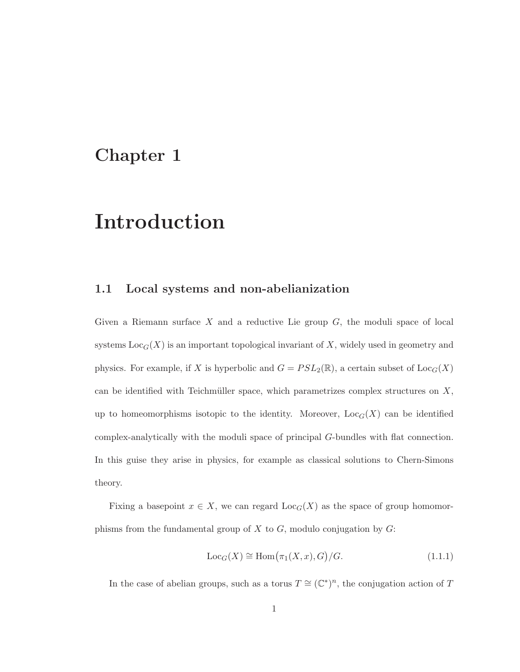## **Chapter 1**

# **Introduction**

### **1.1 Local systems and non-abelianization**

Given a Riemann surface  $X$  and a reductive Lie group  $G$ , the moduli space of local systems  $Loc<sub>G</sub>(X)$  is an important topological invariant of X, widely used in geometry and physics. For example, if X is hyperbolic and  $G = PSL_2(\mathbb{R})$ , a certain subset of  $Loc_G(X)$ can be identified with Teichmüller space, which parametrizes complex structures on  $X$ , up to homeomorphisms isotopic to the identity. Moreover,  $Loc_G(X)$  can be identified complex-analytically with the moduli space of principal G-bundles with flat connection. In this guise they arise in physics, for example as classical solutions to Chern-Simons theory.

Fixing a basepoint  $x \in X$ , we can regard  $\text{Loc}_G(X)$  as the space of group homomorphisms from the fundamental group of  $X$  to  $G$ , modulo conjugation by  $G$ :

$$
Loc_G(X) \cong Hom(\pi_1(X, x), G)/G.
$$
\n(1.1.1)

In the case of abelian groups, such as a torus  $T \cong (\mathbb{C}^*)^n,$  the conjugation action of  $T$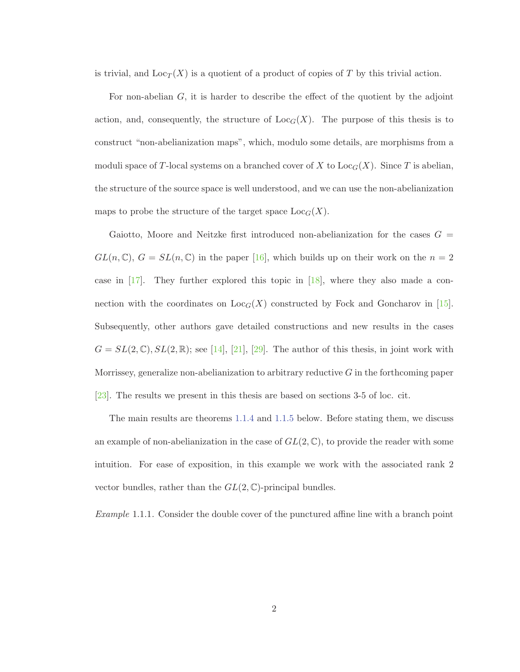is trivial, and  $\text{Loc}_T(X)$  is a quotient of a product of copies of T by this trivial action.

For non-abelian  $G$ , it is harder to describe the effect of the quotient by the adjoint action, and, consequently, the structure of  $Loc<sub>G</sub>(X)$ . The purpose of this thesis is to construct "non-abelianization maps", which, modulo some details, are morphisms from a moduli space of T-local systems on a branched cover of X to  $\text{Loc}_G(X)$ . Since T is abelian, the structure of the source space is well understood, and we can use the non-abelianization maps to probe the structure of the target space  $Loc_G(X)$ .

Gaiotto, Moore and Neitzke first introduced non-abelianization for the cases  $G =$  $GL(n,\mathbb{C}), G = SL(n,\mathbb{C})$  in the paper [16], which builds up on their work on the  $n=2$ case in [17]. They further explored this topic in [18], where they also made a connection with the coordinates on  $Loc_G(X)$  constructed by Fock and Goncharov in [15]. Subsequently, other authors gave detailed constructions and new results in the cases  $G = SL(2,\mathbb{C}), SL(2,\mathbb{R});$  see [14], [21], [29]. The author of this thesis, in joint work with Morrissey, generalize non-abelianization to arbitrary reductive  $G$  in the forthcoming paper [23]. The results we present in this thesis are based on sections 3-5 of loc. cit.

The main results are theorems 1.1.4 and 1.1.5 below. Before stating them, we discuss an example of non-abelianization in the case of  $GL(2,\mathbb{C})$ , to provide the reader with some intuition. For ease of exposition, in this example we work with the associated rank 2 vector bundles, rather than the  $GL(2,\mathbb{C})$ -principal bundles.

Example 1.1.1. Consider the double cover of the punctured affine line with a branch point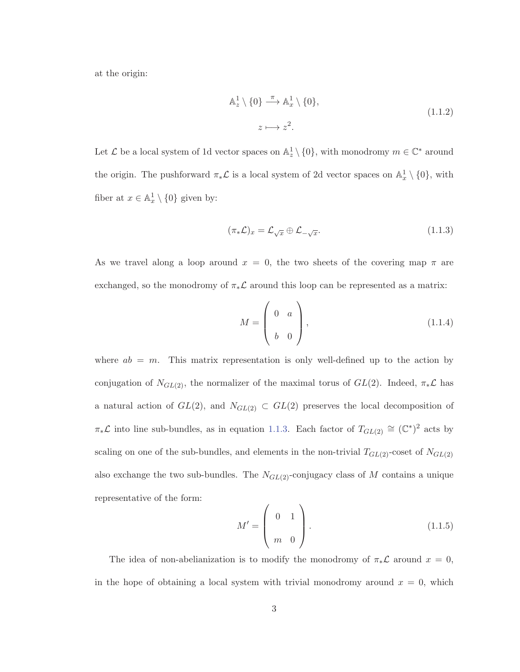at the origin:

$$
\mathbb{A}_z^1 \setminus \{0\} \xrightarrow{\pi} \mathbb{A}_x^1 \setminus \{0\},
$$
  

$$
z \longmapsto z^2.
$$
 (1.1.2)

Let  $\mathcal L$  be a local system of 1d vector spaces on  $\mathbb A_z^1 \setminus \{0\}$ , with monodromy  $m \in \mathbb C^*$  around the origin. The pushforward  $\pi_*\mathcal{L}$  is a local system of 2d vector spaces on  $\mathbb{A}_x^1 \setminus \{0\}$ , with fiber at  $x \in \mathbb{A}^1_x \setminus \{0\}$  given by:

$$
(\pi_* \mathcal{L})_x = \mathcal{L}_{\sqrt{x}} \oplus \mathcal{L}_{-\sqrt{x}}.\tag{1.1.3}
$$

As we travel along a loop around  $x = 0$ , the two sheets of the covering map  $\pi$  are exchanged, so the monodromy of  $\pi_*\mathcal{L}$  around this loop can be represented as a matrix:

$$
M = \left(\begin{array}{cc} 0 & a \\ b & 0 \end{array}\right),\tag{1.1.4}
$$

where  $ab = m$ . This matrix representation is only well-defined up to the action by conjugation of  $N_{GL(2)}$ , the normalizer of the maximal torus of  $GL(2)$ . Indeed,  $\pi_*\mathcal{L}$  has a natural action of  $GL(2)$ , and  $N_{GL(2)} \subset GL(2)$  preserves the local decomposition of  $\pi_*\mathcal{L}$  into line sub-bundles, as in equation 1.1.3. Each factor of  $T_{GL(2)} \cong (\mathbb{C}^*)^2$  acts by scaling on one of the sub-bundles, and elements in the non-trivial  $T_{GL(2)}$ -coset of  $N_{GL(2)}$ also exchange the two sub-bundles. The  $N_{GL(2)}$ -conjugacy class of M contains a unique representative of the form:

$$
M' = \left(\begin{array}{cc} 0 & 1 \\ m & 0 \end{array}\right). \tag{1.1.5}
$$

The idea of non-abelianization is to modify the monodromy of  $\pi_*\mathcal{L}$  around  $x = 0$ , in the hope of obtaining a local system with trivial monodromy around  $x = 0$ , which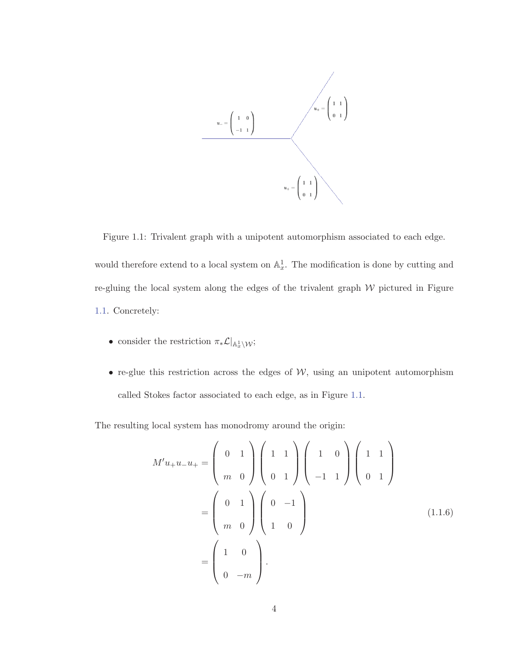

Figure 1.1: Trivalent graph with a unipotent automorphism associated to each edge. would therefore extend to a local system on  $\mathbb{A}^1_x$ . The modification is done by cutting and re-gluing the local system along the edges of the trivalent graph  $W$  pictured in Figure

- 1.1. Concretely:
	- consider the restriction  $\pi_* \mathcal{L}|_{\mathbb{A}^1_x \setminus \mathcal{W}};$
	- re-glue this restriction across the edges of  $W$ , using an unipotent automorphism called Stokes factor associated to each edge, as in Figure 1.1.

The resulting local system has monodromy around the origin:

$$
M'u_{+}u_{-}u_{+} = \begin{pmatrix} 0 & 1 \\ m & 0 \end{pmatrix} \begin{pmatrix} 1 & 1 \\ 0 & 1 \end{pmatrix} \begin{pmatrix} 1 & 0 \\ -1 & 1 \end{pmatrix} \begin{pmatrix} 1 & 1 \\ 0 & 1 \end{pmatrix}
$$

$$
= \begin{pmatrix} 0 & 1 \\ m & 0 \end{pmatrix} \begin{pmatrix} 0 & -1 \\ 1 & 0 \end{pmatrix}
$$

$$
= \begin{pmatrix} 1 & 0 \\ 0 & -m \end{pmatrix}.
$$
(1.1.6)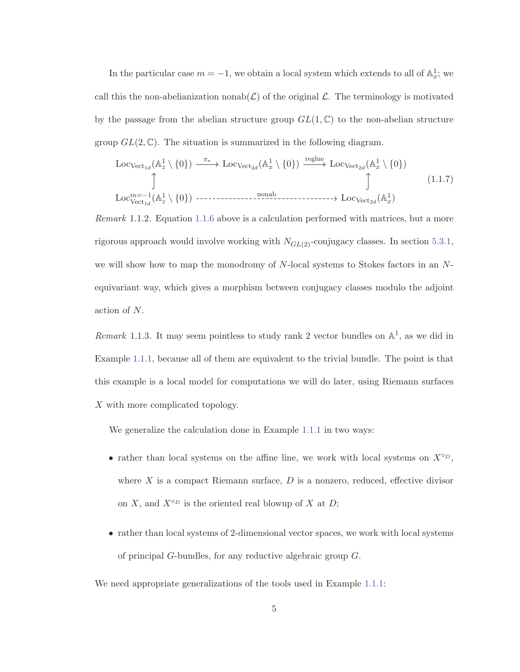In the particular case  $m = -1$ , we obtain a local system which extends to all of  $\mathbb{A}_x^1$ ; we call this the non-abelianization nonab $(\mathcal{L})$  of the original  $\mathcal{L}$ . The terminology is motivated by the passage from the abelian structure group  $GL(1,\mathbb{C})$  to the non-abelian structure group  $GL(2,\mathbb{C})$ . The situation is summarized in the following diagram.

$$
\text{Loc}_{\text{Vect}_{1d}}(\mathbb{A}_{z}^{1} \setminus \{0\}) \xrightarrow{\pi_{*}} \text{Loc}_{\text{Vect}_{2d}}(\mathbb{A}_{x}^{1} \setminus \{0\}) \xrightarrow{\text{reglue}} \text{Loc}_{\text{Vect}_{2d}}(\mathbb{A}_{x}^{1} \setminus \{0\})
$$
\n
$$
\uparrow \qquad \qquad \uparrow \qquad \qquad \uparrow \qquad (1.1.7)
$$
\n
$$
\text{Loc}_{\text{Vect}_{1d}}^{\text{m}=-1}(\mathbb{A}_{z}^{1} \setminus \{0\}) \xrightarrow{\text{nonabs}} \text{Loc}_{\text{Vect}_{2d}}(\mathbb{A}_{x}^{1})
$$

Remark 1.1.2. Equation 1.1.6 above is a calculation performed with matrices, but a more rigorous approach would involve working with  $N_{GL(2)}$ -conjugacy classes. In section 5.3.1, we will show how to map the monodromy of  $N$ -local systems to Stokes factors in an  $N$ equivariant way, which gives a morphism between conjugacy classes modulo the adjoint action of N.

Remark 1.1.3. It may seem pointless to study rank 2 vector bundles on  $\mathbb{A}^1$ , as we did in Example 1.1.1, because all of them are equivalent to the trivial bundle. The point is that this example is a local model for computations we will do later, using Riemann surfaces X with more complicated topology.

We generalize the calculation done in Example 1.1.1 in two ways:

- rather than local systems on the affine line, we work with local systems on  $X^{\circ D}$ , where  $X$  is a compact Riemann surface,  $D$  is a nonzero, reduced, effective divisor on X, and  $X^{\circ p}$  is the oriented real blowup of X at D;
- rather than local systems of 2-dimensional vector spaces, we work with local systems of principal G-bundles, for any reductive algebraic group G.

We need appropriate generalizations of the tools used in Example 1.1.1: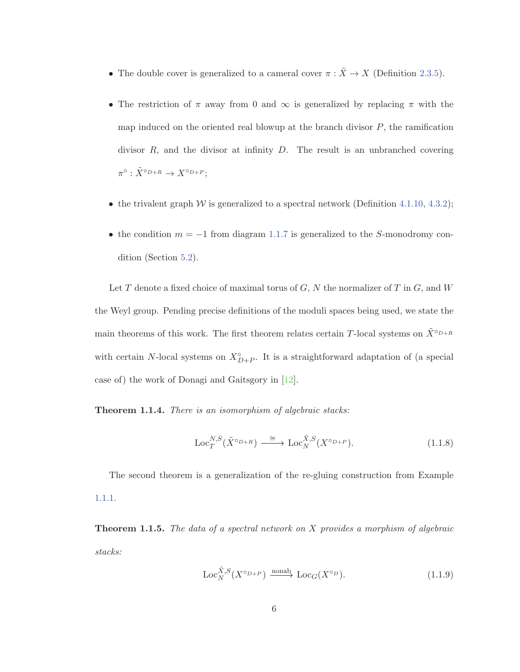- The double cover is generalized to a cameral cover  $\pi : \tilde{X} \to X$  (Definition 2.3.5).
- The restriction of  $\pi$  away from 0 and  $\infty$  is generalized by replacing  $\pi$  with the map induced on the oriented real blowup at the branch divisor  $P$ , the ramification divisor  $R$ , and the divisor at infinity  $D$ . The result is an unbranched covering  $\pi^{\circ} : \tilde{X}^{\circ_{D+R}} \to X^{\circ_{D+P}};$
- the trivalent graph W is generalized to a spectral network (Definition 4.1.10, 4.3.2);
- the condition  $m = -1$  from diagram 1.1.7 is generalized to the S-monodromy condition (Section 5.2).

Let T denote a fixed choice of maximal torus of  $G, N$  the normalizer of T in  $G$ , and W the Weyl group. Pending precise definitions of the moduli spaces being used, we state the main theorems of this work. The first theorem relates certain T-local systems on  $\tilde{X}^{\circ D+R}$ with certain N-local systems on  $X^{\circ}_{D+P}$ . It is a straightforward adaptation of (a special case of) the work of Donagi and Gaitsgory in [12].

**Theorem 1.1.4.** There is an isomorphism of algebraic stacks:

$$
\operatorname{Loc}_{T}^{N,S}(\tilde{X}^{\circ D+R}) \xrightarrow{\cong} \operatorname{Loc}_{N}^{\tilde{X},S}(X^{\circ D+P}).
$$
\n(1.1.8)

The second theorem is a generalization of the re-gluing construction from Example 1.1.1.

**Theorem 1.1.5.** The data of a spectral network on X provides a morphism of algebraic stacks:

$$
\operatorname{Loc}_{N}^{\tilde{X},S}(X^{\circ p+p}) \xrightarrow{\text{nonab}} \operatorname{Loc}_{G}(X^{\circ p}).\tag{1.1.9}
$$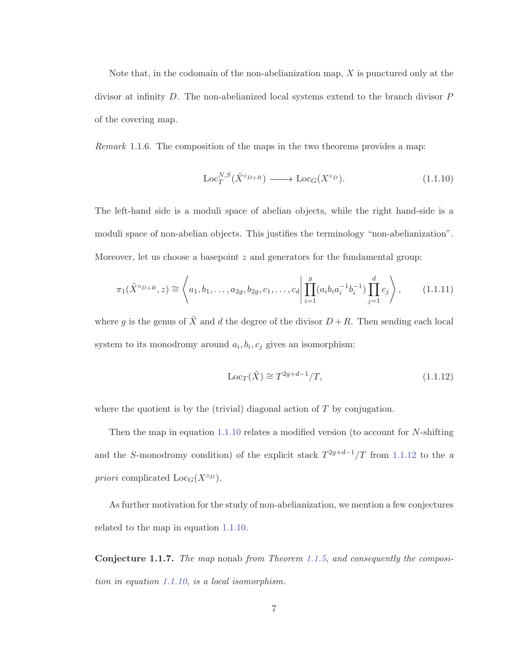Note that, in the codomain of the non-abelianization map,  $X$  is punctured only at the divisor at infinity D. The non-abelianized local systems extend to the branch divisor P of the covering map.

Remark 1.1.6. The composition of the maps in the two theorems provides a map:

$$
\operatorname{Loc}_{T}^{N,S}(\tilde{X}^{\circ_{D+R}}) \longrightarrow \operatorname{Loc}_{G}(X^{\circ_{D}}). \tag{1.1.10}
$$

The left-hand side is a moduli space of abelian objects, while the right hand-side is a moduli space of non-abelian objects. This justifies the terminology "non-abelianization". Moreover, let us choose a basepoint  $z$  and generators for the fundamental group:

$$
\pi_1(\tilde{X}^{\circ_{D+R}}, z) \cong \left\langle a_1, b_1, \dots, a_{2g}, b_{2g}, c_1, \dots, c_d \middle| \prod_{i=1}^g (a_i b_i a_i^{-1} b_i^{-1}) \prod_{j=1}^d c_j \right\rangle, \tag{1.1.11}
$$

where g is the genus of  $\tilde{X}$  and d the degree of the divisor  $D + R$ . Then sending each local system to its monodromy around  $a_i, b_i, c_j$  gives an isomorphism:

$$
\operatorname{Loc}_T(\tilde{X}) \cong T^{2g+d-1}/T,
$$
\n(1.1.12)

where the quotient is by the (trivial) diagonal action of  $T$  by conjugation.

Then the map in equation 1.1.10 relates a modified version (to account for N-shifting and the S-monodromy condition) of the explicit stack  $T^{2g+d-1}/T$  from 1.1.12 to the a priori complicated  $\text{Loc}_G(X^{\circ D})$ .

As further motivation for the study of non-abelianization, we mention a few conjectures related to the map in equation 1.1.10.

**Conjecture 1.1.7.** The map nonab from Theorem 1.1.5, and consequently the composition in equation 1.1.10, is a local isomorphism.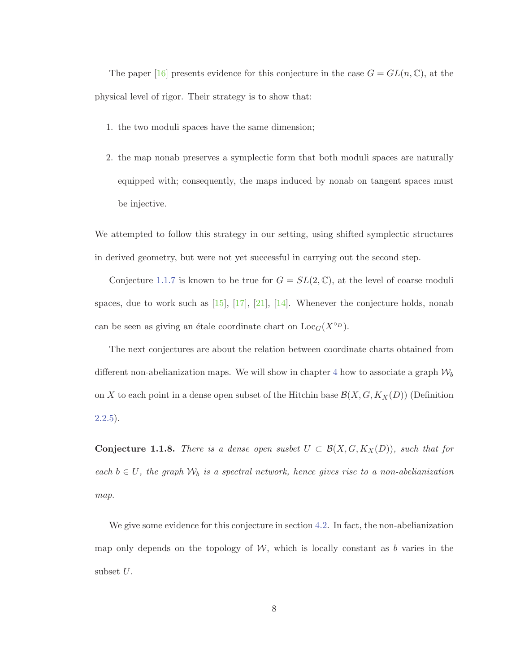The paper [16] presents evidence for this conjecture in the case  $G = GL(n, \mathbb{C})$ , at the physical level of rigor. Their strategy is to show that:

- 1. the two moduli spaces have the same dimension;
- 2. the map nonab preserves a symplectic form that both moduli spaces are naturally equipped with; consequently, the maps induced by nonab on tangent spaces must be injective.

We attempted to follow this strategy in our setting, using shifted symplectic structures in derived geometry, but were not yet successful in carrying out the second step.

Conjecture 1.1.7 is known to be true for  $G = SL(2, \mathbb{C})$ , at the level of coarse moduli spaces, due to work such as  $[15]$ ,  $[17]$ ,  $[21]$ ,  $[14]$ . Whenever the conjecture holds, nonab can be seen as giving an étale coordinate chart on  $Loc<sub>G</sub>(X<sup>o</sup>D)$ .

The next conjectures are about the relation between coordinate charts obtained from different non-abelianization maps. We will show in chapter 4 how to associate a graph  $\mathcal{W}_b$ on X to each point in a dense open subset of the Hitchin base  $\mathcal{B}(X, G, K_X(D))$  (Definition  $(2.2.5).$ 

**Conjecture 1.1.8.** There is a dense open susbet  $U \subset \mathcal{B}(X, G, K_X(D))$ , such that for each  $b \in U$ , the graph  $W_b$  is a spectral network, hence gives rise to a non-abelianization map.

We give some evidence for this conjecture in section 4.2. In fact, the non-abelianization map only depends on the topology of  $W$ , which is locally constant as b varies in the subset U.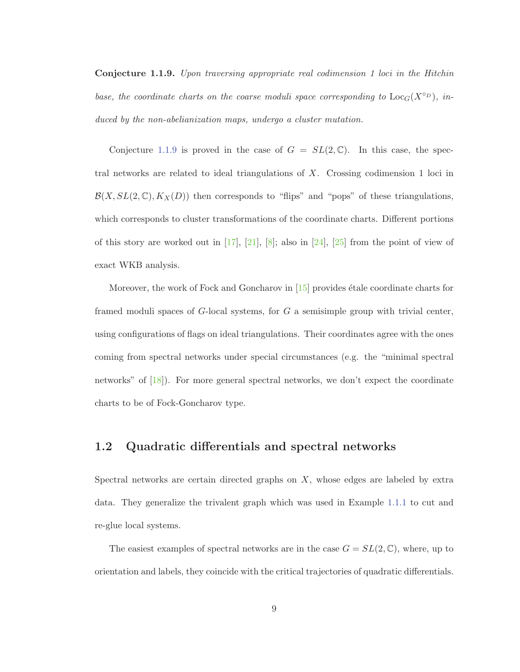**Conjecture 1.1.9.** Upon traversing appropriate real codimension 1 loci in the Hitchin base, the coordinate charts on the coarse moduli space corresponding to  $Loc_G(X^{\circ D})$ , induced by the non-abelianization maps, undergo a cluster mutation.

Conjecture 1.1.9 is proved in the case of  $G = SL(2,\mathbb{C})$ . In this case, the spectral networks are related to ideal triangulations of X. Crossing codimension 1 loci in  $\mathcal{B}(X, SL(2,\mathbb{C}), K_X(D))$  then corresponds to "flips" and "pops" of these triangulations, which corresponds to cluster transformations of the coordinate charts. Different portions of this story are worked out in  $[17]$ ,  $[21]$ ,  $[8]$ ; also in  $[24]$ ,  $[25]$  from the point of view of exact WKB analysis.

Moreover, the work of Fock and Goncharov in  $[15]$  provides étale coordinate charts for framed moduli spaces of  $G$ -local systems, for  $G$  a semisimple group with trivial center, using configurations of flags on ideal triangulations. Their coordinates agree with the ones coming from spectral networks under special circumstances (e.g. the "minimal spectral networks" of [18]). For more general spectral networks, we don't expect the coordinate charts to be of Fock-Goncharov type.

### **1.2 Quadratic differentials and spectral networks**

Spectral networks are certain directed graphs on  $X$ , whose edges are labeled by extra data. They generalize the trivalent graph which was used in Example 1.1.1 to cut and re-glue local systems.

The easiest examples of spectral networks are in the case  $G = SL(2, \mathbb{C})$ , where, up to orientation and labels, they coincide with the critical trajectories of quadratic differentials.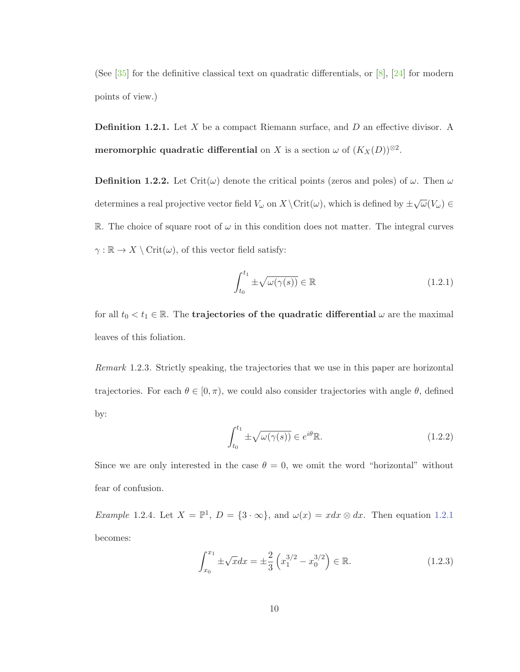(See [35] for the definitive classical text on quadratic differentials, or [8], [24] for modern points of view.)

**Definition 1.2.1.** Let X be a compact Riemann surface, and D an effective divisor. A **meromorphic quadratic differential** on X is a section  $\omega$  of  $(K_X(D))^{\otimes 2}$ .

**Definition 1.2.2.** Let Crit $(\omega)$  denote the critical points (zeros and poles) of  $\omega$ . Then  $\omega$ determines a real projective vector field  $V_\omega$  on  $X \setminus \mathrm{Crit}(\omega)$ , which is defined by  $\pm \sqrt{\omega}(V_\omega) \in$ R. The choice of square root of  $\omega$  in this condition does not matter. The integral curves  $\gamma : \mathbb{R} \to X \setminus \mathrm{Crit}(\omega)$ , of this vector field satisfy:

$$
\int_{t_0}^{t_1} \pm \sqrt{\omega(\gamma(s))} \in \mathbb{R}
$$
\n(1.2.1)

for all  $t_0 < t_1 \in \mathbb{R}$ . The **trajectories of the quadratic differential**  $\omega$  are the maximal leaves of this foliation.

Remark 1.2.3. Strictly speaking, the trajectories that we use in this paper are horizontal trajectories. For each  $\theta \in [0, \pi)$ , we could also consider trajectories with angle  $\theta$ , defined by:

$$
\int_{t_0}^{t_1} \pm \sqrt{\omega(\gamma(s))} \in e^{i\theta} \mathbb{R}.
$$
\n(1.2.2)

Since we are only interested in the case  $\theta = 0$ , we omit the word "horizontal" without fear of confusion.

Example 1.2.4. Let  $X = \mathbb{P}^1$ ,  $D = \{3 \cdot \infty\}$ , and  $\omega(x) = x dx \otimes dx$ . Then equation 1.2.1 becomes:

$$
\int_{x_0}^{x_1} \pm \sqrt{x} dx = \pm \frac{2}{3} \left( x_1^{3/2} - x_0^{3/2} \right) \in \mathbb{R}.
$$
 (1.2.3)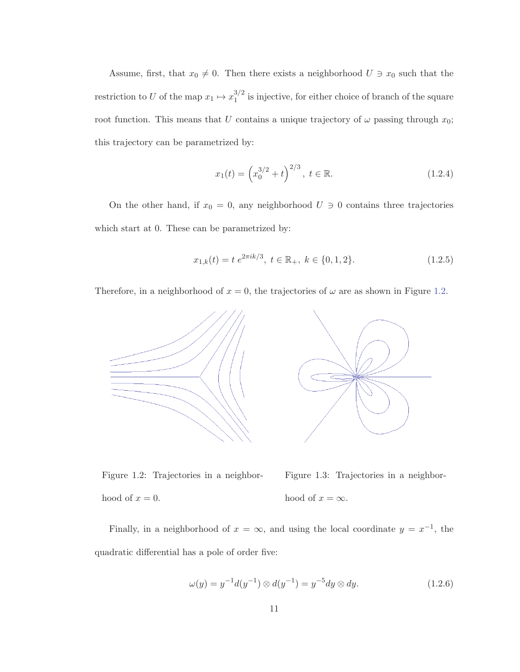Assume, first, that  $x_0 \neq 0$ . Then there exists a neighborhood  $U \ni x_0$  such that the restriction to U of the map  $x_1 \mapsto x_1^{3/2}$  is injective, for either choice of branch of the square root function. This means that U contains a unique trajectory of  $\omega$  passing through  $x_0$ ; this trajectory can be parametrized by:

$$
x_1(t) = \left(x_0^{3/2} + t\right)^{2/3}, \ t \in \mathbb{R}.\tag{1.2.4}
$$

On the other hand, if  $x_0 = 0$ , any neighborhood  $U \ni 0$  contains three trajectories which start at 0. These can be parametrized by:

$$
x_{1,k}(t) = t e^{2\pi i k/3}, \ t \in \mathbb{R}_+, \ k \in \{0, 1, 2\}.
$$
 (1.2.5)

Therefore, in a neighborhood of  $x = 0$ , the trajectories of  $\omega$  are as shown in Figure 1.2.



Figure 1.2: Trajectories in a neighborhood of  $x = 0$ . Figure 1.3: Trajectories in a neighborhood of  $x = \infty$ .

Finally, in a neighborhood of  $x = \infty$ , and using the local coordinate  $y = x^{-1}$ , the quadratic differential has a pole of order five:

$$
\omega(y) = y^{-1}d(y^{-1}) \otimes d(y^{-1}) = y^{-5}dy \otimes dy.
$$
 (1.2.6)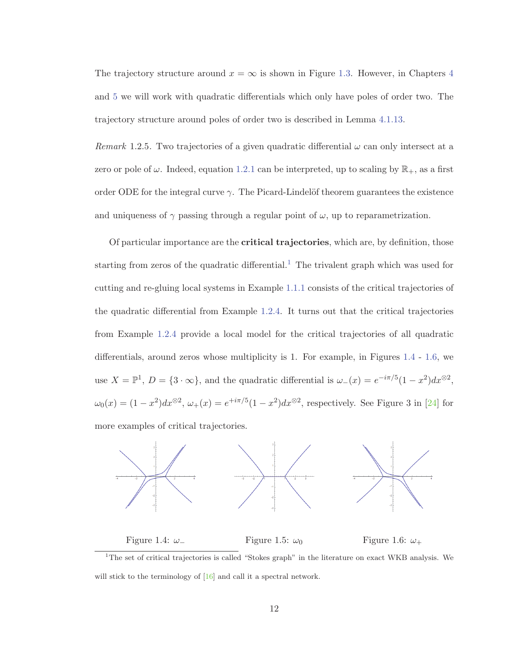The trajectory structure around  $x = \infty$  is shown in Figure 1.3. However, in Chapters 4 and 5 we will work with quadratic differentials which only have poles of order two. The trajectory structure around poles of order two is described in Lemma 4.1.13.

Remark 1.2.5. Two trajectories of a given quadratic differential  $\omega$  can only intersect at a zero or pole of  $\omega$ . Indeed, equation 1.2.1 can be interpreted, up to scaling by  $\mathbb{R}_+$ , as a first order ODE for the integral curve  $\gamma$ . The Picard-Lindelöf theorem guarantees the existence and uniqueness of  $\gamma$  passing through a regular point of  $\omega$ , up to reparametrization.

Of particular importance are the **critical trajectories**, which are, by definition, those starting from zeros of the quadratic differential.<sup>1</sup> The trivalent graph which was used for cutting and re-gluing local systems in Example 1.1.1 consists of the critical trajectories of the quadratic differential from Example 1.2.4. It turns out that the critical trajectories from Example 1.2.4 provide a local model for the critical trajectories of all quadratic differentials, around zeros whose multiplicity is 1. For example, in Figures 1.4 - 1.6, we use  $X = \mathbb{P}^1$ ,  $D = \{3 \cdot \infty\}$ , and the quadratic differential is  $\omega_-(x) = e^{-i\pi/5}(1-x^2)dx^{\otimes 2}$ ,  $\omega_0(x) = (1-x^2)dx^{\otimes 2}, \ \omega_+(x) = e^{+i\pi/5}(1-x^2)dx^{\otimes 2}$ , respectively. See Figure 3 in [24] for more examples of critical trajectories.



<sup>1</sup>The set of critical trajectories is called "Stokes graph" in the literature on exact WKB analysis. We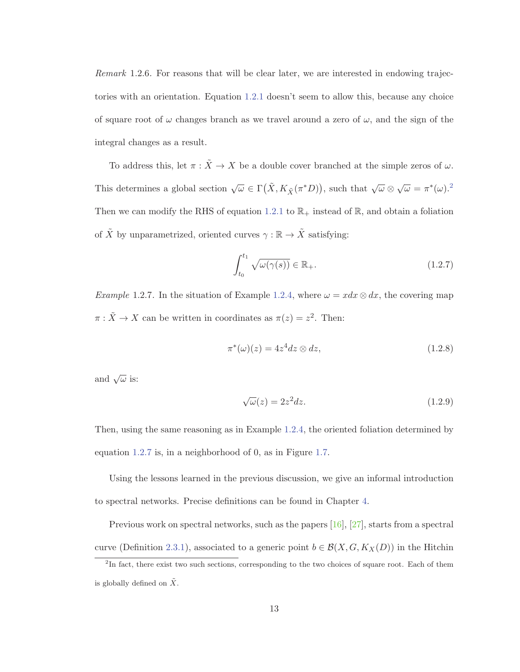Remark 1.2.6. For reasons that will be clear later, we are interested in endowing trajectories with an orientation. Equation 1.2.1 doesn't seem to allow this, because any choice of square root of  $\omega$  changes branch as we travel around a zero of  $\omega$ , and the sign of the integral changes as a result.

To address this, let  $\pi : \tilde{X} \to X$  be a double cover branched at the simple zeros of  $\omega$ . This determines a global section  $\sqrt{\omega} \in \Gamma(\tilde{X}, K_{\tilde{X}}(\pi^*D))$ , such that  $\sqrt{\omega} \otimes \sqrt{\omega} = \pi^*(\omega).^2$ Then we can modify the RHS of equation 1.2.1 to  $\mathbb{R}_+$  instead of  $\mathbb{R}$ , and obtain a foliation of  $\tilde{X}$  by unparametrized, oriented curves  $\gamma: \mathbb{R} \to \tilde{X}$  satisfying:

$$
\int_{t_0}^{t_1} \sqrt{\omega(\gamma(s))} \in \mathbb{R}_+.
$$
\n(1.2.7)

Example 1.2.7. In the situation of Example 1.2.4, where  $\omega = x dx \otimes dx$ , the covering map  $\pi : \tilde{X} \to X$  can be written in coordinates as  $\pi(z) = z^2$ . Then:

$$
\pi^*(\omega)(z) = 4z^4 dz \otimes dz,\tag{1.2.8}
$$

and  $\sqrt{\omega}$  is:

$$
\sqrt{\omega}(z) = 2z^2 dz. \tag{1.2.9}
$$

Then, using the same reasoning as in Example 1.2.4, the oriented foliation determined by equation 1.2.7 is, in a neighborhood of 0, as in Figure 1.7.

Using the lessons learned in the previous discussion, we give an informal introduction to spectral networks. Precise definitions can be found in Chapter 4.

Previous work on spectral networks, such as the papers [16], [27], starts from a spectral curve (Definition 2.3.1), associated to a generic point  $b \in \mathcal{B}(X, G, K_X(D))$  in the Hitchin

<sup>&</sup>lt;sup>2</sup>In fact, there exist two such sections, corresponding to the two choices of square root. Each of them is globally defined on  $\tilde{X}$ .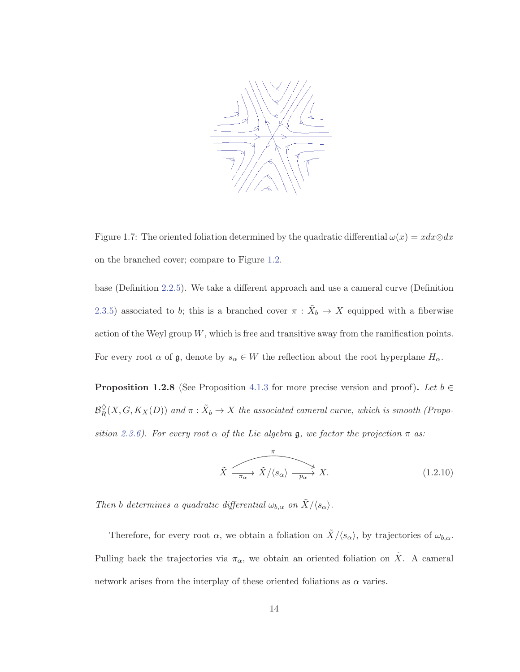

Figure 1.7: The oriented foliation determined by the quadratic differential  $\omega(x) = x dx \otimes dx$ on the branched cover; compare to Figure 1.2.

base (Definition 2.2.5). We take a different approach and use a cameral curve (Definition 2.3.5) associated to b; this is a branched cover  $\pi$  :  $\tilde{X}_b \to X$  equipped with a fiberwise action of the Weyl group W, which is free and transitive away from the ramification points. For every root  $\alpha$  of  $\mathfrak{g}$ , denote by  $s_{\alpha} \in W$  the reflection about the root hyperplane  $H_{\alpha}$ .

**Proposition 1.2.8** (See Proposition 4.1.3 for more precise version and proof). Let  $b \in \mathbb{R}$  $\mathcal{B}_R^{\diamond}(X, G, K_X(D))$  and  $\pi : \tilde{X}_b \to X$  the associated cameral curve, which is smooth (Proposition 2.3.6). For every root  $\alpha$  of the Lie algebra g, we factor the projection  $\pi$  as:

$$
\tilde{X} \xrightarrow{\pi} \tilde{X}/\langle s_{\alpha} \rangle \xrightarrow{p_{\alpha}} X. \tag{1.2.10}
$$

Then b determines a quadratic differential  $\omega_{b,\alpha}$  on  $\tilde{X}/\langle s_\alpha \rangle$ .

Therefore, for every root  $\alpha$ , we obtain a foliation on  $\tilde{X}/\langle s_{\alpha} \rangle$ , by trajectories of  $\omega_{b,\alpha}$ . Pulling back the trajectories via  $\pi_{\alpha}$ , we obtain an oriented foliation on X. A cameral network arises from the interplay of these oriented foliations as  $\alpha$  varies.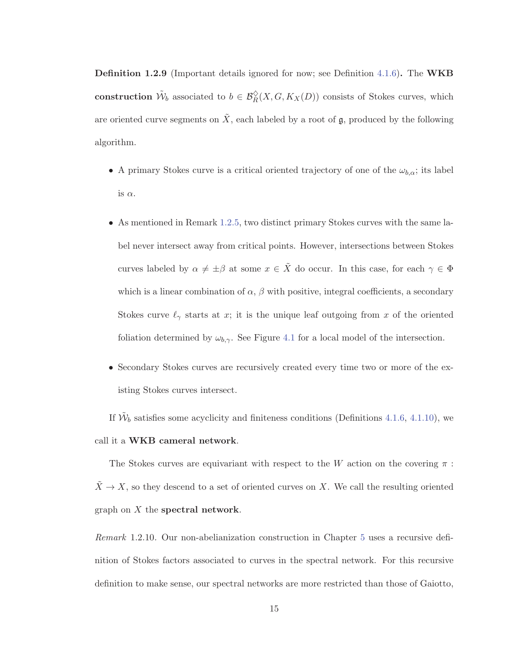**Definition 1.2.9** (Important details ignored for now; see Definition 4.1.6)**.** The **WKB construction**  $\tilde{W}_b$  associated to  $b \in \mathcal{B}_R^{\lozenge}(X, G, K_X(D))$  consists of Stokes curves, which are oriented curve segments on  $\tilde{X}$ , each labeled by a root of  $\mathfrak{g}$ , produced by the following algorithm.

- A primary Stokes curve is a critical oriented trajectory of one of the  $\omega_{b,\alpha}$ ; its label is  $\alpha$ .
- As mentioned in Remark 1.2.5, two distinct primary Stokes curves with the same label never intersect away from critical points. However, intersections between Stokes curves labeled by  $\alpha \neq \pm \beta$  at some  $x \in \tilde{X}$  do occur. In this case, for each  $\gamma \in \Phi$ which is a linear combination of  $\alpha$ ,  $\beta$  with positive, integral coefficients, a secondary Stokes curve  $\ell_{\gamma}$  starts at x; it is the unique leaf outgoing from x of the oriented foliation determined by  $\omega_{b,\gamma}$ . See Figure 4.1 for a local model of the intersection.
- Secondary Stokes curves are recursively created every time two or more of the existing Stokes curves intersect.

If  $\tilde{\mathcal{W}}_b$  satisfies some acyclicity and finiteness conditions (Definitions 4.1.6, 4.1.10), we call it a **WKB cameral network**.

The Stokes curves are equivariant with respect to the W action on the covering  $\pi$ :  $\tilde{X} \to X$ , so they descend to a set of oriented curves on X. We call the resulting oriented graph on X the **spectral network**.

Remark 1.2.10. Our non-abelianization construction in Chapter 5 uses a recursive definition of Stokes factors associated to curves in the spectral network. For this recursive definition to make sense, our spectral networks are more restricted than those of Gaiotto,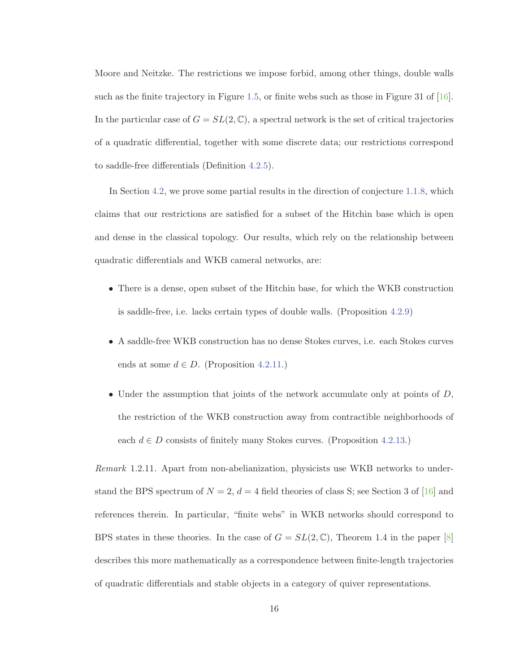Moore and Neitzke. The restrictions we impose forbid, among other things, double walls such as the finite trajectory in Figure 1.5, or finite webs such as those in Figure 31 of [16]. In the particular case of  $G = SL(2, \mathbb{C})$ , a spectral network is the set of critical trajectories of a quadratic differential, together with some discrete data; our restrictions correspond to saddle-free differentials (Definition 4.2.5).

In Section 4.2, we prove some partial results in the direction of conjecture 1.1.8, which claims that our restrictions are satisfied for a subset of the Hitchin base which is open and dense in the classical topology. Our results, which rely on the relationship between quadratic differentials and WKB cameral networks, are:

- There is a dense, open subset of the Hitchin base, for which the WKB construction is saddle-free, i.e. lacks certain types of double walls. (Proposition 4.2.9)
- A saddle-free WKB construction has no dense Stokes curves, i.e. each Stokes curves ends at some  $d \in D$ . (Proposition 4.2.11.)
- Under the assumption that joints of the network accumulate only at points of  $D$ , the restriction of the WKB construction away from contractible neighborhoods of each  $d \in D$  consists of finitely many Stokes curves. (Proposition 4.2.13.)

Remark 1.2.11. Apart from non-abelianization, physicists use WKB networks to understand the BPS spectrum of  $N = 2$ ,  $d = 4$  field theories of class S; see Section 3 of [16] and references therein. In particular, "finite webs" in WKB networks should correspond to BPS states in these theories. In the case of  $G = SL(2, \mathbb{C})$ , Theorem 1.4 in the paper [8] describes this more mathematically as a correspondence between finite-length trajectories of quadratic differentials and stable objects in a category of quiver representations.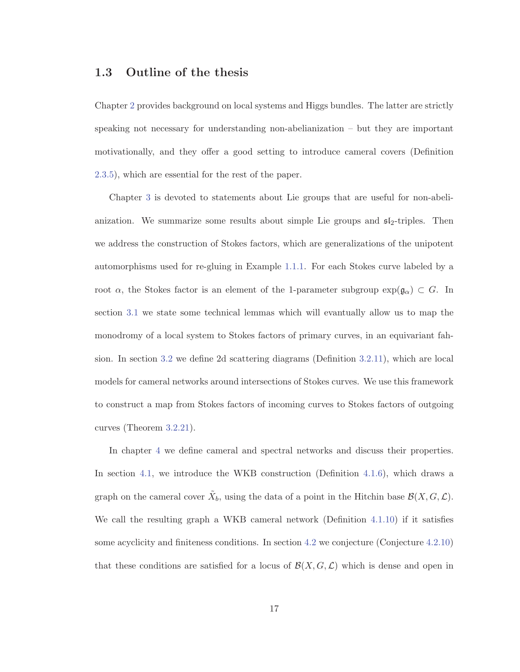### **1.3 Outline of the thesis**

Chapter 2 provides background on local systems and Higgs bundles. The latter are strictly speaking not necessary for understanding non-abelianization – but they are important motivationally, and they offer a good setting to introduce cameral covers (Definition 2.3.5), which are essential for the rest of the paper.

Chapter 3 is devoted to statements about Lie groups that are useful for non-abelianization. We summarize some results about simple Lie groups and  $\mathfrak{sl}_2$ -triples. Then we address the construction of Stokes factors, which are generalizations of the unipotent automorphisms used for re-gluing in Example 1.1.1. For each Stokes curve labeled by a root  $\alpha$ , the Stokes factor is an element of the 1-parameter subgroup  $\exp(\mathfrak{g}_{\alpha}) \subset G$ . In section 3.1 we state some technical lemmas which will evantually allow us to map the monodromy of a local system to Stokes factors of primary curves, in an equivariant fahsion. In section 3.2 we define 2d scattering diagrams (Definition 3.2.11), which are local models for cameral networks around intersections of Stokes curves. We use this framework to construct a map from Stokes factors of incoming curves to Stokes factors of outgoing curves (Theorem 3.2.21).

In chapter 4 we define cameral and spectral networks and discuss their properties. In section 4.1, we introduce the WKB construction (Definition 4.1.6), which draws a graph on the cameral cover  $\tilde{X}_b$ , using the data of a point in the Hitchin base  $\mathcal{B}(X, G, \mathcal{L})$ . We call the resulting graph a WKB cameral network (Definition 4.1.10) if it satisfies some acyclicity and finiteness conditions. In section 4.2 we conjecture (Conjecture 4.2.10) that these conditions are satisfied for a locus of  $\mathcal{B}(X, G, \mathcal{L})$  which is dense and open in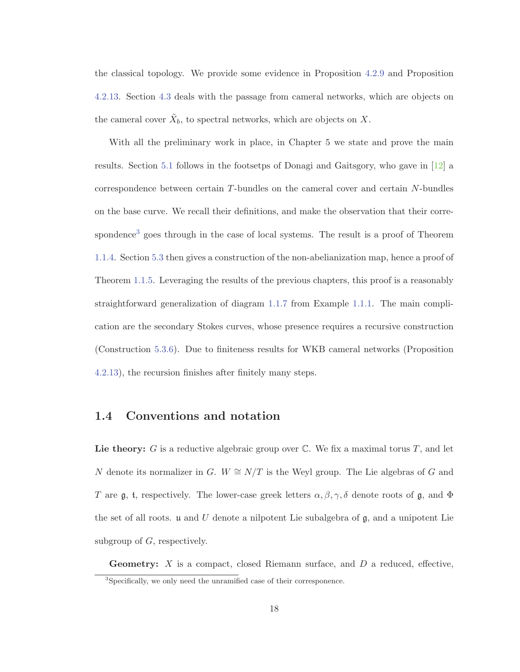the classical topology. We provide some evidence in Proposition 4.2.9 and Proposition 4.2.13. Section 4.3 deals with the passage from cameral networks, which are objects on the cameral cover  $\tilde{X}_b$ , to spectral networks, which are objects on X.

With all the preliminary work in place, in Chapter 5 we state and prove the main results. Section 5.1 follows in the footsetps of Donagi and Gaitsgory, who gave in [12] a correspondence between certain T-bundles on the cameral cover and certain N-bundles on the base curve. We recall their definitions, and make the observation that their correspondence<sup>3</sup> goes through in the case of local systems. The result is a proof of Theorem 1.1.4. Section 5.3 then gives a construction of the non-abelianization map, hence a proof of Theorem 1.1.5. Leveraging the results of the previous chapters, this proof is a reasonably straightforward generalization of diagram 1.1.7 from Example 1.1.1. The main complication are the secondary Stokes curves, whose presence requires a recursive construction (Construction 5.3.6). Due to finiteness results for WKB cameral networks (Proposition 4.2.13), the recursion finishes after finitely many steps.

### **1.4 Conventions and notation**

Lie theory: G is a reductive algebraic group over  $\mathbb C$ . We fix a maximal torus T, and let N denote its normalizer in G.  $W \cong N/T$  is the Weyl group. The Lie algebras of G and T are  $\mathfrak g$ , t, respectively. The lower-case greek letters  $\alpha, \beta, \gamma, \delta$  denote roots of  $\mathfrak g$ , and  $\Phi$ the set of all roots.  $\mathfrak u$  and  $U$  denote a nilpotent Lie subalgebra of  $\mathfrak g$ , and a unipotent Lie subgroup of  $G$ , respectively.

**Geometry:** X is a compact, closed Riemann surface, and D a reduced, effective,

<sup>&</sup>lt;sup>3</sup>Specifically, we only need the unramified case of their corresponence.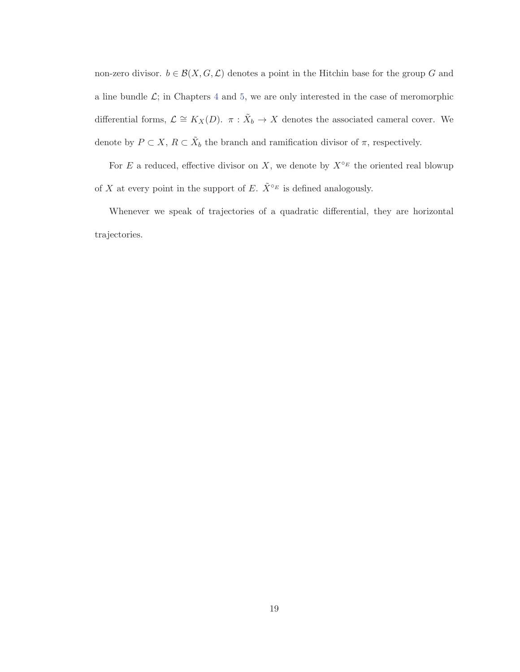non-zero divisor.  $b \in \mathcal{B}(X, G, \mathcal{L})$  denotes a point in the Hitchin base for the group G and a line bundle  $\mathcal{L}$ ; in Chapters 4 and 5, we are only interested in the case of meromorphic differential forms,  $\mathcal{L} \cong K_X(D)$ .  $\pi : \tilde{X}_b \to X$  denotes the associated cameral cover. We denote by  $P \subset X$ ,  $R \subset \tilde{X}_b$  the branch and ramification divisor of  $\pi$ , respectively.

For E a reduced, effective divisor on X, we denote by  $X^{\circ_E}$  the oriented real blowup of X at every point in the support of E.  $\tilde{X}^{\circ_E}$  is defined analogously.

Whenever we speak of trajectories of a quadratic differential, they are horizontal trajectories.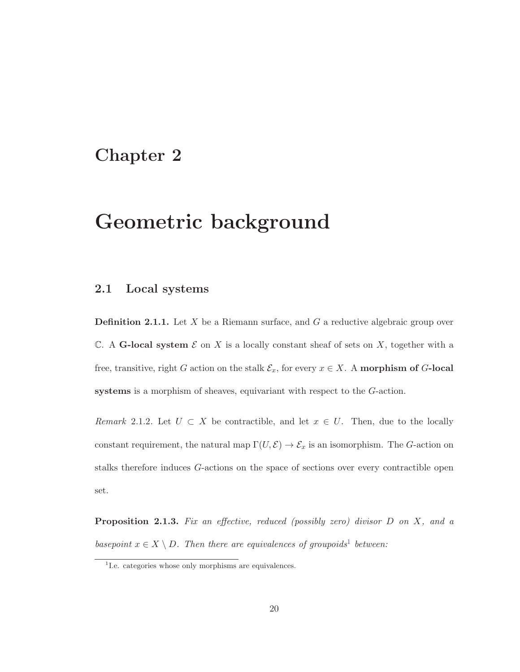## **Chapter 2**

# **Geometric background**

### **2.1 Local systems**

**Definition 2.1.1.** Let X be a Riemann surface, and G a reductive algebraic group over  $\mathbb C$ . A **G-local system**  $\mathcal E$  on  $X$  is a locally constant sheaf of sets on  $X$ , together with a free, transitive, right G action on the stalk  $\mathcal{E}_x$ , for every  $x \in X$ . A **morphism of** G-local **systems** is a morphism of sheaves, equivariant with respect to the G-action.

Remark 2.1.2. Let  $U \subset X$  be contractible, and let  $x \in U$ . Then, due to the locally constant requirement, the natural map  $\Gamma(U, \mathcal{E}) \to \mathcal{E}_x$  is an isomorphism. The G-action on stalks therefore induces G-actions on the space of sections over every contractible open set.

**Proposition 2.1.3.** Fix an effective, reduced (possibly zero) divisor D on X, and a basepoint  $x \in X \setminus D$ . Then there are equivalences of groupoids<sup>1</sup> between:

<sup>&</sup>lt;sup>1</sup>I.e. categories whose only morphisms are equivalences.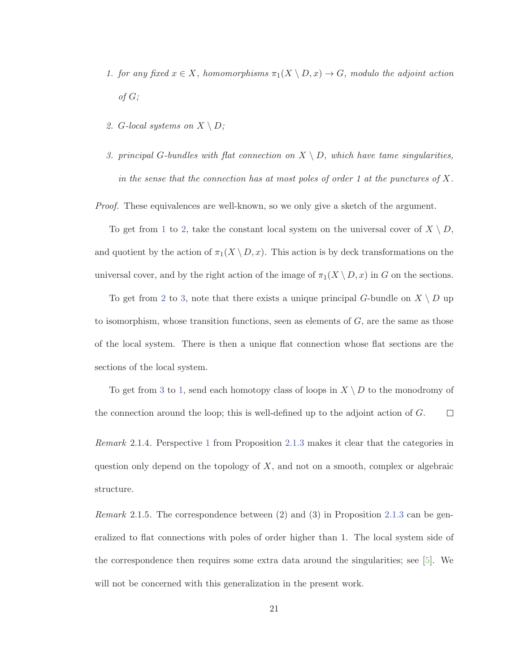- 1. for any fixed  $x \in X$ , homomorphisms  $\pi_1(X \setminus D, x) \to G$ , modulo the adjoint action  $of G;$
- 2. G-local systems on  $X \setminus D$ ;
- 3. principal G-bundles with flat connection on  $X \setminus D$ , which have tame singularities, in the sense that the connection has at most poles of order 1 at the punctures of  $X$ .

Proof. These equivalences are well-known, so we only give a sketch of the argument.

To get from 1 to 2, take the constant local system on the universal cover of  $X \setminus D$ , and quotient by the action of  $\pi_1(X \setminus D, x)$ . This action is by deck transformations on the universal cover, and by the right action of the image of  $\pi_1(X \setminus D, x)$  in G on the sections.

To get from 2 to 3, note that there exists a unique principal G-bundle on  $X \setminus D$  up to isomorphism, whose transition functions, seen as elements of  $G$ , are the same as those of the local system. There is then a unique flat connection whose flat sections are the sections of the local system.

To get from 3 to 1, send each homotopy class of loops in  $X \setminus D$  to the monodromy of the connection around the loop; this is well-defined up to the adjoint action of G.  $\Box$ 

Remark 2.1.4. Perspective 1 from Proposition 2.1.3 makes it clear that the categories in question only depend on the topology of  $X$ , and not on a smooth, complex or algebraic structure.

*Remark* 2.1.5. The correspondence between (2) and (3) in Proposition 2.1.3 can be generalized to flat connections with poles of order higher than 1. The local system side of the correspondence then requires some extra data around the singularities; see [5]. We will not be concerned with this generalization in the present work.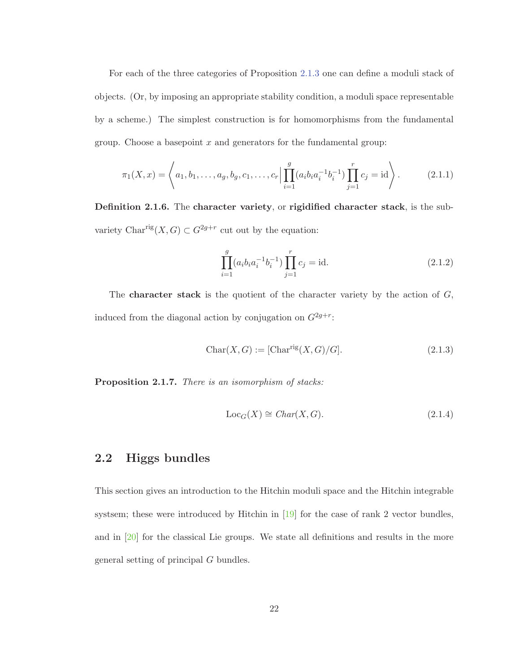For each of the three categories of Proposition 2.1.3 one can define a moduli stack of objects. (Or, by imposing an appropriate stability condition, a moduli space representable by a scheme.) The simplest construction is for homomorphisms from the fundamental group. Choose a basepoint  $x$  and generators for the fundamental group:

$$
\pi_1(X, x) = \left\langle a_1, b_1, \dots, a_g, b_g, c_1, \dots, c_r \middle| \prod_{i=1}^g (a_i b_i a_i^{-1} b_i^{-1}) \prod_{j=1}^r c_j = \text{id} \right\rangle. \tag{2.1.1}
$$

**Definition 2.1.6.** The **character variety**, or **rigidified character stack**, is the subvariety Char<sup>rig</sup> $(X, G) \subset G^{2g+r}$  cut out by the equation:

$$
\prod_{i=1}^{g} (a_i b_i a_i^{-1} b_i^{-1}) \prod_{j=1}^{r} c_j = \text{id}.
$$
\n(2.1.2)

The **character stack** is the quotient of the character variety by the action of  $G$ , induced from the diagonal action by conjugation on  $G^{2g+r}$ :

$$
Char(X, G) := [Charrig(X, G)/G].
$$
\n(2.1.3)

**Proposition 2.1.7.** There is an isomorphism of stacks:

$$
LocG(X) \cong Char(X, G).
$$
\n(2.1.4)

### **2.2 Higgs bundles**

This section gives an introduction to the Hitchin moduli space and the Hitchin integrable systsem; these were introduced by Hitchin in  $[19]$  for the case of rank 2 vector bundles, and in [20] for the classical Lie groups. We state all definitions and results in the more general setting of principal G bundles.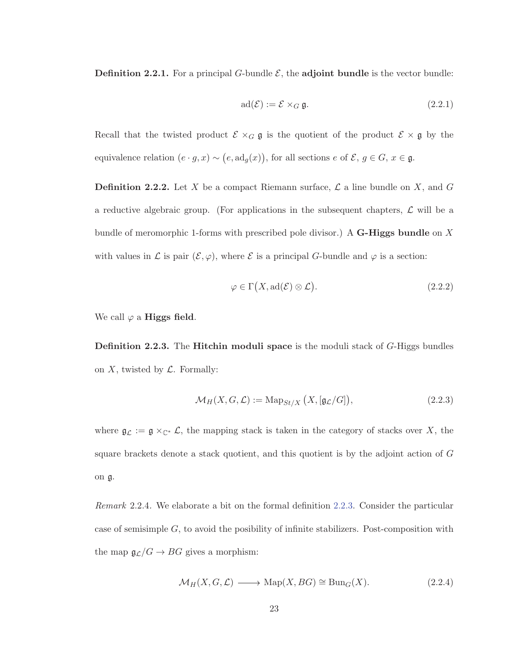**Definition 2.2.1.** For a principal G-bundle  $\mathcal{E}$ , the **adjoint bundle** is the vector bundle:

$$
ad(\mathcal{E}) := \mathcal{E} \times_G \mathfrak{g}.
$$
 (2.2.1)

Recall that the twisted product  $\mathcal{E} \times_G \mathfrak{g}$  is the quotient of the product  $\mathcal{E} \times \mathfrak{g}$  by the equivalence relation  $(e \cdot g, x) \sim (e, \text{ad}_g(x))$ , for all sections  $e$  of  $\mathcal{E}, g \in G$ ,  $x \in \mathfrak{g}$ .

**Definition 2.2.2.** Let X be a compact Riemann surface,  $\mathcal{L}$  a line bundle on X, and G a reductive algebraic group. (For applications in the subsequent chapters,  $\mathcal L$  will be a bundle of meromorphic 1-forms with prescribed pole divisor.) A **G-Higgs bundle** on X with values in L is pair  $(\mathcal{E}, \varphi)$ , where E is a principal G-bundle and  $\varphi$  is a section:

$$
\varphi \in \Gamma\big(X, \text{ad}(\mathcal{E}) \otimes \mathcal{L}\big). \tag{2.2.2}
$$

We call  $\varphi$  a **Higgs field**.

**Definition 2.2.3.** The **Hitchin moduli space** is the moduli stack of G-Higgs bundles on  $X$ , twisted by  $\mathcal L$ . Formally:

$$
\mathcal{M}_H(X, G, \mathcal{L}) := \text{Map}_{St/X}\left(X, [\mathfrak{g}_{\mathcal{L}}/G]\right),\tag{2.2.3}
$$

where  $\mathfrak{g}_{\mathcal{L}} := \mathfrak{g} \times_{\mathbb{C}^*} \mathcal{L}$ , the mapping stack is taken in the category of stacks over X, the square brackets denote a stack quotient, and this quotient is by the adjoint action of G on g.

Remark 2.2.4. We elaborate a bit on the formal definition 2.2.3. Consider the particular case of semisimple G, to avoid the posibility of infinite stabilizers. Post-composition with the map  $\mathfrak{g}_{\mathcal{L}}/G \to BG$  gives a morphism:

$$
\mathcal{M}_H(X, G, \mathcal{L}) \longrightarrow \text{Map}(X, BG) \cong \text{Bun}_G(X). \tag{2.2.4}
$$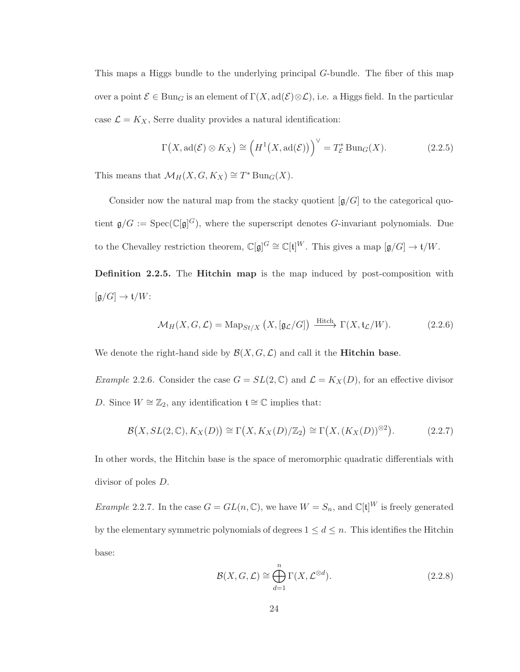This maps a Higgs bundle to the underlying principal G-bundle. The fiber of this map over a point  $\mathcal{E} \in \text{Bun}_G$  is an element of  $\Gamma(X, \text{ad}(\mathcal{E}) \otimes \mathcal{L})$ , i.e. a Higgs field. In the particular case  $\mathcal{L} = K_X$ , Serre duality provides a natural identification:

$$
\Gamma(X, \text{ad}(\mathcal{E}) \otimes K_X) \cong \left( H^1(X, \text{ad}(\mathcal{E})) \right)^{\vee} = T_{\mathcal{E}}^* \text{Bun}_G(X). \tag{2.2.5}
$$

This means that  $\mathcal{M}_H(X, G, K_X) \cong T^* \operatorname{Bun}_G(X)$ .

Consider now the natural map from the stacky quotient  $[g/G]$  to the categorical quotient  $\mathfrak{g}/G := \text{Spec}(\mathbb{C}[\mathfrak{g}]^G)$ , where the superscript denotes G-invariant polynomials. Due to the Chevalley restriction theorem,  $\mathbb{C}[\mathfrak{g}]^G \cong \mathbb{C}[\mathfrak{t}]^W$ . This gives a map  $[\mathfrak{g}/G] \to \mathfrak{t}/W$ .

**Definition 2.2.5.** The **Hitchin map** is the map induced by post-composition with  $\left[\mathfrak{g}/G\right]\to \mathfrak{t}/W$ :

$$
\mathcal{M}_H(X, G, \mathcal{L}) = \text{Map}_{St/X} \left( X, [\mathfrak{g}_{\mathcal{L}}/G] \right) \xrightarrow{\text{Hitch}} \Gamma(X, \mathfrak{t}_{\mathcal{L}}/W). \tag{2.2.6}
$$

We denote the right-hand side by  $\mathcal{B}(X, G, \mathcal{L})$  and call it the **Hitchin base**.

*Example 2.2.6.* Consider the case  $G = SL(2, \mathbb{C})$  and  $\mathcal{L} = K_X(D)$ , for an effective divisor D. Since  $W \cong \mathbb{Z}_2$ , any identification  $\mathfrak{t} \cong \mathbb{C}$  implies that:

$$
\mathcal{B}(X, SL(2,\mathbb{C}), K_X(D)) \cong \Gamma(X, K_X(D)/\mathbb{Z}_2) \cong \Gamma(X, (K_X(D))^{\otimes 2}).\tag{2.2.7}
$$

In other words, the Hitchin base is the space of meromorphic quadratic differentials with divisor of poles D.

*Example 2.2.7.* In the case  $G = GL(n, \mathbb{C})$ , we have  $W = S_n$ , and  $\mathbb{C}[\mathfrak{t}]^W$  is freely generated by the elementary symmetric polynomials of degrees  $1 \leq d \leq n$ . This identifies the Hitchin base:

$$
\mathcal{B}(X, G, \mathcal{L}) \cong \bigoplus_{d=1}^{n} \Gamma(X, \mathcal{L}^{\otimes d}).
$$
\n(2.2.8)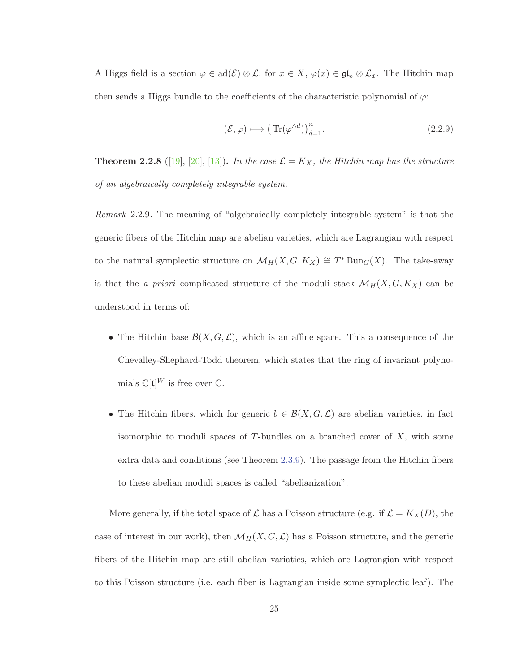A Higgs field is a section  $\varphi \in \text{ad}(\mathcal{E}) \otimes \mathcal{L}$ ; for  $x \in X$ ,  $\varphi(x) \in \mathfrak{gl}_n \otimes \mathcal{L}_x$ . The Hitchin map then sends a Higgs bundle to the coefficients of the characteristic polynomial of  $\varphi$ :

$$
(\mathcal{E}, \varphi) \longmapsto \left( \text{Tr}(\varphi^{\wedge d}) \right)_{d=1}^n. \tag{2.2.9}
$$

**Theorem 2.2.8** ([19], [20], [13]). In the case  $\mathcal{L} = K_X$ , the Hitchin map has the structure of an algebraically completely integrable system.

Remark 2.2.9. The meaning of "algebraically completely integrable system" is that the generic fibers of the Hitchin map are abelian varieties, which are Lagrangian with respect to the natural symplectic structure on  $\mathcal{M}_H(X, G, K_X) \cong T^* \text{Bun}_G(X)$ . The take-away is that the *a priori* complicated structure of the moduli stack  $\mathcal{M}_H(X, G, K_X)$  can be understood in terms of:

- The Hitchin base  $\mathcal{B}(X, G, \mathcal{L})$ , which is an affine space. This a consequence of the Chevalley-Shephard-Todd theorem, which states that the ring of invariant polynomials  $\mathbb{C}[\mathfrak{t}]^W$  is free over  $\mathbb{C}$ .
- The Hitchin fibers, which for generic  $b \in \mathcal{B}(X, G, \mathcal{L})$  are abelian varieties, in fact isomorphic to moduli spaces of  $T$ -bundles on a branched cover of  $X$ , with some extra data and conditions (see Theorem 2.3.9). The passage from the Hitchin fibers to these abelian moduli spaces is called "abelianization".

More generally, if the total space of  $\mathcal L$  has a Poisson structure (e.g. if  $\mathcal L = K_X(D)$ , the case of interest in our work), then  $\mathcal{M}_H(X, G, \mathcal{L})$  has a Poisson structure, and the generic fibers of the Hitchin map are still abelian variaties, which are Lagrangian with respect to this Poisson structure (i.e. each fiber is Lagrangian inside some symplectic leaf). The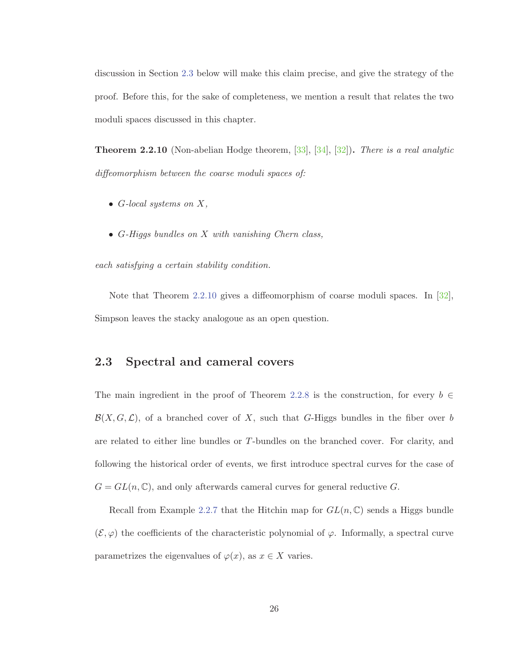discussion in Section 2.3 below will make this claim precise, and give the strategy of the proof. Before this, for the sake of completeness, we mention a result that relates the two moduli spaces discussed in this chapter.

**Theorem 2.2.10** (Non-abelian Hodge theorem, [33], [34], [32])**.** There is a real analytic diffeomorphism between the coarse moduli spaces of:

- G-local systems on  $X$ ,
- G-Higgs bundles on X with vanishing Chern class,

each satisfying a certain stability condition.

Note that Theorem 2.2.10 gives a diffeomorphism of coarse moduli spaces. In [32], Simpson leaves the stacky analogoue as an open question.

### **2.3 Spectral and cameral covers**

The main ingredient in the proof of Theorem 2.2.8 is the construction, for every  $b \in$  $\mathcal{B}(X, G, \mathcal{L})$ , of a branched cover of X, such that G-Higgs bundles in the fiber over b are related to either line bundles or T-bundles on the branched cover. For clarity, and following the historical order of events, we first introduce spectral curves for the case of  $G = GL(n, \mathbb{C})$ , and only afterwards cameral curves for general reductive G.

Recall from Example 2.2.7 that the Hitchin map for  $GL(n,\mathbb{C})$  sends a Higgs bundle  $(\mathcal{E}, \varphi)$  the coefficients of the characteristic polynomial of  $\varphi$ . Informally, a spectral curve parametrizes the eigenvalues of  $\varphi(x)$ , as  $x \in X$  varies.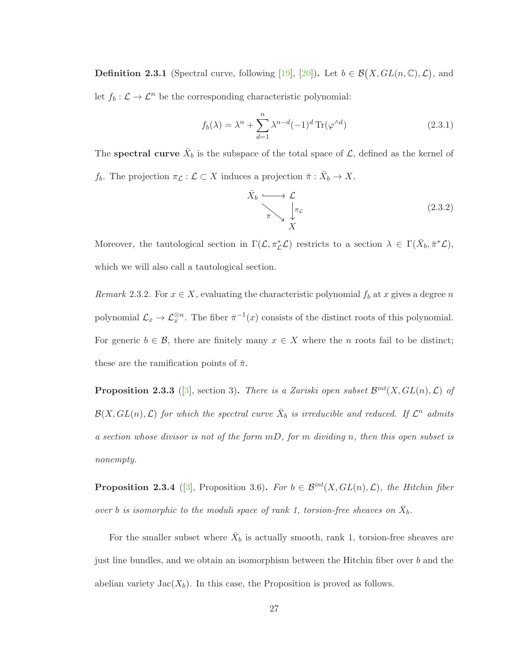**Definition 2.3.1** (Spectral curve, following [19], [20]). Let  $b \in \mathcal{B}(X, GL(n, \mathbb{C}), \mathcal{L})$ , and let  $f_b : \mathcal{L} \to \mathcal{L}^n$  be the corresponding characteristic polynomial:

$$
f_b(\lambda) = \lambda^n + \sum_{d=1}^n \lambda^{n-d} (-1)^d \operatorname{Tr}(\varphi^{\wedge d})
$$
 (2.3.1)

The **spectral curve**  $\bar{X}_b$  is the subspace of the total space of  $\mathcal{L}$ , defined as the kernel of f<sub>b</sub>. The projection  $\pi_{\mathcal{L}} : \mathcal{L} \subset X$  induces a projection  $\bar{\pi} : X_b \to X$ .

$$
\bar{X}_b \xrightarrow{\longrightarrow} \mathcal{L} \qquad \qquad (\text{2.3.2})
$$
\n
$$
\bar{\pi} \searrow \frac{1}{X}
$$

Moreover, the tautological section in  $\Gamma(\mathcal{L}, \pi_{\mathcal{L}}^*\mathcal{L})$  restricts to a section  $\lambda \in \Gamma(\bar{X}_b, \bar{\pi}^*\mathcal{L}),$ which we will also call a tautological section.

Remark 2.3.2. For  $x \in X$ , evaluating the characteristic polynomial  $f_b$  at x gives a degree n polynomial  $\mathcal{L}_x \to \mathcal{L}_x^{\otimes n}$ . The fiber  $\bar{\pi}^{-1}(x)$  consists of the distinct roots of this polynomial. For generic  $b \in \mathcal{B}$ , there are finitely many  $x \in X$  where the *n* roots fail to be distinct; these are the ramification points of  $\bar{\pi}$ .

**Proposition 2.3.3** ([3], section 3). There is a Zariski open subset  $\mathcal{B}^{int}(X, GL(n), \mathcal{L})$  of  $\mathcal{B}(X, GL(n), \mathcal{L})$  for which the spectral curve  $\bar{X}_b$  is irreducible and reduced. If  $\mathcal{L}^n$  admits a section whose divisor is not of the form  $mD$ , for m dividing n, then this open subset is nonempty.

**Proposition 2.3.4** ([3], Proposition 3.6)**.** For  $b \in \mathcal{B}^{int}(X, GL(n), \mathcal{L})$ , the Hitchin fiber over b is isomorphic to the moduli space of rank 1, torsion-free sheaves on  $\bar{X}_b$ .

For the smaller subset where  $\bar{X}_b$  is actually smooth, rank 1, torsion-free sheaves are just line bundles, and we obtain an isomorphism between the Hitchin fiber over b and the abelian variety  $Jac(X_b)$ . In this case, the Proposition is proved as follows.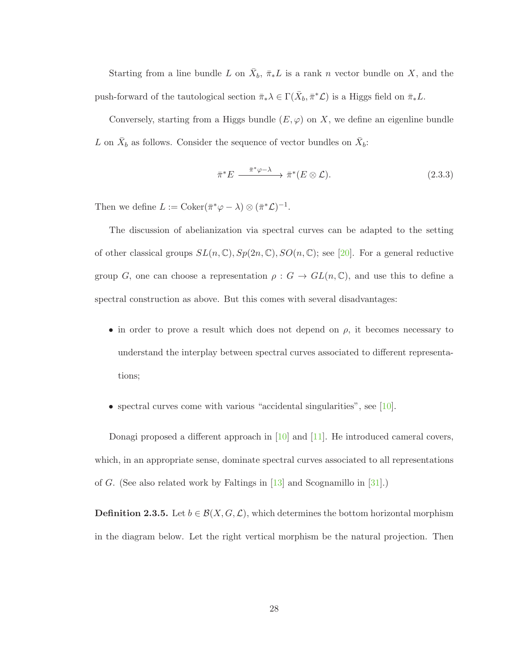Starting from a line bundle L on  $\bar{X}_b$ ,  $\bar{\pi}_*L$  is a rank n vector bundle on X, and the push-forward of the tautological section  $\bar{\pi}_*\lambda \in \Gamma(\bar{X}_b, \bar{\pi}^*\mathcal{L})$  is a Higgs field on  $\bar{\pi}_*L$ .

Conversely, starting from a Higgs bundle  $(E, \varphi)$  on X, we define an eigenline bundle L on  $\bar{X}_b$  as follows. Consider the sequence of vector bundles on  $\bar{X}_b$ :

$$
\bar{\pi}^* E \xrightarrow{\bar{\pi}^* \varphi - \lambda} \bar{\pi}^*(E \otimes \mathcal{L}). \tag{2.3.3}
$$

Then we define  $L := \text{Coker}(\bar{\pi}^*\varphi - \lambda) \otimes (\bar{\pi}^*\mathcal{L})^{-1}.$ 

The discussion of abelianization via spectral curves can be adapted to the setting of other classical groups  $SL(n, \mathbb{C}), Sp(2n, \mathbb{C}), SO(n, \mathbb{C})$ ; see [20]. For a general reductive group G, one can choose a representation  $\rho: G \to GL(n, \mathbb{C})$ , and use this to define a spectral construction as above. But this comes with several disadvantages:

- in order to prove a result which does not depend on  $\rho$ , it becomes necessary to understand the interplay between spectral curves associated to different representations;
- spectral curves come with various "accidental singularities", see [10].

Donagi proposed a different approach in [10] and [11]. He introduced cameral covers, which, in an appropriate sense, dominate spectral curves associated to all representations of G. (See also related work by Faltings in [13] and Scognamillo in [31].)

**Definition 2.3.5.** Let  $b \in \mathcal{B}(X, G, \mathcal{L})$ , which determines the bottom horizontal morphism in the diagram below. Let the right vertical morphism be the natural projection. Then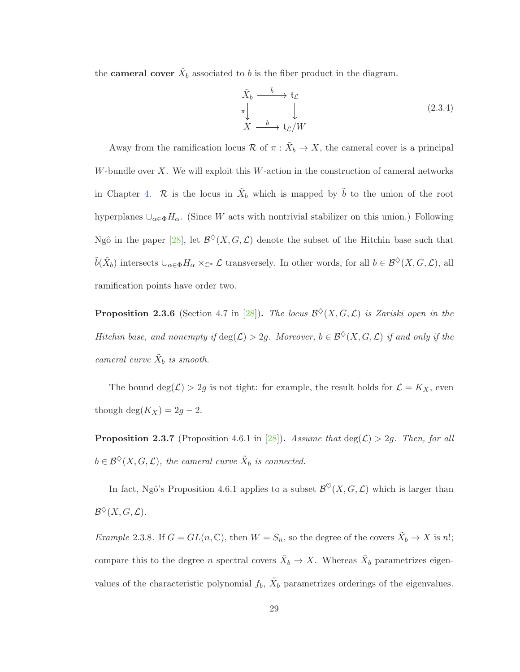the **cameral cover**  $\tilde{X}_b$  associated to b is the fiber product in the diagram.

$$
\tilde{X}_b \xrightarrow{\tilde{b}} t_{\mathcal{L}}
$$
\n
$$
\uparrow \qquad \qquad \downarrow
$$
\n
$$
X \xrightarrow{b} t_{\mathcal{L}} / W
$$
\n(2.3.4)

Away from the ramification locus  $\mathcal{R}$  of  $\pi : \tilde{X}_b \to X$ , the cameral cover is a principal W-bundle over  $X$ . We will exploit this W-action in the construction of cameral networks in Chapter 4. R is the locus in  $\tilde{X}_b$  which is mapped by  $\tilde{b}$  to the union of the root hyperplanes  $\cup_{\alpha\in\Phi}H_{\alpha}$ . (Since W acts with nontrivial stabilizer on this union.) Following Ngô in the paper [28], let  $\mathcal{B}^{\diamond}(X, G, \mathcal{L})$  denote the subset of the Hitchin base such that  $\tilde{b}(\tilde{X}_b)$  intersects  $\cup_{\alpha\in\Phi}H_\alpha\times_{\mathbb C^*}\mathcal L$  transversely. In other words, for all  $b\in\mathcal B^\diamondsuit(X,G,\mathcal L)$ , all ramification points have order two.

**Proposition 2.3.6** (Section 4.7 in [28]). The locus  $\mathcal{B}^{\diamond}(X, G, \mathcal{L})$  is Zariski open in the Hitchin base, and nonempty if  $deg(\mathcal{L}) > 2g$ . Moreover,  $b \in \mathcal{B}^{\diamond}(X, G, \mathcal{L})$  if and only if the cameral curve  $\tilde{X}_b$  is smooth.

The bound  $\deg(\mathcal{L}) > 2g$  is not tight: for example, the result holds for  $\mathcal{L} = K_X$ , even though  $\deg(K_X)=2g-2$ .

**Proposition 2.3.7** (Proposition 4.6.1 in [28]). Assume that  $\deg(\mathcal{L}) > 2g$ . Then, for all  $b \in \mathcal{B}^{\diamond}(X, G, \mathcal{L})$ , the cameral curve  $\tilde{X}_b$  is connected.

In fact, Ngô's Proposition 4.6.1 applies to a subset  $\mathcal{B}^{\heartsuit}(X, G, \mathcal{L})$  which is larger than  $\mathcal{B}^{\diamondsuit}(X,G,\mathcal{L}).$ 

Example 2.3.8. If  $G = GL(n, \mathbb{C})$ , then  $W = S_n$ , so the degree of the covers  $\tilde{X}_b \to X$  is n!; compare this to the degree n spectral covers  $\bar{X}_b \to X$ . Whereas  $\bar{X}_b$  parametrizes eigenvalues of the characteristic polynomial  $f_b$ ,  $\tilde{X}_b$  parametrizes orderings of the eigenvalues.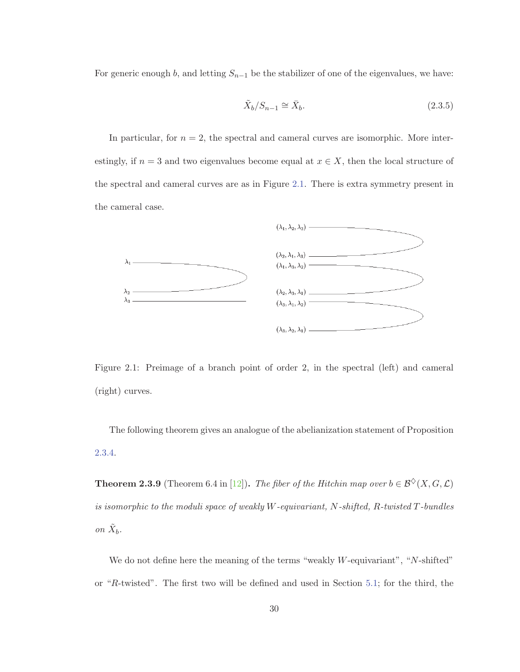For generic enough b, and letting  $S_{n-1}$  be the stabilizer of one of the eigenvalues, we have:

$$
\tilde{X}_b/S_{n-1} \cong \bar{X}_b. \tag{2.3.5}
$$

In particular, for  $n = 2$ , the spectral and cameral curves are isomorphic. More interestingly, if  $n = 3$  and two eigenvalues become equal at  $x \in X$ , then the local structure of the spectral and cameral curves are as in Figure 2.1. There is extra symmetry present in the cameral case.



Figure 2.1: Preimage of a branch point of order 2, in the spectral (left) and cameral (right) curves.

The following theorem gives an analogue of the abelianization statement of Proposition 2.3.4.

**Theorem 2.3.9** (Theorem 6.4 in [12]). The fiber of the Hitchin map over  $b \in \mathcal{B}^{\diamond}(X, G, \mathcal{L})$ is isomorphic to the moduli space of weakly W-equivariant, N-shifted, R-twisted T-bundles on  $\tilde{X}_b$ .

We do not define here the meaning of the terms "weakly  $W$ -equivariant", "N-shifted" or "R-twisted". The first two will be defined and used in Section 5.1; for the third, the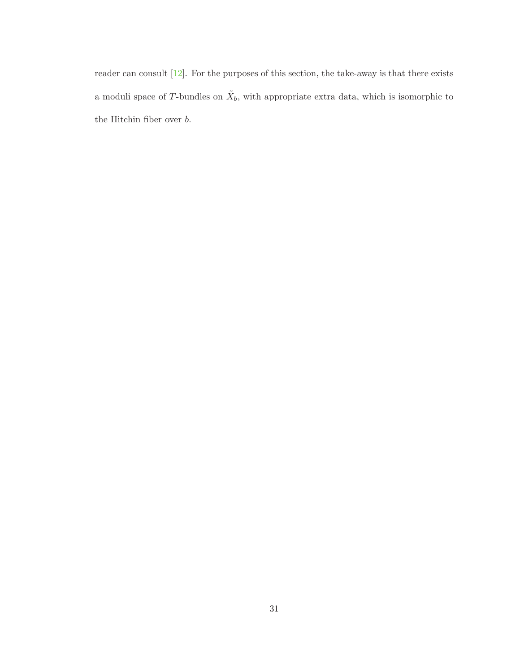reader can consult [12]. For the purposes of this section, the take-away is that there exists a moduli space of T-bundles on  $\tilde{X}_b$ , with appropriate extra data, which is isomorphic to the Hitchin fiber over  $b.$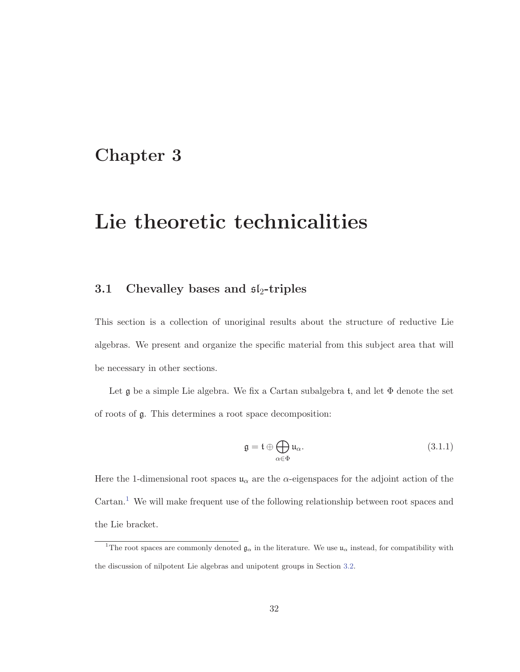## **Chapter 3**

# **Lie theoretic technicalities**

### **3.1** Chevalley bases and  $\mathfrak{sl}_2$ -triples

This section is a collection of unoriginal results about the structure of reductive Lie algebras. We present and organize the specific material from this subject area that will be necessary in other sections.

Let  $\mathfrak g$  be a simple Lie algebra. We fix a Cartan subalgebra t, and let  $\Phi$  denote the set of roots of g. This determines a root space decomposition:

$$
\mathfrak{g} = \mathfrak{t} \oplus \bigoplus_{\alpha \in \Phi} \mathfrak{u}_{\alpha}.\tag{3.1.1}
$$

Here the 1-dimensional root spaces  $\mathfrak{u}_{\alpha}$  are the  $\alpha$ -eigenspaces for the adjoint action of the  $Cartan.<sup>1</sup>$  We will make frequent use of the following relationship between root spaces and the Lie bracket.

<sup>&</sup>lt;sup>1</sup>The root spaces are commonly denoted  $\mathfrak{g}_{\alpha}$  in the literature. We use  $\mathfrak{u}_{\alpha}$  instead, for compatibility with the discussion of nilpotent Lie algebras and unipotent groups in Section 3.2.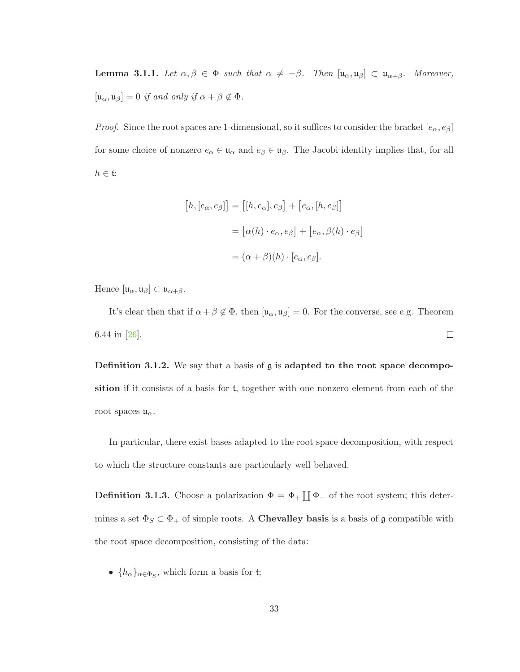**Lemma 3.1.1.** Let  $\alpha, \beta \in \Phi$  such that  $\alpha \neq -\beta$ . Then  $[\mathfrak{u}_{\alpha}, \mathfrak{u}_{\beta}] \subset \mathfrak{u}_{\alpha+\beta}$ . Moreover,  $[\mathfrak{u}_{\alpha}, \mathfrak{u}_{\beta}]=0$  if and only if  $\alpha + \beta \notin \Phi$ .

*Proof.* Since the root spaces are 1-dimensional, so it suffices to consider the bracket  $[e_{\alpha}, e_{\beta}]$ for some choice of nonzero  $e_{\alpha} \in \mathfrak{u}_{\alpha}$  and  $e_{\beta} \in \mathfrak{u}_{\beta}$ . The Jacobi identity implies that, for all  $h \in \mathfrak{t}:$ 

$$
[h, [e_{\alpha}, e_{\beta}]] = [[h, e_{\alpha}], e_{\beta}] + [e_{\alpha}, [h, e_{\beta}]]
$$

$$
= [\alpha(h) \cdot e_{\alpha}, e_{\beta}] + [e_{\alpha}, \beta(h) \cdot e_{\beta}]
$$

$$
= (\alpha + \beta)(h) \cdot [e_{\alpha}, e_{\beta}].
$$

Hence  $[\mathfrak{u}_\alpha,\mathfrak{u}_\beta]\subset\mathfrak{u}_{\alpha+\beta}.$ 

It's clear then that if  $\alpha + \beta \notin \Phi$ , then  $[\mathfrak{u}_{\alpha}, \mathfrak{u}_{\beta}] = 0$ . For the converse, see e.g. Theorem 6.44 in [26].  $\Box$ 

**Definition 3.1.2.** We say that a basis of **g** is **adapted to the root space decomposition** if it consists of a basis for t, together with one nonzero element from each of the root spaces  $\mathfrak{u}_{\alpha}$ .

In particular, there exist bases adapted to the root space decomposition, with respect to which the structure constants are particularly well behaved.

**Definition 3.1.3.** Choose a polarization  $\Phi = \Phi_+ \coprod \Phi_-$  of the root system; this determines a set  $\Phi_S \subset \Phi_+$  of simple roots. A **Chevalley basis** is a basis of  $\mathfrak{g}$  compatible with the root space decomposition, consisting of the data:

•  $\{h_{\alpha}\}_{{\alpha \in \Phi_S}}$ , which form a basis for t;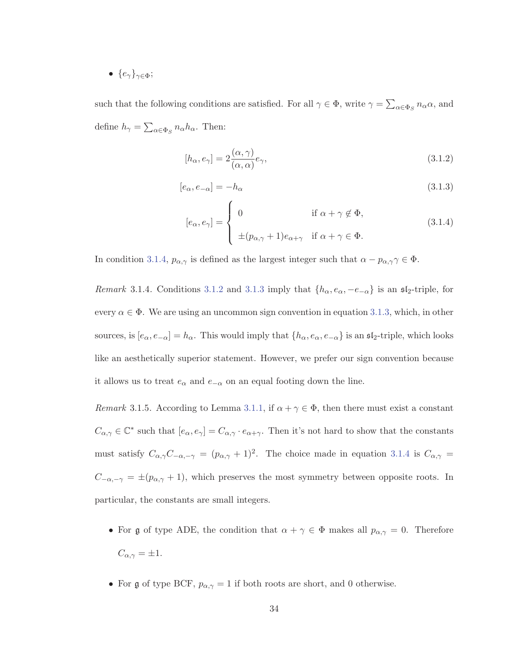•  $\{e_{\gamma}\}_{{\gamma\in\Phi}};$ 

such that the following conditions are satisfied. For all  $\gamma \in \Phi$ , write  $\gamma = \sum_{\alpha \in \Phi_S} n_{\alpha} \alpha$ , and define  $h_{\gamma} = \sum_{\alpha \in \Phi_S} n_{\alpha} h_{\alpha}$ . Then:

$$
[h_{\alpha}, e_{\gamma}] = 2 \frac{(\alpha, \gamma)}{(\alpha, \alpha)} e_{\gamma}, \tag{3.1.2}
$$

$$
[e_{\alpha}, e_{-\alpha}] = -h_{\alpha} \tag{3.1.3}
$$

$$
[e_{\alpha}, e_{\gamma}] = \begin{cases} 0 & \text{if } \alpha + \gamma \notin \Phi, \\ \pm (p_{\alpha, \gamma} + 1)e_{\alpha + \gamma} & \text{if } \alpha + \gamma \in \Phi. \end{cases}
$$
(3.1.4)

In condition 3.1.4,  $p_{\alpha,\gamma}$  is defined as the largest integer such that  $\alpha - p_{\alpha,\gamma} \gamma \in \Phi$ .

Remark 3.1.4. Conditions 3.1.2 and 3.1.3 imply that  $\{h_{\alpha}, e_{\alpha}, -e_{-\alpha}\}\$  is an  $\mathfrak{sl}_2$ -triple, for every  $\alpha \in \Phi$ . We are using an uncommon sign convention in equation 3.1.3, which, in other sources, is  $[e_{\alpha}, e_{-\alpha}] = h_{\alpha}$ . This would imply that  $\{h_{\alpha}, e_{\alpha}, e_{-\alpha}\}$  is an  $\mathfrak{sl}_2$ -triple, which looks like an aesthetically superior statement. However, we prefer our sign convention because it allows us to treat  $e_{\alpha}$  and  $e_{-\alpha}$  on an equal footing down the line.

Remark 3.1.5. According to Lemma 3.1.1, if  $\alpha + \gamma \in \Phi$ , then there must exist a constant  $C_{\alpha,\gamma} \in \mathbb{C}^*$  such that  $[e_\alpha, e_\gamma] = C_{\alpha,\gamma} \cdot e_{\alpha+\gamma}$ . Then it's not hard to show that the constants must satisfy  $C_{\alpha,\gamma}C_{-\alpha,-\gamma} = (p_{\alpha,\gamma} + 1)^2$ . The choice made in equation 3.1.4 is  $C_{\alpha,\gamma}$  =  $C_{-\alpha,-\gamma} = \pm (p_{\alpha,\gamma} + 1)$ , which preserves the most symmetry between opposite roots. In particular, the constants are small integers.

- For g of type ADE, the condition that  $\alpha + \gamma \in \Phi$  makes all  $p_{\alpha,\gamma} = 0$ . Therefore  $C_{\alpha,\gamma} = \pm 1.$
- For  $\mathfrak g$  of type BCF,  $p_{\alpha,\gamma} = 1$  if both roots are short, and 0 otherwise.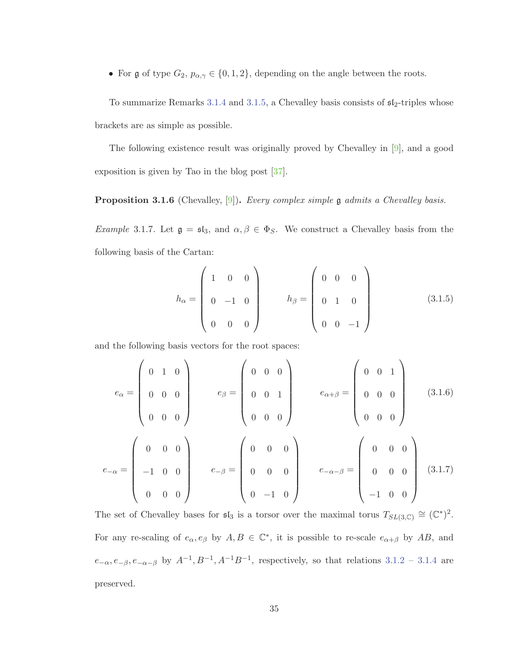• For g of type  $G_2$ ,  $p_{\alpha,\gamma} \in \{0,1,2\}$ , depending on the angle between the roots.

To summarize Remarks 3.1.4 and 3.1.5, a Chevalley basis consists of  $\mathfrak{sl}_2$ -triples whose brackets are as simple as possible.

The following existence result was originally proved by Chevalley in [9], and a good exposition is given by Tao in the blog post [37].

**Proposition 3.1.6** (Chevalley, [9]). Every complex simple g admits a Chevalley basis.

Example 3.1.7. Let  $\mathfrak{g} = \mathfrak{sl}_3$ , and  $\alpha, \beta \in \Phi_S$ . We construct a Chevalley basis from the following basis of the Cartan:

$$
h_{\alpha} = \begin{pmatrix} 1 & 0 & 0 \\ 0 & -1 & 0 \\ 0 & 0 & 0 \end{pmatrix} \qquad h_{\beta} = \begin{pmatrix} 0 & 0 & 0 \\ 0 & 1 & 0 \\ 0 & 0 & -1 \end{pmatrix}
$$
 (3.1.5)

and the following basis vectors for the root spaces:

$$
e_{\alpha} = \begin{pmatrix} 0 & 1 & 0 \\ 0 & 0 & 0 \\ 0 & 0 & 0 \end{pmatrix} \qquad e_{\beta} = \begin{pmatrix} 0 & 0 & 0 \\ 0 & 0 & 1 \\ 0 & 0 & 0 \end{pmatrix} \qquad e_{\alpha+\beta} = \begin{pmatrix} 0 & 0 & 1 \\ 0 & 0 & 0 \\ 0 & 0 & 0 \end{pmatrix} \qquad (3.1.6)
$$

$$
e_{-\alpha} = \begin{pmatrix} 0 & 0 & 0 \\ -1 & 0 & 0 \\ 0 & 0 & 0 \end{pmatrix} \qquad e_{-\beta} = \begin{pmatrix} 0 & 0 & 0 \\ 0 & 0 & 0 \\ 0 & -1 & 0 \end{pmatrix} \qquad e_{-\alpha-\beta} = \begin{pmatrix} 0 & 0 & 0 \\ 0 & 0 & 0 \\ -1 & 0 & 0 \end{pmatrix} \qquad (3.1.7)
$$

The set of Chevalley bases for  $\mathfrak{sl}_3$  is a torsor over the maximal torus  $T_{SL(3,\mathbb{C})} \cong (\mathbb{C}^*)^2$ . For any re-scaling of  $e_{\alpha}, e_{\beta}$  by  $A, B \in \mathbb{C}^*$ , it is possible to re-scale  $e_{\alpha+\beta}$  by  $AB$ , and  $e_{-\alpha}, e_{-\beta}, e_{-\alpha-\beta}$  by  $A^{-1}, B^{-1}, A^{-1}B^{-1}$ , respectively, so that relations 3.1.2 – 3.1.4 are preserved.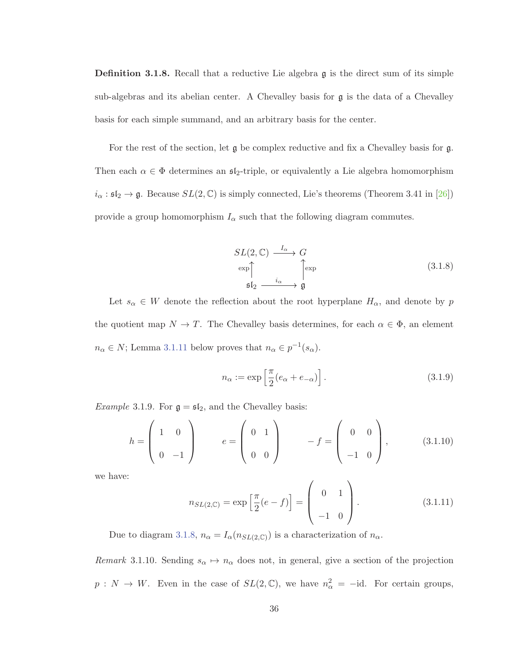**Definition 3.1.8.** Recall that a reductive Lie algebra g is the direct sum of its simple sub-algebras and its abelian center. A Chevalley basis for  $g$  is the data of a Chevalley basis for each simple summand, and an arbitrary basis for the center.

For the rest of the section, let  $\mathfrak g$  be complex reductive and fix a Chevalley basis for  $\mathfrak g$ . Then each  $\alpha \in \Phi$  determines an  $\mathfrak{sl}_2$ -triple, or equivalently a Lie algebra homomorphism  $i_{\alpha}: \mathfrak{sl}_2 \to \mathfrak{g}$ . Because  $SL(2,\mathbb{C})$  is simply connected, Lie's theorems (Theorem 3.41 in [26]) provide a group homomorphism  $I_{\alpha}$  such that the following diagram commutes.

$$
SL(2, \mathbb{C}) \xrightarrow{I_{\alpha}} G
$$
  
\n
$$
\exp \uparrow \qquad \qquad \downarrow \qquad \qquad \downarrow \qquad \qquad \downarrow \qquad \downarrow \qquad \qquad \downarrow \qquad \downarrow \qquad \downarrow \qquad \downarrow \qquad \downarrow \qquad \downarrow \qquad \downarrow \qquad \downarrow \qquad \downarrow \qquad \downarrow \qquad \downarrow \qquad \downarrow \qquad \downarrow \qquad \downarrow \qquad \downarrow \qquad \downarrow \qquad \downarrow \qquad \downarrow \qquad \downarrow \qquad \downarrow \qquad \downarrow \qquad \downarrow \qquad \downarrow \qquad \downarrow \qquad \downarrow \qquad \downarrow \qquad \downarrow \qquad \downarrow \qquad \downarrow \qquad \downarrow \qquad \downarrow \qquad \downarrow \qquad \downarrow \qquad \downarrow \qquad \downarrow \qquad \downarrow \qquad \downarrow \qquad \downarrow \qquad \downarrow \qquad \downarrow \qquad \downarrow \qquad \downarrow \qquad \downarrow \qquad \downarrow \qquad \downarrow \qquad \downarrow \qquad \downarrow \qquad \downarrow \qquad \downarrow \qquad \downarrow \qquad \downarrow \qquad \downarrow \qquad \downarrow \qquad \downarrow \qquad \downarrow \qquad \downarrow \qquad \downarrow \qquad \downarrow \qquad \downarrow \qquad \downarrow \qquad \downarrow \qquad \downarrow \qquad \downarrow \qquad \downarrow \qquad \downarrow \qquad \downarrow \qquad \downarrow \qquad \downarrow \qquad \downarrow \qquad \downarrow \qquad \downarrow \qquad \downarrow \qquad \downarrow \qquad \downarrow \qquad \downarrow \qquad \downarrow \qquad \downarrow \qquad \downarrow \qquad \downarrow \qquad \downarrow \qquad \downarrow \qquad \downarrow \qquad \downarrow \qquad \downarrow \qquad \downarrow \qquad \downarrow \qquad \downarrow \qquad \downarrow \qquad \downarrow \qquad \downarrow \qquad \downarrow \qquad \downarrow \qquad \downarrow \qquad \downarrow \qquad \downarrow \qquad \downarrow \qquad \downarrow \qquad \downarrow \qquad \downarrow \qquad \downarrow \qquad \downarrow \qquad \downarrow \qquad \downarrow \qquad \downarrow \qquad \downarrow \qquad \downarrow \qquad \downarrow \qquad \downarrow \qquad \downarrow \qquad \downarrow \qquad \downarrow \qquad \downarrow \qquad \downarrow \qquad \downarrow \qquad
$$

Let  $s_{\alpha} \in W$  denote the reflection about the root hyperplane  $H_{\alpha}$ , and denote by p the quotient map  $N \to T$ . The Chevalley basis determines, for each  $\alpha \in \Phi$ , an element  $n_{\alpha} \in N$ ; Lemma 3.1.11 below proves that  $n_{\alpha} \in p^{-1}(s_{\alpha})$ .

$$
n_{\alpha} := \exp\left[\frac{\pi}{2}(e_{\alpha} + e_{-\alpha})\right].
$$
\n(3.1.9)

*Example* 3.1.9. For  $\mathfrak{g} = \mathfrak{sl}_2$ , and the Chevalley basis:

$$
h = \begin{pmatrix} 1 & 0 \\ 0 & -1 \end{pmatrix} \qquad e = \begin{pmatrix} 0 & 1 \\ 0 & 0 \end{pmatrix} \qquad -f = \begin{pmatrix} 0 & 0 \\ -1 & 0 \end{pmatrix}, \qquad (3.1.10)
$$

we have:

$$
n_{SL(2,\mathbb{C})} = \exp\left[\frac{\pi}{2}(e-f)\right] = \begin{pmatrix} 0 & 1 \\ -1 & 0 \end{pmatrix}.
$$
 (3.1.11)

Due to diagram 3.1.8,  $n_{\alpha} = I_{\alpha}(n_{SL(2,\mathbb{C})})$  is a characterization of  $n_{\alpha}$ .

Remark 3.1.10. Sending  $s_{\alpha} \mapsto n_{\alpha}$  does not, in general, give a section of the projection  $p: N \to W$ . Even in the case of  $SL(2,\mathbb{C})$ , we have  $n_{\alpha}^2 = -id$ . For certain groups,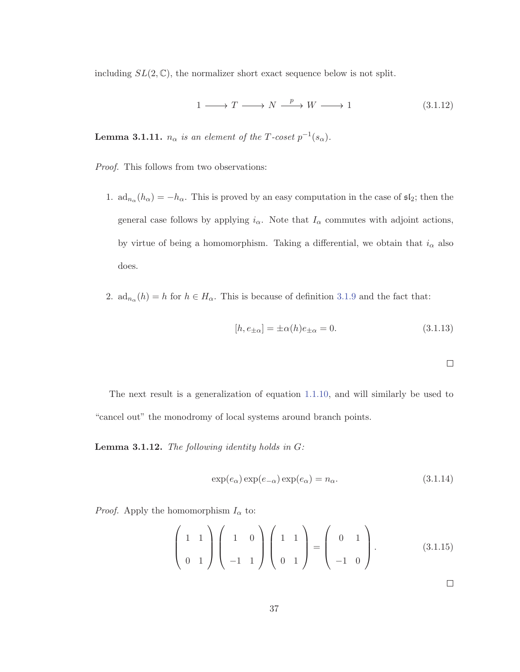including  $SL(2,\mathbb{C})$ , the normalizer short exact sequence below is not split.

$$
1 \longrightarrow T \longrightarrow N \xrightarrow{p} W \longrightarrow 1 \tag{3.1.12}
$$

**Lemma 3.1.11.**  $n_{\alpha}$  is an element of the T-coset  $p^{-1}(s_{\alpha})$ .

Proof. This follows from two observations:

- 1.  $ad_{n_{\alpha}}(h_{\alpha}) = -h_{\alpha}$ . This is proved by an easy computation in the case of  $\mathfrak{sl}_2$ ; then the general case follows by applying  $i_{\alpha}$ . Note that  $I_{\alpha}$  commutes with adjoint actions, by virtue of being a homomorphism. Taking a differential, we obtain that  $i_{\alpha}$  also does.
- 2.  $ad_{n_{\alpha}}(h) = h$  for  $h \in H_{\alpha}$ . This is because of definition 3.1.9 and the fact that:

$$
[h, e_{\pm\alpha}] = \pm \alpha(h)e_{\pm\alpha} = 0.
$$
\n(3.1.13)

$$
\overline{a}
$$

The next result is a generalization of equation 1.1.10, and will similarly be used to "cancel out" the monodromy of local systems around branch points.

**Lemma 3.1.12.** The following identity holds in G:

$$
\exp(e_{\alpha}) \exp(e_{-\alpha}) \exp(e_{\alpha}) = n_{\alpha}.
$$
\n(3.1.14)

*Proof.* Apply the homomorphism  $I_{\alpha}$  to:

$$
\left(\begin{array}{cc} 1 & 1 \\ 0 & 1 \end{array}\right) \left(\begin{array}{cc} 1 & 0 \\ -1 & 1 \end{array}\right) \left(\begin{array}{cc} 1 & 1 \\ 0 & 1 \end{array}\right) = \left(\begin{array}{cc} 0 & 1 \\ -1 & 0 \end{array}\right). \tag{3.1.15}
$$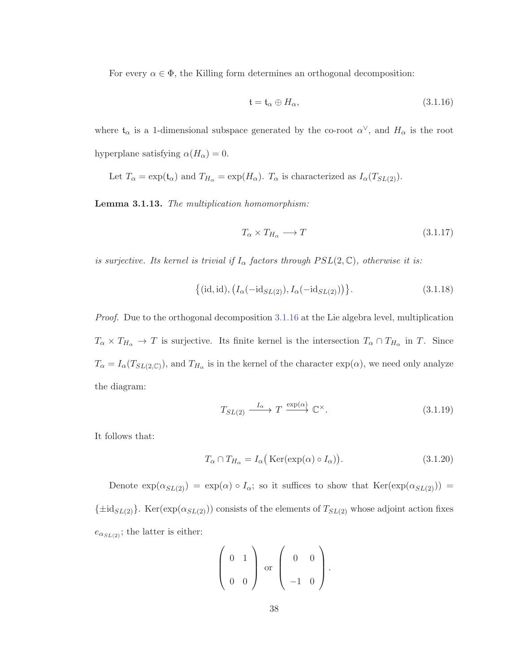For every  $\alpha \in \Phi$ , the Killing form determines an orthogonal decomposition:

$$
\mathfrak{t} = \mathfrak{t}_{\alpha} \oplus H_{\alpha},\tag{3.1.16}
$$

where  $\mathfrak{t}_{\alpha}$  is a 1-dimensional subspace generated by the co-root  $\alpha^{\vee}$ , and  $H_{\alpha}$  is the root hyperplane satisfying  $\alpha(H_{\alpha}) = 0$ .

Let  $T_{\alpha} = \exp(t_{\alpha})$  and  $T_{H_{\alpha}} = \exp(H_{\alpha})$ .  $T_{\alpha}$  is characterized as  $I_{\alpha}(T_{SL(2)})$ .

**Lemma 3.1.13.** The multiplication homomorphism:

$$
T_{\alpha} \times T_{H_{\alpha}} \longrightarrow T \tag{3.1.17}
$$

is surjective. Its kernel is trivial if  $I_{\alpha}$  factors through  $PSL(2, \mathbb{C})$ , otherwise it is:

$$
\{(id, id), (I_{\alpha}(-id_{SL(2)}), I_{\alpha}(-id_{SL(2)}))\}.
$$
\n(3.1.18)

Proof. Due to the orthogonal decomposition 3.1.16 at the Lie algebra level, multiplication  $T_{\alpha} \times T_{H_{\alpha}} \to T$  is surjective. Its finite kernel is the intersection  $T_{\alpha} \cap T_{H_{\alpha}}$  in T. Since  $T_{\alpha} = I_{\alpha}(T_{SL(2,\mathbb{C})})$ , and  $T_{H_{\alpha}}$  is in the kernel of the character  $\exp(\alpha)$ , we need only analyze the diagram:

$$
T_{SL(2)} \xrightarrow{I_{\alpha}} T \xrightarrow{\exp(\alpha)} \mathbb{C}^{\times}.
$$
\n(3.1.19)

It follows that:

$$
T_{\alpha} \cap T_{H_{\alpha}} = I_{\alpha} \big( \text{Ker}(\exp(\alpha) \circ I_{\alpha}) \big). \tag{3.1.20}
$$

Denote  $\exp(\alpha_{SL(2)}) = \exp(\alpha) \circ I_\alpha$ ; so it suffices to show that  $\text{Ker}(\exp(\alpha_{SL(2)})) =$  ${\{\pm \text{id}_{SL(2)}\}}$ . Ker(exp( $\alpha_{SL(2)}$ )) consists of the elements of  $T_{SL(2)}$  whose adjoint action fixes  $e_{\alpha_{SL(2)}}$ ; the latter is either:

$$
\left(\begin{array}{cc}0&1\\0&0\end{array}\right)
$$
 or 
$$
\left(\begin{array}{cc}0&0\\-1&0\end{array}\right).
$$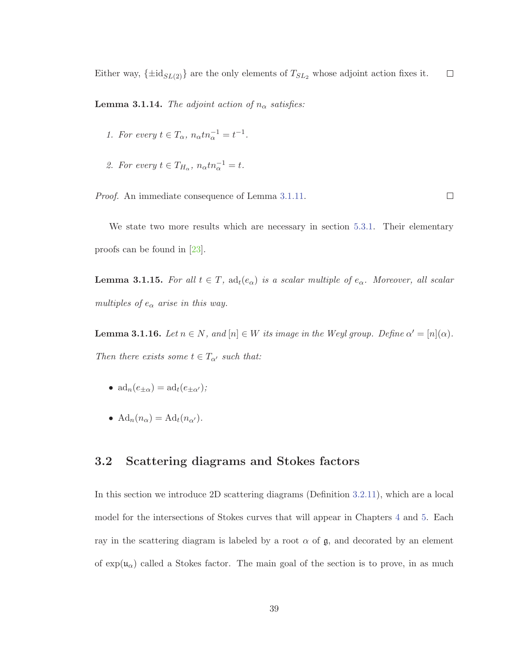Either way,  $\{\pm id_{SL(2)}\}$  are the only elements of  $T_{SL_2}$  whose adjoint action fixes it.  $\Box$ 

**Lemma 3.1.14.** The adjoint action of  $n_{\alpha}$  satisfies:

- 1. For every  $t \in T_\alpha$ ,  $n_\alpha t n_\alpha^{-1} = t^{-1}$ .
- 2. For every  $t \in T_{H_\alpha}$ ,  $n_\alpha t n_\alpha^{-1} = t$ .

Proof. An immediate consequence of Lemma 3.1.11.

 $\Box$ 

We state two more results which are necessary in section 5.3.1. Their elementary proofs can be found in [23].

**Lemma 3.1.15.** For all  $t \in T$ ,  $ad_t(e_\alpha)$  is a scalar multiple of  $e_\alpha$ . Moreover, all scalar multiples of  $e_{\alpha}$  arise in this way.

**Lemma 3.1.16.** Let  $n \in N$ , and  $[n] \in W$  its image in the Weyl group. Define  $\alpha' = [n](\alpha)$ . Then there exists some  $t \in T_{\alpha'}$  such that:

- $\mathrm{ad}_n(e_{+\alpha}) = \mathrm{ad}_t(e_{+\alpha'})$ ;
- $\operatorname{Ad}_n(n_\alpha) = \operatorname{Ad}_t(n_{\alpha'})$ .

#### **3.2 Scattering diagrams and Stokes factors**

In this section we introduce 2D scattering diagrams (Definition 3.2.11), which are a local model for the intersections of Stokes curves that will appear in Chapters 4 and 5. Each ray in the scattering diagram is labeled by a root  $\alpha$  of  $\mathfrak{g}$ , and decorated by an element of  $\exp(\mathfrak{u}_{\alpha})$  called a Stokes factor. The main goal of the section is to prove, in as much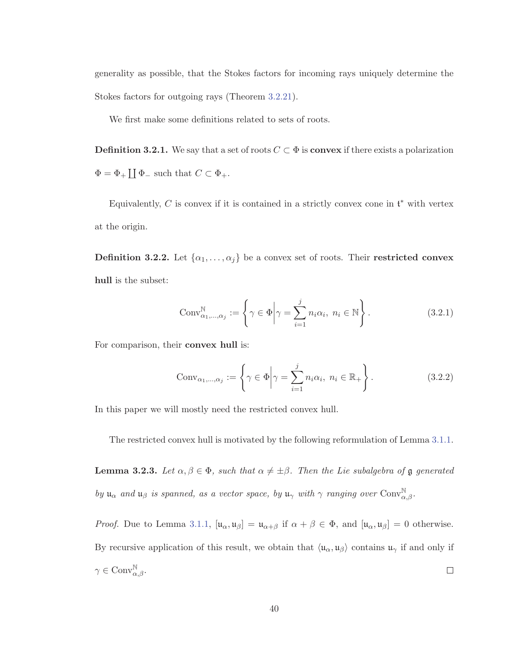generality as possible, that the Stokes factors for incoming rays uniquely determine the Stokes factors for outgoing rays (Theorem 3.2.21).

We first make some definitions related to sets of roots.

**Definition 3.2.1.** We say that a set of roots  $C \subset \Phi$  is **convex** if there exists a polarization  $\Phi = \Phi_+ \coprod \Phi_-$  such that  $C \subset \Phi_+$ .

Equivalently, C is convex if it is contained in a strictly convex cone in  $\mathfrak{t}^*$  with vertex at the origin.

**Definition 3.2.2.** Let  $\{\alpha_1, \ldots, \alpha_j\}$  be a convex set of roots. Their **restricted convex hull** is the subset:

$$
Conv_{\alpha_1,\dots,\alpha_j}^{\mathbb{N}} := \left\{ \gamma \in \Phi \middle| \gamma = \sum_{i=1}^{j} n_i \alpha_i, \ n_i \in \mathbb{N} \right\}.
$$
 (3.2.1)

For comparison, their **convex hull** is:

$$
Conv_{\alpha_1,\dots,\alpha_j} := \left\{ \gamma \in \Phi \middle| \gamma = \sum_{i=1}^j n_i \alpha_i, \ n_i \in \mathbb{R}_+ \right\}.
$$
 (3.2.2)

In this paper we will mostly need the restricted convex hull.

The restricted convex hull is motivated by the following reformulation of Lemma 3.1.1.

**Lemma 3.2.3.** Let  $\alpha, \beta \in \Phi$ , such that  $\alpha \neq \pm \beta$ . Then the Lie subalgebra of g generated by  $\mathfrak{u}_{\alpha}$  and  $\mathfrak{u}_{\beta}$  is spanned, as a vector space, by  $\mathfrak{u}_{\gamma}$  with  $\gamma$  ranging over Conv $_{\alpha,\beta}^{\mathbb{N}}$ .

*Proof.* Due to Lemma 3.1.1,  $[\mathfrak{u}_{\alpha}, \mathfrak{u}_{\beta}] = \mathfrak{u}_{\alpha+\beta}$  if  $\alpha + \beta \in \Phi$ , and  $[\mathfrak{u}_{\alpha}, \mathfrak{u}_{\beta}] = 0$  otherwise. By recursive application of this result, we obtain that  $\langle \mu_{\alpha}, \mu_{\beta} \rangle$  contains  $\mu_{\gamma}$  if and only if  $\gamma \in \text{Conv}^{\mathbb{N}}_{\alpha,\beta}.$  $\Box$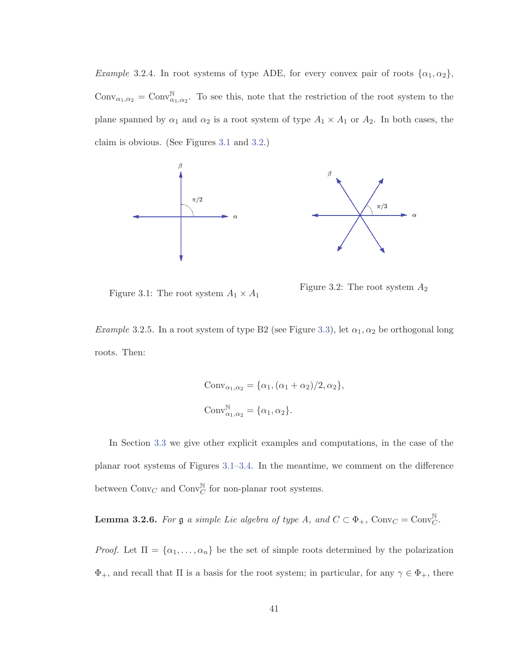*Example* 3.2.4. In root systems of type ADE, for every convex pair of roots  $\{\alpha_1, \alpha_2\}$ , Conv<sub> $\alpha_1,\alpha_2$ </sub> = Conv<sub> $\alpha_1,\alpha_2$ </sub>. To see this, note that the restriction of the root system to the plane spanned by  $\alpha_1$  and  $\alpha_2$  is a root system of type  $A_1 \times A_1$  or  $A_2$ . In both cases, the claim is obvious. (See Figures 3.1 and 3.2.)



Figure 3.1: The root system  $A_1\times A_1$ 

Figure 3.2: The root system  $\mathcal{A}_2$ 

Example 3.2.5. In a root system of type B2 (see Figure 3.3), let  $\alpha_1, \alpha_2$  be orthogonal long roots. Then:

$$
Conv_{\alpha_1, \alpha_2} = {\alpha_1, (\alpha_1 + \alpha_2)/2, \alpha_2},
$$
  
\n
$$
Conv_{\alpha_1, \alpha_2}^{\mathbb{N}} = {\alpha_1, \alpha_2}.
$$

In Section 3.3 we give other explicit examples and computations, in the case of the planar root systems of Figures 3.1–3.4. In the meantime, we comment on the difference between  $Conv_C$  and  $Conv_C^{\mathbb{N}}$  for non-planar root systems.

**Lemma 3.2.6.** For  $\mathfrak{g}$  a simple Lie algebra of type A, and  $C \subset \Phi_+$ , Conv $_C = \text{Conv}_C^{\mathbb{N}}$ .

*Proof.* Let  $\Pi = {\alpha_1, ..., \alpha_n}$  be the set of simple roots determined by the polarization  $\Phi_+$ , and recall that  $\Pi$  is a basis for the root system; in particular, for any  $\gamma \in \Phi_+$ , there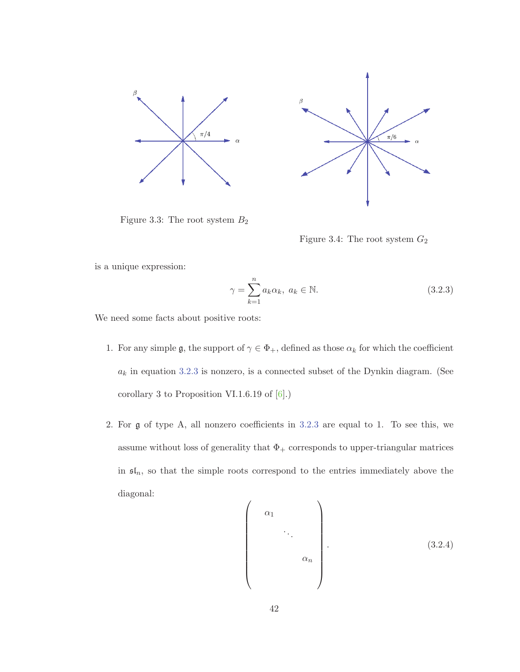



Figure 3.3: The root system  $B_2$ 

Figure 3.4: The root system  $G_2$ 

is a unique expression:

$$
\gamma = \sum_{k=1}^{n} a_k \alpha_k, \ a_k \in \mathbb{N}.
$$
\n(3.2.3)

We need some facts about positive roots:

- 1. For any simple g, the support of  $\gamma \in \Phi_+$ , defined as those  $\alpha_k$  for which the coefficient  $a_k$  in equation  $3.2.3$  is nonzero, is a connected subset of the Dynkin diagram. (See corollary 3 to Proposition VI.1.6.19 of [6].)
- 2. For g of type A, all nonzero coefficients in 3.2.3 are equal to 1. To see this, we assume without loss of generality that  $\Phi_+$  corresponds to upper-triangular matrices in  $\mathfrak{sl}_n$ , so that the simple roots correspond to the entries immediately above the diagonal:

$$
\begin{pmatrix}\n\alpha_1 \\
\vdots \\
\alpha_n\n\end{pmatrix}
$$
\n(3.2.4)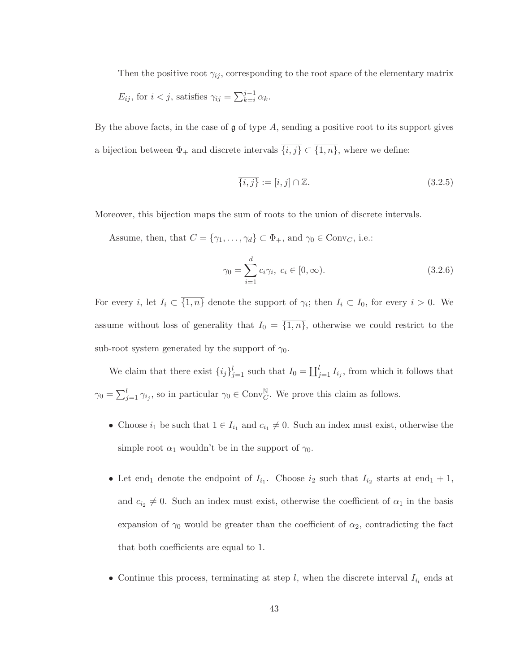Then the positive root  $\gamma_{ij}$ , corresponding to the root space of the elementary matrix

$$
E_{ij}
$$
, for  $i < j$ , satisfies  $\gamma_{ij} = \sum_{k=i}^{j-1} \alpha_k$ .

By the above facts, in the case of  $\mathfrak g$  of type A, sending a positive root to its support gives a bijection between  $\Phi_+$  and discrete intervals  $\overline{\{i,j\}} \subset \overline{\{1,n\}}$ , where we define:

$$
\overline{\{i,j\}} := [i,j] \cap \mathbb{Z}.
$$
\n(3.2.5)

Moreover, this bijection maps the sum of roots to the union of discrete intervals.

Assume, then, that  $C = {\gamma_1, ..., \gamma_d} \subset \Phi_+$ , and  $\gamma_0 \in Conv_C$ , i.e.:

$$
\gamma_0 = \sum_{i=1}^d c_i \gamma_i, \ c_i \in [0, \infty).
$$
 (3.2.6)

For every i, let  $I_i \subset \overline{\{1,n\}}$  denote the support of  $\gamma_i$ ; then  $I_i \subset I_0$ , for every  $i > 0$ . We assume without loss of generality that  $I_0 = \{1, n\}$ , otherwise we could restrict to the sub-root system generated by the support of  $\gamma_0$ .

We claim that there exist  $\{i_j\}_{j=1}^l$  such that  $I_0 = \coprod_{j=1}^l I_{i_j}$ , from which it follows that  $\gamma_0 = \sum_{j=1}^l \gamma_{i_j}$ , so in particular  $\gamma_0 \in \text{Conv}_{C}^{\mathbb{N}}$ . We prove this claim as follows.

- Choose  $i_1$  be such that  $1 \in I_{i_1}$  and  $c_{i_1} \neq 0$ . Such an index must exist, otherwise the simple root  $\alpha_1$  wouldn't be in the support of  $\gamma_0$ .
- Let end<sub>1</sub> denote the endpoint of  $I_{i_1}$ . Choose  $i_2$  such that  $I_{i_2}$  starts at end<sub>1</sub> + 1, and  $c_{i_2} \neq 0$ . Such an index must exist, otherwise the coefficient of  $\alpha_1$  in the basis expansion of  $\gamma_0$  would be greater than the coefficient of  $\alpha_2$ , contradicting the fact that both coefficients are equal to 1.
- Continue this process, terminating at step  $l$ , when the discrete interval  $I_{i_l}$  ends at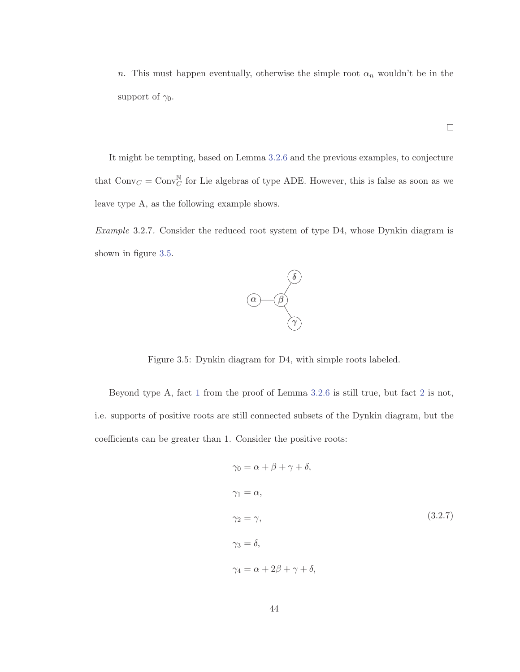n. This must happen eventually, otherwise the simple root  $\alpha_n$  wouldn't be in the support of  $\gamma_0$ .

It might be tempting, based on Lemma 3.2.6 and the previous examples, to conjecture that  $\text{Conv}_C = \text{Conv}_C^{\mathbb{N}}$  for Lie algebras of type ADE. However, this is false as soon as we leave type A, as the following example shows.

Example 3.2.7. Consider the reduced root system of type D4, whose Dynkin diagram is shown in figure 3.5.



Figure 3.5: Dynkin diagram for D4, with simple roots labeled.

Beyond type A, fact 1 from the proof of Lemma 3.2.6 is still true, but fact 2 is not, i.e. supports of positive roots are still connected subsets of the Dynkin diagram, but the coefficients can be greater than 1. Consider the positive roots:

$$
\gamma_0 = \alpha + \beta + \gamma + \delta,
$$
  
\n
$$
\gamma_1 = \alpha,
$$
  
\n
$$
\gamma_2 = \gamma,
$$
  
\n
$$
\gamma_3 = \delta,
$$
  
\n
$$
\gamma_4 = \alpha + 2\beta + \gamma + \delta,
$$
  
\n(3.2.7)

 $\Box$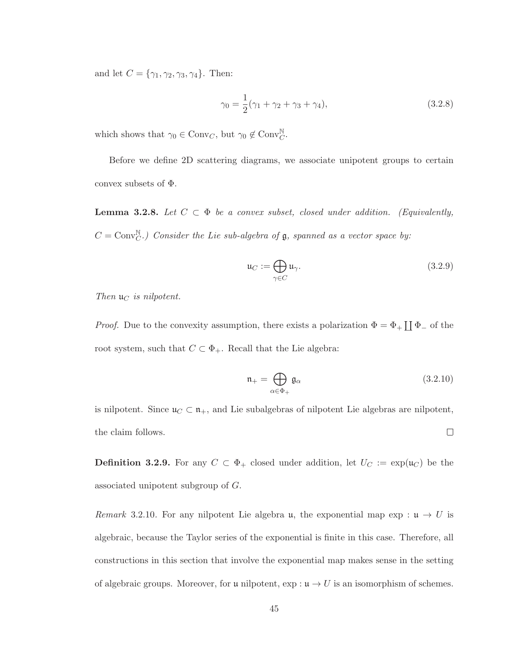and let  $C = {\gamma_1, \gamma_2, \gamma_3, \gamma_4}$ . Then:

$$
\gamma_0 = \frac{1}{2}(\gamma_1 + \gamma_2 + \gamma_3 + \gamma_4),\tag{3.2.8}
$$

which shows that  $\gamma_0 \in \text{Conv}_C$ , but  $\gamma_0 \notin \text{Conv}_C^{\mathbb{N}}$ .

Before we define 2D scattering diagrams, we associate unipotent groups to certain convex subsets of Φ.

**Lemma 3.2.8.** Let  $C \subset \Phi$  be a convex subset, closed under addition. (Equivalently,  $C = Conv_C^{\mathbb{N}}$ .) Consider the Lie sub-algebra of  $\mathfrak{g}$ , spanned as a vector space by:

$$
\mathfrak{u}_C := \bigoplus_{\gamma \in C} \mathfrak{u}_\gamma. \tag{3.2.9}
$$

Then  $\mathfrak{u}_C$  is nilpotent.

*Proof.* Due to the convexity assumption, there exists a polarization  $\Phi = \Phi_+ \coprod \Phi_-$  of the root system, such that  $C \subset \Phi_+$ . Recall that the Lie algebra:

$$
\mathfrak{n}_{+} = \bigoplus_{\alpha \in \Phi_{+}} \mathfrak{g}_{\alpha} \tag{3.2.10}
$$

is nilpotent. Since  $\mathfrak{u}_C \subset \mathfrak{n}_+$ , and Lie subalgebras of nilpotent Lie algebras are nilpotent, the claim follows.  $\Box$ 

**Definition 3.2.9.** For any  $C \subset \Phi_+$  closed under addition, let  $U_C := \exp(\mathfrak{u}_C)$  be the associated unipotent subgroup of G.

Remark 3.2.10. For any nilpotent Lie algebra u, the exponential map  $\exp: \mathfrak{u} \to U$  is algebraic, because the Taylor series of the exponential is finite in this case. Therefore, all constructions in this section that involve the exponential map makes sense in the setting of algebraic groups. Moreover, for u nilpotent,  $\exp: \mathfrak{u} \to U$  is an isomorphism of schemes.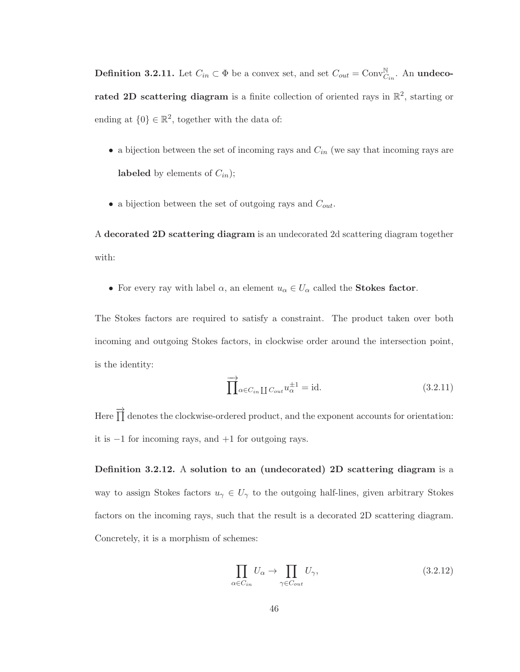**Definition 3.2.11.** Let  $C_{in} \subset \Phi$  be a convex set, and set  $C_{out} = \text{Conv}_{C_{in}}^{\mathbb{N}}$ . An **undecorated 2D scattering diagram** is a finite collection of oriented rays in  $\mathbb{R}^2$ , starting or ending at  $\{0\} \in \mathbb{R}^2$ , together with the data of:

- a bijection between the set of incoming rays and  $C_{in}$  (we say that incoming rays are **labeled** by elements of  $C_{in}$ );
- a bijection between the set of outgoing rays and  $C_{out}$ .

A **decorated 2D scattering diagram** is an undecorated 2d scattering diagram together with:

• For every ray with label  $\alpha$ , an element  $u_{\alpha} \in U_{\alpha}$  called the **Stokes factor**.

The Stokes factors are required to satisfy a constraint. The product taken over both incoming and outgoing Stokes factors, in clockwise order around the intersection point, is the identity:

$$
\overrightarrow{\prod}_{\alpha \in C_{in}} \prod_{C_{out}} u_{\alpha}^{\pm 1} = \text{id.}
$$
\n(3.2.11)

Here  $\overrightarrow{1}$  denotes the clockwise-ordered product, and the exponent accounts for orientation: it is −1 for incoming rays, and +1 for outgoing rays.

**Definition 3.2.12.** A **solution to an (undecorated) 2D scattering diagram** is a way to assign Stokes factors  $u_{\gamma} \in U_{\gamma}$  to the outgoing half-lines, given arbitrary Stokes factors on the incoming rays, such that the result is a decorated 2D scattering diagram. Concretely, it is a morphism of schemes:

$$
\prod_{\alpha \in C_{in}} U_{\alpha} \to \prod_{\gamma \in C_{out}} U_{\gamma},\tag{3.2.12}
$$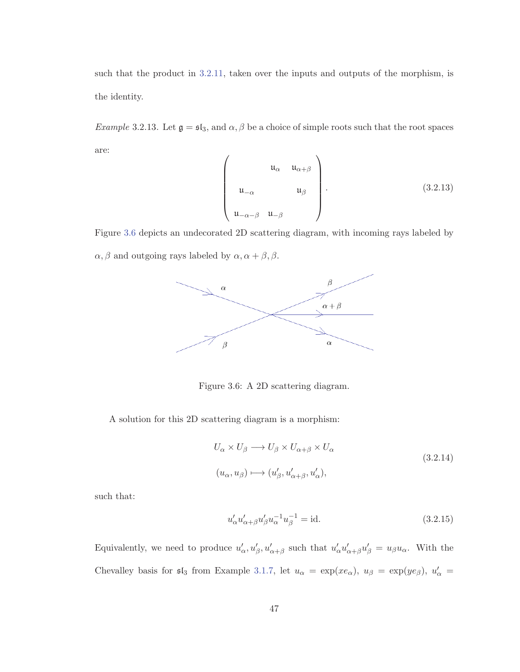such that the product in 3.2.11, taken over the inputs and outputs of the morphism, is the identity.

Example 3.2.13. Let  $\mathfrak{g} = \mathfrak{sl}_3$ , and  $\alpha, \beta$  be a choice of simple roots such that the root spaces are:

$$
\begin{pmatrix}\n u_{\alpha} & u_{\alpha+\beta} \\
 u_{-\alpha} & u_{\beta} \\
 u_{-\alpha-\beta} & u_{-\beta}\n\end{pmatrix}.
$$
\n(3.2.13)

Figure 3.6 depicts an undecorated 2D scattering diagram, with incoming rays labeled by  $\alpha, \beta$  and outgoing rays labeled by  $\alpha, \alpha+\beta, \beta.$ 



Figure 3.6: A 2D scattering diagram.

A solution for this 2D scattering diagram is a morphism:

$$
U_{\alpha} \times U_{\beta} \longrightarrow U_{\beta} \times U_{\alpha+\beta} \times U_{\alpha}
$$
  
( $u_{\alpha}, u_{\beta}$ )  $\longmapsto$  ( $u'_{\beta}, u'_{\alpha+\beta}, u'_{\alpha}$ ), (3.2.14)

such that:

$$
u'_{\alpha}u'_{\alpha+\beta}u'_{\beta}u_{\alpha}^{-1}u_{\beta}^{-1} = id.
$$
\n(3.2.15)

Equivalently, we need to produce  $u'_\alpha, u'_\beta, u'_{\alpha+\beta}$  such that  $u'_\alpha u'_{\alpha+\beta} u'_\beta = u_\beta u_\alpha$ . With the Chevalley basis for  $\mathfrak{sl}_3$  from Example 3.1.7, let  $u_\alpha = \exp(xe_\alpha)$ ,  $u_\beta = \exp(ye_\beta)$ ,  $u'_\alpha =$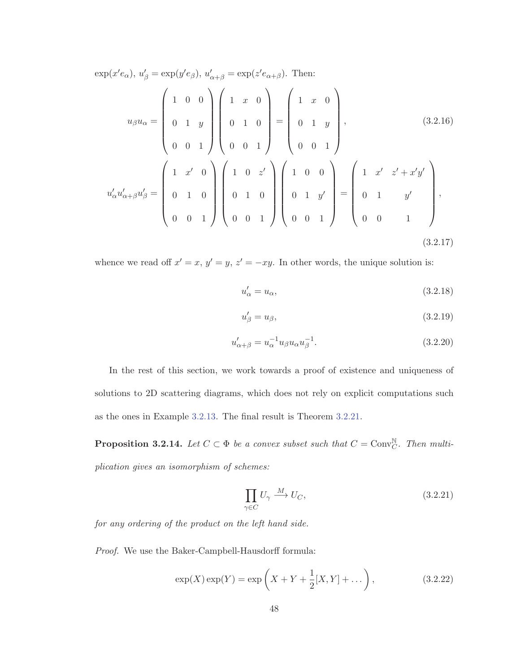$\exp(x' e_{\alpha})$ ,  $u'_{\beta} = \exp(y' e_{\beta})$ ,  $u'_{\alpha+\beta} = \exp(z' e_{\alpha+\beta})$ . Then:

$$
u_{\beta}u_{\alpha} = \begin{pmatrix} 1 & 0 & 0 \\ 0 & 1 & y \\ 0 & 0 & 1 \end{pmatrix} \begin{pmatrix} 1 & x & 0 \\ 0 & 1 & 0 \\ 0 & 0 & 1 \end{pmatrix} = \begin{pmatrix} 1 & x & 0 \\ 0 & 1 & y \\ 0 & 0 & 1 \end{pmatrix}, \qquad (3.2.16)
$$

$$
u'_{\alpha}u'_{\alpha+\beta}u'_{\beta} = \begin{pmatrix} 1 & x' & 0 \\ 0 & 1 & 0 \\ 0 & 0 & 1 \end{pmatrix} \begin{pmatrix} 1 & 0 & z' \\ 0 & 1 & 0 \\ 0 & 0 & 1 \end{pmatrix} \begin{pmatrix} 1 & 0 & 0 \\ 0 & 1 & y' \\ 0 & 0 & 1 \end{pmatrix} = \begin{pmatrix} 1 & x' & z' + x'y' \\ 0 & 1 & y' \\ 0 & 0 & 1 \end{pmatrix}, \qquad (3.2.17)
$$

whence we read off  $x' = x$ ,  $y' = y$ ,  $z' = -xy$ . In other words, the unique solution is:

$$
u'_{\alpha} = u_{\alpha},\tag{3.2.18}
$$

$$
u'_{\beta} = u_{\beta},\tag{3.2.19}
$$

$$
u'_{\alpha+\beta} = u_{\alpha}^{-1} u_{\beta} u_{\alpha} u_{\beta}^{-1}.
$$
\n(3.2.20)

In the rest of this section, we work towards a proof of existence and uniqueness of solutions to 2D scattering diagrams, which does not rely on explicit computations such as the ones in Example 3.2.13. The final result is Theorem 3.2.21.

**Proposition 3.2.14.** Let  $C \subset \Phi$  be a convex subset such that  $C = \text{Conv}_{C}^{\mathbb{N}}$ . Then multiplication gives an isomorphism of schemes:

$$
\prod_{\gamma \in C} U_{\gamma} \xrightarrow{M} U_C, \tag{3.2.21}
$$

for any ordering of the product on the left hand side.

Proof. We use the Baker-Campbell-Hausdorff formula:

$$
\exp(X)\exp(Y) = \exp\left(X + Y + \frac{1}{2}[X, Y] + \dots\right),
$$
\n(3.2.22)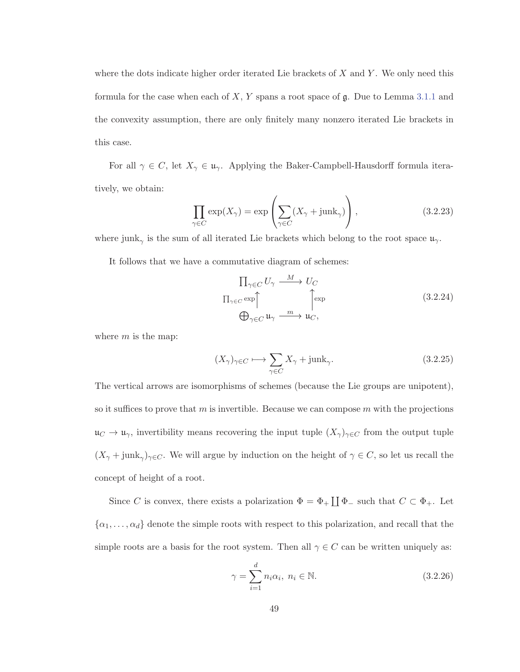where the dots indicate higher order iterated Lie brackets of  $X$  and  $Y$ . We only need this formula for the case when each of  $X, Y$  spans a root space of  $\mathfrak{g}$ . Due to Lemma 3.1.1 and the convexity assumption, there are only finitely many nonzero iterated Lie brackets in this case.

For all  $\gamma \in C$ , let  $X_{\gamma} \in \mathfrak{u}_{\gamma}$ . Applying the Baker-Campbell-Hausdorff formula iteratively, we obtain:

$$
\prod_{\gamma \in C} \exp(X_{\gamma}) = \exp\left(\sum_{\gamma \in C} (X_{\gamma} + junk_{\gamma})\right),\tag{3.2.23}
$$

where junk<sub>γ</sub> is the sum of all iterated Lie brackets which belong to the root space  $\mathfrak{u}_{\gamma}$ .

It follows that we have a commutative diagram of schemes:

$$
\Pi_{\gamma \in C} U_{\gamma} \xrightarrow{M} U_C
$$
\n
$$
\Pi_{\gamma \in C} \exp \Biggl\uparrow_{\gamma \in C} \mathfrak{u}_{\gamma} \xrightarrow{m} \mathfrak{u}_{C},
$$
\n(3.2.24)

where  $m$  is the map:

$$
(X_{\gamma})_{\gamma \in C} \longmapsto \sum_{\gamma \in C} X_{\gamma} + \text{junk}_{\gamma}.
$$
 (3.2.25)

The vertical arrows are isomorphisms of schemes (because the Lie groups are unipotent), so it suffices to prove that  $m$  is invertible. Because we can compose  $m$  with the projections  $\mathfrak{u}_C \to \mathfrak{u}_\gamma$ , invertibility means recovering the input tuple  $(X_\gamma)_{\gamma \in C}$  from the output tuple  $(X_{\gamma}+junk_{\gamma})_{\gamma\in C}$ . We will argue by induction on the height of  $\gamma\in C$ , so let us recall the concept of height of a root.

Since C is convex, there exists a polarization  $\Phi = \Phi_+ \coprod \Phi_-$  such that  $C \subset \Phi_+$ . Let  $\{\alpha_1,\ldots,\alpha_d\}$  denote the simple roots with respect to this polarization, and recall that the simple roots are a basis for the root system. Then all  $\gamma \in C$  can be written uniquely as:

$$
\gamma = \sum_{i=1}^{d} n_i \alpha_i, \ n_i \in \mathbb{N}.
$$
\n(3.2.26)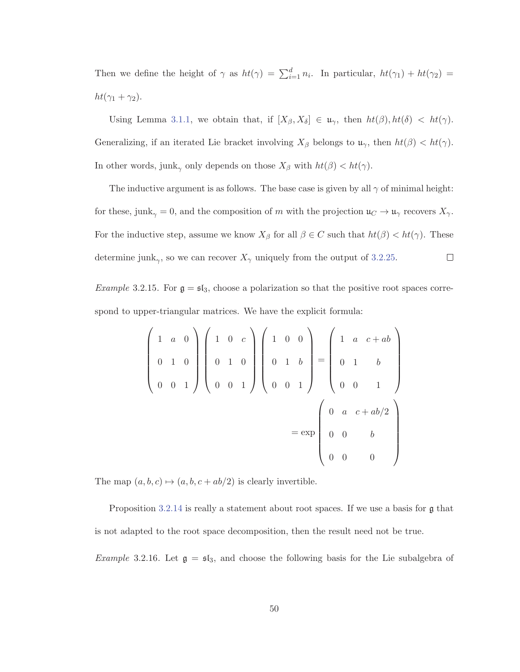Then we define the height of  $\gamma$  as  $ht(\gamma) = \sum_{i=1}^d n_i$ . In particular,  $ht(\gamma_1) + ht(\gamma_2) =$  $ht(\gamma_1 + \gamma_2).$ 

Using Lemma 3.1.1, we obtain that, if  $[X_\beta, X_\delta] \in \mathfrak{u}_\gamma$ , then  $ht(\beta)$ ,  $ht(\delta) < ht(\gamma)$ . Generalizing, if an iterated Lie bracket involving  $X_\beta$  belongs to  $\mathfrak{u}_{\gamma}$ , then  $ht(\beta) < ht(\gamma)$ . In other words, junk<sub> $\gamma$ </sub> only depends on those  $X_{\beta}$  with  $ht(\beta) < ht(\gamma)$ .

The inductive argument is as follows. The base case is given by all  $\gamma$  of minimal height: for these, junk<sub> $\gamma$ </sub> = 0, and the composition of m with the projection  $\mathfrak{u}_C \to \mathfrak{u}_\gamma$  recovers  $X_\gamma$ . For the inductive step, assume we know  $X_{\beta}$  for all  $\beta \in C$  such that  $ht(\beta) < ht(\gamma)$ . These  $\Box$ determine junk<sub>γ</sub>, so we can recover  $X_{\gamma}$  uniquely from the output of 3.2.25.

*Example* 3.2.15. For  $\mathfrak{g} = \mathfrak{sl}_3$ , choose a polarization so that the positive root spaces correspond to upper-triangular matrices. We have the explicit formula:

$$
\begin{pmatrix}\n1 & a & 0 \\
0 & 1 & 0 \\
0 & 0 & 1\n\end{pmatrix}\n\begin{pmatrix}\n1 & 0 & c \\
0 & 1 & 0 \\
0 & 0 & 1\n\end{pmatrix}\n\begin{pmatrix}\n1 & 0 & 0 \\
0 & 1 & b \\
0 & 0 & 1\n\end{pmatrix}\n=\n\begin{pmatrix}\n1 & a & c + ab \\
0 & 1 & b \\
0 & 0 & 1\n\end{pmatrix}
$$
\n
$$
= \exp \begin{pmatrix}\n0 & a & c + ab/2 \\
0 & 0 & b \\
0 & 0 & 0\n\end{pmatrix}
$$

The map  $(a, b, c) \mapsto (a, b, c + ab/2)$  is clearly invertible.

Proposition 3.2.14 is really a statement about root spaces. If we use a basis for  $\mathfrak g$  that is not adapted to the root space decomposition, then the result need not be true.

*Example* 3.2.16. Let  $\mathfrak{g} = \mathfrak{sl}_3$ , and choose the following basis for the Lie subalgebra of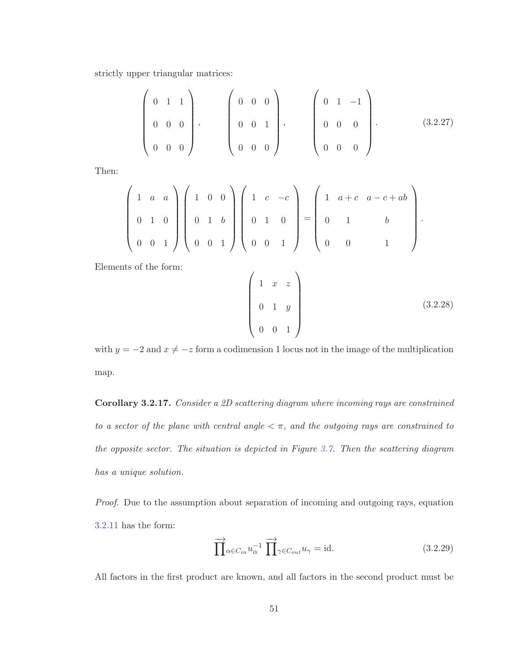strictly upper triangular matrices:

$$
\left(\begin{array}{ccc} 0 & 1 & 1 \\ 0 & 0 & 0 \\ 0 & 0 & 0 \end{array}\right), \left(\begin{array}{ccc} 0 & 0 & 0 \\ 0 & 0 & 1 \\ 0 & 0 & 0 \end{array}\right), \left(\begin{array}{ccc} 0 & 1 & -1 \\ 0 & 0 & 0 \\ 0 & 0 & 0 \end{array}\right).
$$
 (3.2.27)

Then:

$$
\begin{pmatrix} 1 & a & a \ 0 & 1 & 0 \ 0 & 0 & 1 \end{pmatrix} \begin{pmatrix} 1 & 0 & 0 \ 0 & 1 & b \ 0 & 0 & 1 \end{pmatrix} \begin{pmatrix} 1 & c & -c \ 0 & 1 & 0 \ 0 & 0 & 1 \end{pmatrix} = \begin{pmatrix} 1 & a+c & a-c+ab \ 0 & 1 & b \ 0 & 0 & 1 \end{pmatrix}.
$$

Elements of the form:

$$
\begin{pmatrix}\n1 & x & z \\
0 & 1 & y \\
0 & 0 & 1\n\end{pmatrix}
$$
\n(3.2.28)

with  $y = -2$  and  $x \neq -z$  form a codimension 1 locus not in the image of the multiplication map.

**Corollary 3.2.17.** Consider a 2D scattering diagram where incoming rays are constrained to a sector of the plane with central angle  $\lt \pi$ , and the outgoing rays are constrained to the opposite sector. The situation is depicted in Figure 3.7. Then the scattering diagram has a unique solution.

Proof. Due to the assumption about separation of incoming and outgoing rays, equation 3.2.11 has the form:

$$
\overrightarrow{\prod}_{\alpha \in C_{in}} u_{\alpha}^{-1} \overrightarrow{\prod}_{\gamma \in C_{out}} u_{\gamma} = id. \qquad (3.2.29)
$$

All factors in the first product are known, and all factors in the second product must be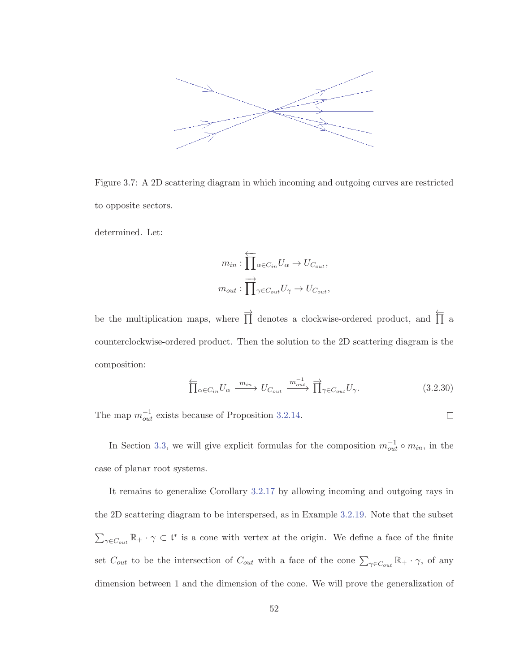

Figure 3.7: A 2D scattering diagram in which incoming and outgoing curves are restricted to opposite sectors.

determined. Let:

$$
m_{in} : \overleftarrow{\prod}_{\alpha \in C_{in}} U_{\alpha} \to U_{C_{out}},
$$

$$
m_{out} : \overrightarrow{\prod}_{\gamma \in C_{out}} U_{\gamma} \to U_{C_{out}},
$$

be the multiplication maps, where  $\overrightarrow{||}$  denotes a clockwise-ordered product, and  $\overleftarrow{||}$  a counterclockwise-ordered product. Then the solution to the 2D scattering diagram is the composition:

$$
\overleftarrow{\prod}_{\alpha \in C_{in}} U_{\alpha} \xrightarrow{m_{in}} U_{C_{out}} \xrightarrow{m_{out}^{-1}} \overrightarrow{\prod}_{\gamma \in C_{out}} U_{\gamma}.
$$
 (3.2.30)

 $\Box$ 

The map  $m_{out}^{-1}$  exists because of Proposition 3.2.14.

In Section 3.3, we will give explicit formulas for the composition  $m_{out}^{-1} \circ m_{in}$ , in the

case of planar root systems.

It remains to generalize Corollary 3.2.17 by allowing incoming and outgoing rays in the 2D scattering diagram to be interspersed, as in Example 3.2.19. Note that the subset  $\sum_{\gamma \in C_{out}} \mathbb{R}_+ \cdot \gamma \subset \mathfrak{t}^*$  is a cone with vertex at the origin. We define a face of the finite set  $C_{out}$  to be the intersection of  $C_{out}$  with a face of the cone  $\sum_{\gamma \in C_{out}} \mathbb{R}_+ \cdot \gamma$ , of any dimension between 1 and the dimension of the cone. We will prove the generalization of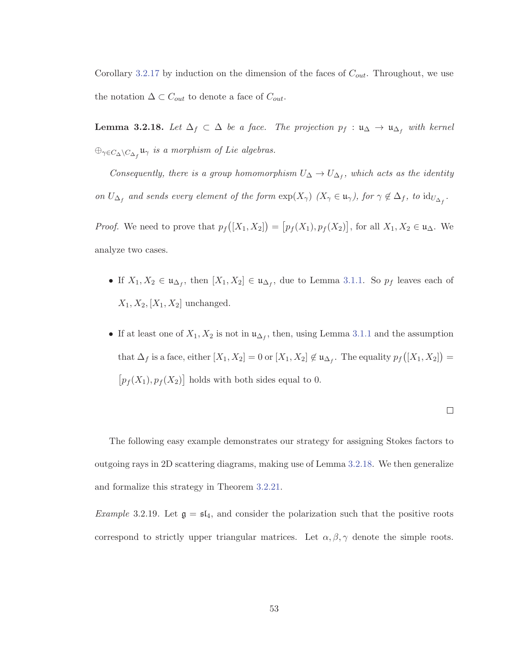Corollary 3.2.17 by induction on the dimension of the faces of  $C_{out}$ . Throughout, we use the notation  $\Delta \subset C_{out}$  to denote a face of  $C_{out}$ .

**Lemma 3.2.18.** Let  $\Delta_f \subset \Delta$  be a face. The projection  $p_f : \mathfrak{u}_{\Delta} \to \mathfrak{u}_{\Delta_f}$  with kernel  $\oplus_{\gamma \in C_{\Delta} \setminus C_{\Delta_f}} \mathfrak{u}_{\gamma}$  is a morphism of Lie algebras.

Consequently, there is a group homomorphism  $U_{\Delta} \to U_{\Delta_f}$ , which acts as the identity on  $U_{\Delta_f}$  and sends every element of the form  $\exp(X_\gamma)$   $(X_\gamma \in \mathfrak{u}_\gamma)$ , for  $\gamma \notin \Delta_f$ , to  $\mathrm{id}_{U_{\Delta_f}}$ .

*Proof.* We need to prove that  $p_f([X_1, X_2]) = [p_f(X_1), p_f(X_2)]$ , for all  $X_1, X_2 \in \mathfrak{u}_\Delta$ . We analyze two cases.

- If  $X_1, X_2 \in \mathfrak{u}_{\Delta_f}$ , then  $[X_1, X_2] \in \mathfrak{u}_{\Delta_f}$ , due to Lemma 3.1.1. So  $p_f$  leaves each of  $X_1, X_2, [X_1, X_2]$  unchanged.
- If at least one of  $X_1, X_2$  is not in  $\mathfrak{u}_{\Delta_f}$ , then, using Lemma 3.1.1 and the assumption that  $\Delta_f$  is a face, either  $[X_1, X_2] = 0$  or  $[X_1, X_2] \notin \mathfrak{u}_{\Delta_f}$ . The equality  $p_f([X_1, X_2]) =$  $[p_f(X_1), p_f(X_2)]$  holds with both sides equal to 0.

$$
\Box
$$

The following easy example demonstrates our strategy for assigning Stokes factors to outgoing rays in 2D scattering diagrams, making use of Lemma 3.2.18. We then generalize and formalize this strategy in Theorem 3.2.21.

*Example* 3.2.19. Let  $\mathfrak{g} = \mathfrak{sl}_4$ , and consider the polarization such that the positive roots correspond to strictly upper triangular matrices. Let  $\alpha, \beta, \gamma$  denote the simple roots.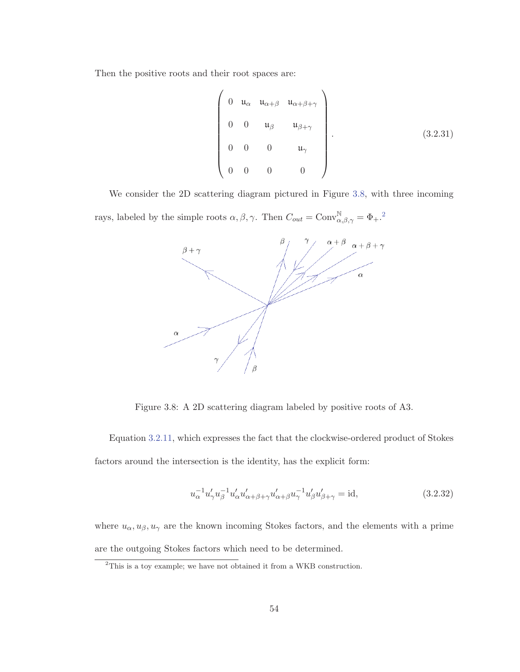Then the positive roots and their root spaces are:

$$
\begin{pmatrix}\n0 & u_{\alpha} & u_{\alpha+\beta} & u_{\alpha+\beta+\gamma} \\
0 & 0 & u_{\beta} & u_{\beta+\gamma} \\
0 & 0 & 0 & u_{\gamma} \\
0 & 0 & 0 & 0\n\end{pmatrix}.
$$
\n(3.2.31)

We consider the 2D scattering diagram pictured in Figure 3.8, with three incoming rays, labeled by the simple roots  $\alpha, \beta, \gamma$ . Then  $C_{out} = \text{Conv}^{\mathbb{N}}_{\alpha, \beta, \gamma} = \Phi_+$ .<sup>2</sup>



Figure 3.8: A 2D scattering diagram labeled by positive roots of A3.

Equation 3.2.11, which expresses the fact that the clockwise-ordered product of Stokes factors around the intersection is the identity, has the explicit form:

$$
u_{\alpha}^{-1}u'_{\gamma}u_{\beta}^{-1}u'_{\alpha}u'_{\alpha+\beta+\gamma}u'_{\alpha+\beta}u_{\gamma}^{-1}u'_{\beta}u'_{\beta+\gamma} = id,
$$
\n(3.2.32)

where  $u_{\alpha}, u_{\beta}, u_{\gamma}$  are the known incoming Stokes factors, and the elements with a prime are the outgoing Stokes factors which need to be determined.

<sup>&</sup>lt;sup>2</sup>This is a toy example; we have not obtained it from a WKB construction.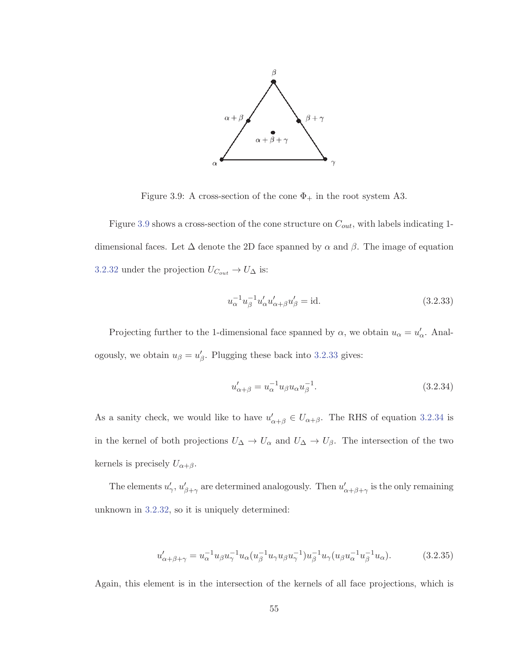

Figure 3.9: A cross-section of the cone  $\Phi_+$  in the root system A3.

Figure 3.9 shows a cross-section of the cone structure on  $C_{out}$ , with labels indicating 1dimensional faces. Let  $\Delta$  denote the 2D face spanned by  $\alpha$  and  $\beta$ . The image of equation 3.2.32 under the projection  $U_{C_{out}} \to U_{\Delta}$  is:

$$
u_{\alpha}^{-1}u_{\beta}^{-1}u'_{\alpha}u'_{\alpha+\beta}u'_{\beta} = id.
$$
\n(3.2.33)

Projecting further to the 1-dimensional face spanned by  $\alpha$ , we obtain  $u_{\alpha} = u'_{\alpha}$ . Analogously, we obtain  $u_{\beta} = u'_{\beta}$ . Plugging these back into 3.2.33 gives:

$$
u'_{\alpha+\beta} = u_{\alpha}^{-1} u_{\beta} u_{\alpha} u_{\beta}^{-1}.
$$
\n(3.2.34)

As a sanity check, we would like to have  $u'_{\alpha+\beta} \in U_{\alpha+\beta}$ . The RHS of equation 3.2.34 is in the kernel of both projections  $U_{\Delta} \to U_{\alpha}$  and  $U_{\Delta} \to U_{\beta}$ . The intersection of the two kernels is precisely  $U_{\alpha+\beta}$ .

The elements  $u'_\gamma$ ,  $u'_{\beta+\gamma}$  are determined analogously. Then  $u'_{\alpha+\beta+\gamma}$  is the only remaining unknown in 3.2.32, so it is uniquely determined:

$$
u'_{\alpha+\beta+\gamma} = u_{\alpha}^{-1} u_{\beta} u_{\gamma}^{-1} u_{\alpha} (u_{\beta}^{-1} u_{\gamma} u_{\beta} u_{\gamma}^{-1}) u_{\beta}^{-1} u_{\gamma} (u_{\beta} u_{\alpha}^{-1} u_{\beta}^{-1} u_{\alpha}).
$$
 (3.2.35)

Again, this element is in the intersection of the kernels of all face projections, which is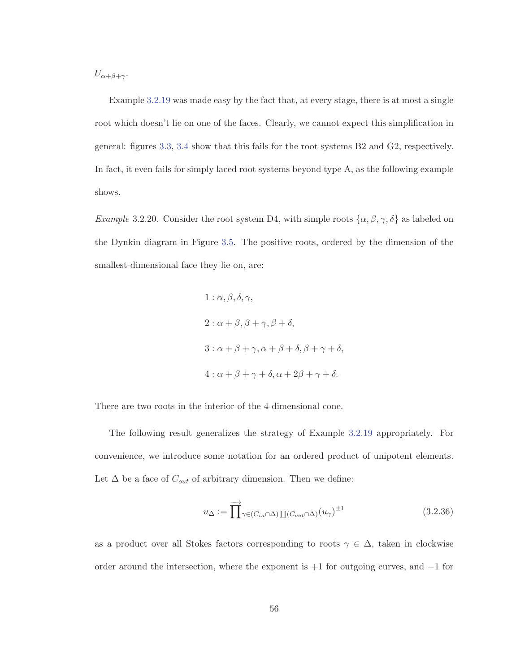$U_{\alpha+\beta+\gamma}$ .

Example 3.2.19 was made easy by the fact that, at every stage, there is at most a single root which doesn't lie on one of the faces. Clearly, we cannot expect this simplification in general: figures 3.3, 3.4 show that this fails for the root systems B2 and G2, respectively. In fact, it even fails for simply laced root systems beyond type A, as the following example shows.

Example 3.2.20. Consider the root system D4, with simple roots  $\{\alpha, \beta, \gamma, \delta\}$  as labeled on the Dynkin diagram in Figure 3.5. The positive roots, ordered by the dimension of the smallest-dimensional face they lie on, are:

1: 
$$
\alpha
$$
,  $\beta$ ,  $\delta$ ,  $\gamma$ ,  
\n2:  $\alpha + \beta$ ,  $\beta + \gamma$ ,  $\beta + \delta$ ,  
\n3:  $\alpha + \beta + \gamma$ ,  $\alpha + \beta + \delta$ ,  $\beta + \gamma + \delta$ ,  
\n4:  $\alpha + \beta + \gamma + \delta$ ,  $\alpha + 2\beta + \gamma + \delta$ .

There are two roots in the interior of the 4-dimensional cone.

The following result generalizes the strategy of Example 3.2.19 appropriately. For convenience, we introduce some notation for an ordered product of unipotent elements. Let  $\Delta$  be a face of  $C_{out}$  of arbitrary dimension. Then we define:

$$
u_{\Delta} := \prod_{\gamma \in (C_{in} \cap \Delta)} \prod_{(C_{out} \cap \Delta)} (u_{\gamma})^{\pm 1}
$$
\n(3.2.36)

as a product over all Stokes factors corresponding to roots  $\gamma \in \Delta$ , taken in clockwise order around the intersection, where the exponent is +1 for outgoing curves, and −1 for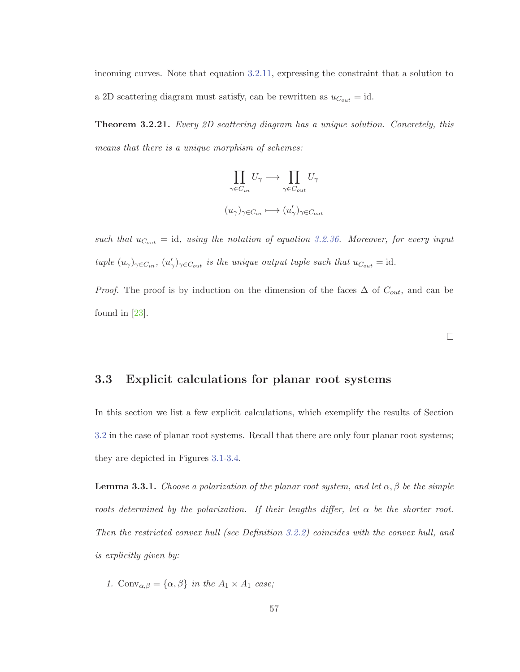incoming curves. Note that equation 3.2.11, expressing the constraint that a solution to a 2D scattering diagram must satisfy, can be rewritten as  $u_{C_{out}} = id$ .

**Theorem 3.2.21.** Every 2D scattering diagram has a unique solution. Concretely, this means that there is a unique morphism of schemes:

$$
\prod_{\gamma \in C_{in}} U_{\gamma} \longrightarrow \prod_{\gamma \in C_{out}} U_{\gamma}
$$

$$
(u_{\gamma})_{\gamma \in C_{in}} \longmapsto (u_{\gamma}')_{\gamma \in C_{out}}
$$

such that  $u_{C_{out}} = id$ , using the notation of equation 3.2.36. Moreover, for every input tuple  $(u_{\gamma})_{\gamma \in C_{in}}$ ,  $(u'_{\gamma})_{\gamma \in C_{out}}$  is the unique output tuple such that  $u_{C_{out}} = id$ .

*Proof.* The proof is by induction on the dimension of the faces  $\Delta$  of  $C_{out}$ , and can be found in [23].

#### **3.3 Explicit calculations for planar root systems**

In this section we list a few explicit calculations, which exemplify the results of Section 3.2 in the case of planar root systems. Recall that there are only four planar root systems; they are depicted in Figures 3.1-3.4.

**Lemma 3.3.1.** Choose a polarization of the planar root system, and let  $\alpha, \beta$  be the simple roots determined by the polarization. If their lengths differ, let  $\alpha$  be the shorter root. Then the restricted convex hull (see Definition 3.2.2) coincides with the convex hull, and is explicitly given by:

1. Conv<sub> $\alpha,\beta$ </sub> = { $\alpha,\beta$ } in the  $A_1 \times A_1$  case;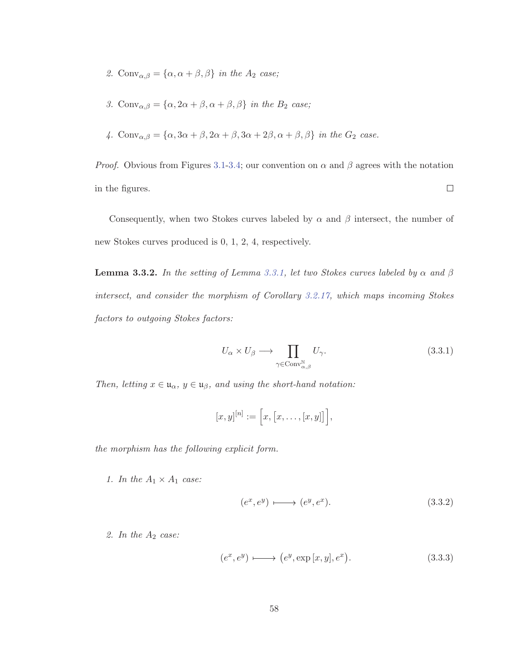- 2. Conv $\alpha, \beta = {\alpha, \alpha + \beta, \beta}$  in the  $A_2$  case;
- 3. Conv $\alpha, \beta = {\alpha, 2\alpha + \beta, \alpha + \beta, \beta}$  in the  $B_2$  case;
- 4. Conv<sub>α,β</sub> = { $\alpha$ , 3 $\alpha + \beta$ , 2 $\alpha + \beta$ , 3 $\alpha + 2\beta$ ,  $\alpha + \beta$ ,  $\beta$ } in the  $G_2$  case.

*Proof.* Obvious from Figures 3.1-3.4; our convention on  $\alpha$  and  $\beta$  agrees with the notation in the figures.  $\Box$ 

Consequently, when two Stokes curves labeled by  $\alpha$  and  $\beta$  intersect, the number of new Stokes curves produced is 0, 1, 2, 4, respectively.

**Lemma 3.3.2.** In the setting of Lemma 3.3.1, let two Stokes curves labeled by  $\alpha$  and  $\beta$ intersect, and consider the morphism of Corollary 3.2.17, which maps incoming Stokes factors to outgoing Stokes factors:

$$
U_{\alpha} \times U_{\beta} \longrightarrow \prod_{\gamma \in \text{Conv}_{\alpha,\beta}^{\mathbb{N}}} U_{\gamma}.
$$
 (3.3.1)

Then, letting  $x \in \mathfrak{u}_{\alpha}, y \in \mathfrak{u}_{\beta}$ , and using the short-hand notation:

$$
[x,y]^{[n]} := [x,[x,\ldots,[x,y]]],
$$

the morphism has the following explicit form.

1. In the  $A_1 \times A_1$  case:

$$
(e^x, e^y) \longmapsto (e^y, e^x). \tag{3.3.2}
$$

2. In the  $A_2$  case:

$$
(e^x, e^y) \longmapsto (e^y, \exp[x, y], e^x). \tag{3.3.3}
$$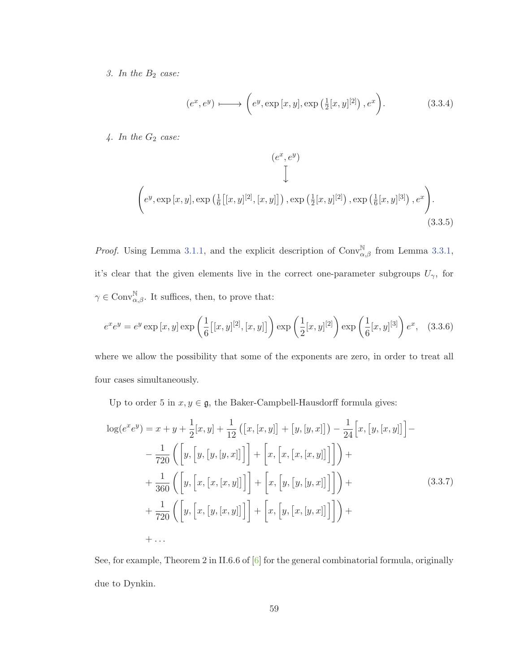3. In the  $B_2$  case:

$$
(e^x, e^y) \longmapsto \left(e^y, \exp\left[x, y\right], \exp\left(\frac{1}{2}[x, y]^{[2]}\right), e^x\right). \tag{3.3.4}
$$

 $4.$  In the  $G_2$  case:

$$
(e^x, e^y)
$$
\n
$$
\downarrow
$$
\n
$$
\left(e^y, \exp\left[x, y\right], \exp\left(\frac{1}{6}\left[ [x, y]^{[2]}, [x, y] \right]\right), \exp\left(\frac{1}{2} [x, y]^{[2]}\right), \exp\left(\frac{1}{6} [x, y]^{[3]}\right), e^x\right).
$$
\n
$$
(3.3.5)
$$

*Proof.* Using Lemma 3.1.1, and the explicit description of  $Conv_{\alpha,\beta}^{\mathbb{N}}$  from Lemma 3.3.1, it's clear that the given elements live in the correct one-parameter subgroups  $U_{\gamma}$ , for  $\gamma \in \text{Conv}^{\mathbb{N}}_{\alpha,\beta}$ . It suffices, then, to prove that:

$$
e^{x}e^{y} = e^{y}\exp\left[x,y\right]\exp\left(\frac{1}{6}\left[[x,y]^{[2]},[x,y]\right]\right)\exp\left(\frac{1}{2}[x,y]^{[2]}\right)\exp\left(\frac{1}{6}[x,y]^{[3]}\right)e^{x}, \quad (3.3.6)
$$

where we allow the possibility that some of the exponents are zero, in order to treat all four cases simultaneously.

Up to order 5 in  $x, y \in \mathfrak{g}$ , the Baker-Campbell-Hausdorff formula gives:

$$
\log(e^{x}e^{y}) = x + y + \frac{1}{2}[x, y] + \frac{1}{12} ([x, [x, y]] + [y, [y, x]]) - \frac{1}{24}[x, [y, [x, y]]] - \frac{1}{720} ([y, [y, [y, [y, x]]]] + [x, [x, [x, [x, y]]]] + \frac{1}{360} ([y, [x, [x, [x, y]]]] + [x, [y, [y, [y, x]]]] + \frac{1}{720} ([y, [x, [y, [x, y]]]] + [x, [y, [x, [y, x]]]] + \dots
$$
\n(3.3.7)

See, for example, Theorem 2 in II.6.6 of  $[6]$  for the general combinatorial formula, originally due to Dynkin.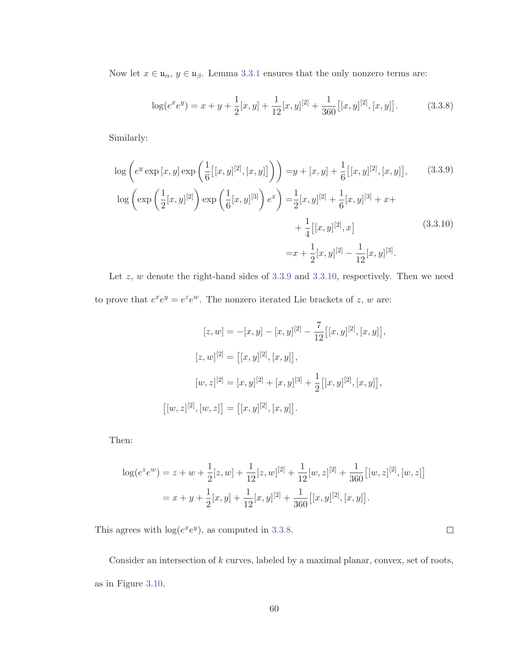Now let  $x \in \mathfrak{u}_{\alpha}, y \in \mathfrak{u}_{\beta}$ . Lemma 3.3.1 ensures that the only nonzero terms are:

$$
\log(e^x e^y) = x + y + \frac{1}{2}[x, y] + \frac{1}{12}[x, y]^{[2]} + \frac{1}{360}[[x, y]^{[2]}, [x, y]].
$$
 (3.3.8)

Similarly:

$$
\log\left(e^{y}\exp\left[x,y\right]\exp\left(\frac{1}{6}\left[[x,y]^{[2]},[x,y]\right]\right)\right) = y + [x,y] + \frac{1}{6}\left[[x,y]^{[2]},[x,y]\right],\qquad(3.3.9)
$$

$$
\log\left(\exp\left(\frac{1}{2}[x,y]^{[2]}\right)\exp\left(\frac{1}{6}[x,y]^{[3]}\right)e^{x}\right) = \frac{1}{2}[x,y]^{[2]} + \frac{1}{6}[x,y]^{[3]} + x + \frac{1}{4}\left[[x,y]^{[2]},x\right]
$$

$$
= x + \frac{1}{2}[x,y]^{[2]} - \frac{1}{12}[x,y]^{[3]}.
$$
(3.3.10)

Let  $z$ ,  $w$  denote the right-hand sides of 3.3.9 and 3.3.10, respectively. Then we need to prove that  $e^x e^y = e^z e^w$ . The nonzero iterated Lie brackets of  $z, w$  are:

$$
[z, w] = -[x, y] - [x, y]^{[2]} - \frac{7}{12} [[x, y]^{[2]}, [x, y]],
$$

$$
[z, w]^{[2]} = [[x, y]^{[2]}, [x, y]],
$$

$$
[w, z]^{[2]} = [x, y]^{[2]} + [x, y]^{[3]} + \frac{1}{2} [[x, y]^{[2]}, [x, y]],
$$

$$
[[w, z]^{[2]}, [w, z]] = [[x, y]^{[2]}, [x, y]].
$$

Then:

$$
\log(e^z e^w) = z + w + \frac{1}{2}[z, w] + \frac{1}{12}[z, w]^{[2]} + \frac{1}{12}[w, z]^{[2]} + \frac{1}{360}[[w, z]^{[2]}, [w, z]]
$$
  
=  $x + y + \frac{1}{2}[x, y] + \frac{1}{12}[x, y]^{[2]} + \frac{1}{360}[[x, y]^{[2]}, [x, y]].$ 

This agrees with  $log(e^xe^y)$ , as computed in 3.3.8.

Consider an intersection of  $k$  curves, labeled by a maximal planar, convex, set of roots, as in Figure 3.10.

 $\Box$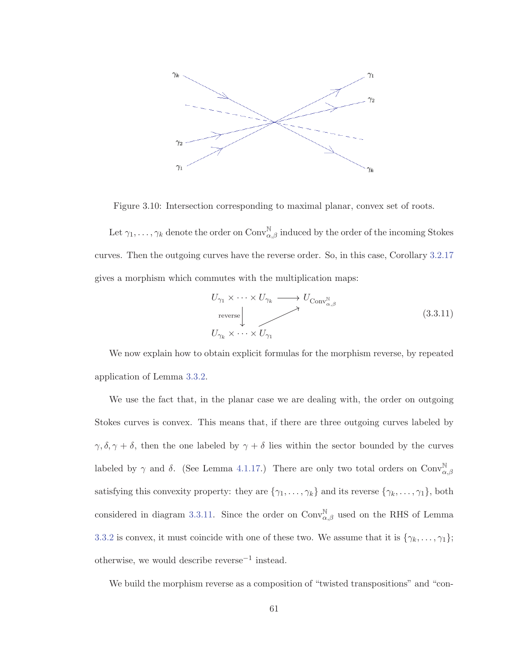

Figure 3.10: Intersection corresponding to maximal planar, convex set of roots.

Let  $\gamma_1,\ldots,\gamma_k$  denote the order on  $\mathrm{Conv}_{\alpha,\beta}^{\mathbb{N}}$  induced by the order of the incoming Stokes curves. Then the outgoing curves have the reverse order. So, in this case, Corollary 3.2.17 gives a morphism which commutes with the multiplication maps:

$$
U_{\gamma_1} \times \cdots \times U_{\gamma_k} \longrightarrow U_{\text{Conv}_{\alpha,\beta}^{\mathbb{N}}}
$$
  
reverse  

$$
U_{\gamma_k} \times \cdots \times U_{\gamma_1}
$$
 (3.3.11)

We now explain how to obtain explicit formulas for the morphism reverse, by repeated application of Lemma 3.3.2.

We use the fact that, in the planar case we are dealing with, the order on outgoing Stokes curves is convex. This means that, if there are three outgoing curves labeled by  $\gamma$ ,  $\delta$ ,  $\gamma + \delta$ , then the one labeled by  $\gamma + \delta$  lies within the sector bounded by the curves labeled by  $\gamma$  and  $\delta$ . (See Lemma 4.1.17.) There are only two total orders on  $\text{Conv}_{\alpha,\beta}^{\mathbb{N}}$ satisfying this convexity property: they are  $\{\gamma_1,\ldots,\gamma_k\}$  and its reverse  $\{\gamma_k,\ldots,\gamma_1\}$ , both considered in diagram 3.3.11. Since the order on  $\text{Conv}_{\alpha,\beta}^{\mathbb{N}}$  used on the RHS of Lemma 3.3.2 is convex, it must coincide with one of these two. We assume that it is  $\{\gamma_k, \ldots, \gamma_1\};$ otherwise, we would describe reverse−<sup>1</sup> instead.

We build the morphism reverse as a composition of "twisted transpositions" and "con-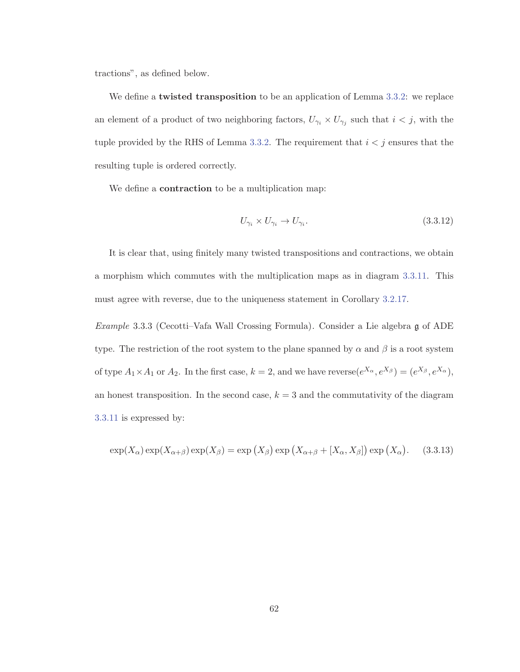tractions", as defined below.

We define a **twisted transposition** to be an application of Lemma 3.3.2: we replace an element of a product of two neighboring factors,  $U_{\gamma_i} \times U_{\gamma_j}$  such that  $i < j$ , with the tuple provided by the RHS of Lemma 3.3.2. The requirement that  $i < j$  ensures that the resulting tuple is ordered correctly.

We define a **contraction** to be a multiplication map:

$$
U_{\gamma_i} \times U_{\gamma_i} \to U_{\gamma_i}.\tag{3.3.12}
$$

It is clear that, using finitely many twisted transpositions and contractions, we obtain a morphism which commutes with the multiplication maps as in diagram 3.3.11. This must agree with reverse, due to the uniqueness statement in Corollary 3.2.17.

Example 3.3.3 (Cecotti–Vafa Wall Crossing Formula). Consider a Lie algebra g of ADE type. The restriction of the root system to the plane spanned by  $\alpha$  and  $\beta$  is a root system of type  $A_1 \times A_1$  or  $A_2$ . In the first case,  $k = 2$ , and we have reverse $(e^{X_{\alpha}}, e^{X_{\beta}}) = (e^{X_{\beta}}, e^{X_{\alpha}})$ , an honest transposition. In the second case,  $k = 3$  and the commutativity of the diagram 3.3.11 is expressed by:

$$
\exp(X_{\alpha})\exp(X_{\alpha+\beta})\exp(X_{\beta}) = \exp(X_{\beta})\exp(X_{\alpha+\beta} + [X_{\alpha}, X_{\beta}])\exp(X_{\alpha}).
$$
 (3.3.13)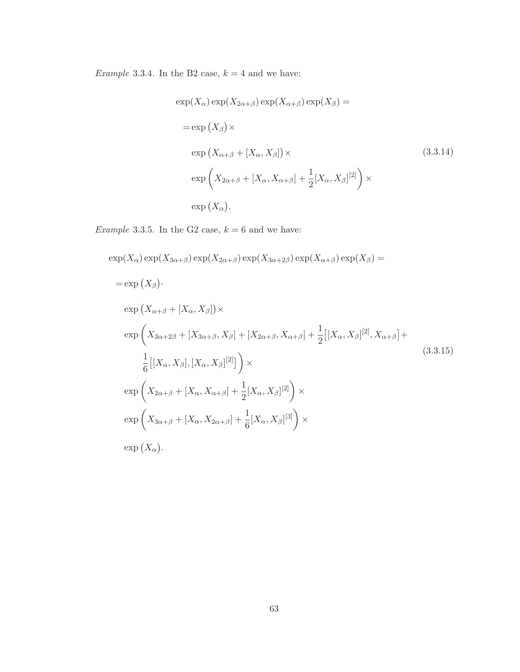Example 3.3.4. In the B2 case,  $k = 4$  and we have:

$$
\exp(X_{\alpha}) \exp(X_{2\alpha+\beta}) \exp(X_{\alpha+\beta}) \exp(X_{\beta}) =
$$
\n
$$
= \exp(X_{\beta}) \times
$$
\n
$$
\exp(X_{\alpha+\beta} + [X_{\alpha}, X_{\beta}]) \times
$$
\n
$$
\exp\left(X_{2\alpha+\beta} + [X_{\alpha}, X_{\alpha+\beta}] + \frac{1}{2} [X_{\alpha}, X_{\beta}]^{[2]}\right) \times
$$
\n
$$
\exp(X_{\alpha}).
$$
\n(3.3.14)

Example 3.3.5. In the G2 case,  $k = 6$  and we have:

$$
\exp(X_{\alpha}) \exp(X_{3\alpha+\beta}) \exp(X_{2\alpha+\beta}) \exp(X_{3\alpha+2\beta}) \exp(X_{\alpha+\beta}) \exp(X_{\beta}) =
$$
\n
$$
= \exp(X_{\beta}) \cdot
$$
\n
$$
\exp(X_{\alpha+\beta} + [X_{\alpha}, X_{\beta}]) \times
$$
\n
$$
\exp\left(X_{3\alpha+2\beta} + [X_{3\alpha+\beta}, X_{\beta}] + [X_{2\alpha+\beta}, X_{\alpha+\beta}] + \frac{1}{2}[[X_{\alpha}, X_{\beta}]^{[2]}, X_{\alpha+\beta}] + \frac{1}{6}[[X_{\alpha}, X_{\beta}], [X_{\alpha}, X_{\beta}]^{[2]}]\right) \times
$$
\n
$$
\exp\left(X_{2\alpha+\beta} + [X_{\alpha}, X_{\alpha+\beta}] + \frac{1}{2}[X_{\alpha}, X_{\beta}]^{[2]}\right) \times
$$
\n
$$
\exp\left(X_{3\alpha+\beta} + [X_{\alpha}, X_{2\alpha+\beta}] + \frac{1}{6}[X_{\alpha}, X_{\beta}]^{[3]}\right) \times
$$
\n
$$
\exp(X_{\alpha}) \cdot
$$
\n
$$
\exp(X_{\alpha}) \cdot
$$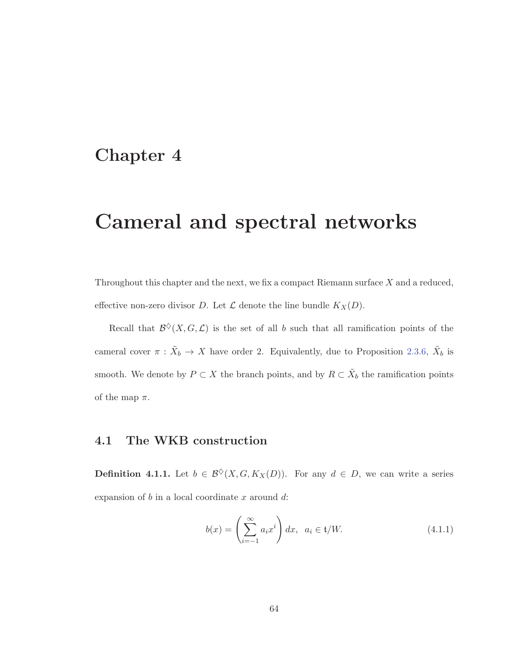## **Chapter 4**

# **Cameral and spectral networks**

Throughout this chapter and the next, we fix a compact Riemann surface  $X$  and a reduced, effective non-zero divisor D. Let  $\mathcal L$  denote the line bundle  $K_X(D)$ .

Recall that  $\mathcal{B}^{\diamond}(X, G, \mathcal{L})$  is the set of all b such that all ramification points of the cameral cover  $\pi$  :  $\tilde{X}_b \to X$  have order 2. Equivalently, due to Proposition 2.3.6,  $\tilde{X}_b$  is smooth. We denote by  $P \subset X$  the branch points, and by  $R \subset \tilde{X}_b$  the ramification points of the map  $\pi$ .

### **4.1 The WKB construction**

**Definition 4.1.1.** Let  $b \in \mathcal{B}^{\diamond}(X, G, K_X(D))$ . For any  $d \in D$ , we can write a series expansion of  $b$  in a local coordinate  $x$  around  $d$ :

$$
b(x) = \left(\sum_{i=-1}^{\infty} a_i x^i\right) dx, \quad a_i \in \mathfrak{t}/W. \tag{4.1.1}
$$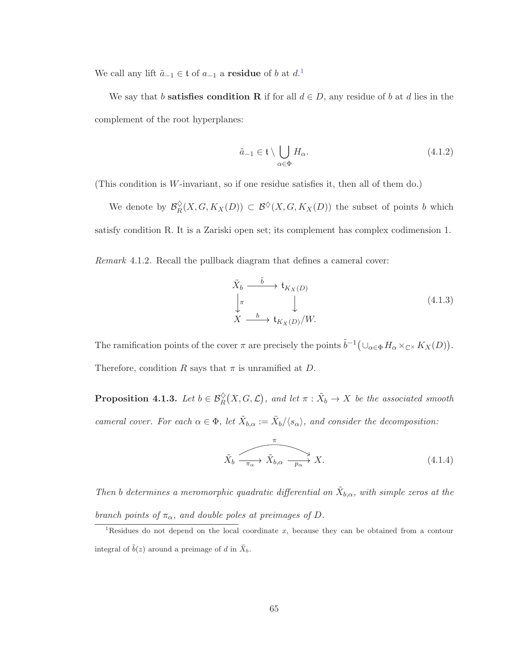We call any lift  $\tilde{a}_{-1} \in \mathfrak{t}$  of  $a_{-1}$  a **residue** of b at  $d$ .<sup>1</sup>

We say that b **satisfies condition R** if for all  $d \in D$ , any residue of b at d lies in the complement of the root hyperplanes:

$$
\tilde{a}_{-1} \in \mathfrak{t} \setminus \bigcup_{\alpha \in \Phi} H_{\alpha}.\tag{4.1.2}
$$

(This condition is W-invariant, so if one residue satisfies it, then all of them do.)

We denote by  $\mathcal{B}_{R}^{\lozenge}(X, G, K_X(D)) \subset \mathcal{B}^{\lozenge}(X, G, K_X(D))$  the subset of points b which satisfy condition R. It is a Zariski open set; its complement has complex codimension 1.

Remark 4.1.2. Recall the pullback diagram that defines a cameral cover:

$$
\tilde{X}_b \xrightarrow{\tilde{b}} \mathfrak{t}_{K_X(D)} \n\downarrow^{\pi} \qquad \qquad \downarrow^{\pi} \nX \xrightarrow{b} \mathfrak{t}_{K_X(D)}/W.
$$
\n(4.1.3)

The ramification points of the cover  $\pi$  are precisely the points  $\tilde{b}^{-1}(\cup_{\alpha\in\Phi} H_{\alpha}\times_{\mathbb{C}^{\times}} K_X(D)).$ Therefore, condition R says that  $\pi$  is unramified at D.

**Proposition 4.1.3.** Let  $b \in \mathcal{B}_{R}^{\Diamond}(X, G, \mathcal{L})$ , and let  $\pi : \tilde{X}_{b} \to X$  be the associated smooth cameral cover. For each  $\alpha \in \Phi$ , let  $\tilde{X}_{b,\alpha} := \tilde{X}_{b}/\langle s_{\alpha} \rangle$ , and consider the decomposition:

$$
\tilde{X}_b \xrightarrow{\pi} \tilde{X}_{b,\alpha} \xrightarrow{p_{\alpha}} X. \tag{4.1.4}
$$

Then b determines a meromorphic quadratic differential on  $\tilde{X}_{b,\alpha}$ , with simple zeros at the branch points of  $\pi_{\alpha}$ , and double poles at preimages of D.

<sup>&</sup>lt;sup>1</sup>Residues do not depend on the local coordinate x, because they can be obtained from a contour integral of  $\tilde{b}(z)$  around a preimage of d in  $\tilde{X}_b$ .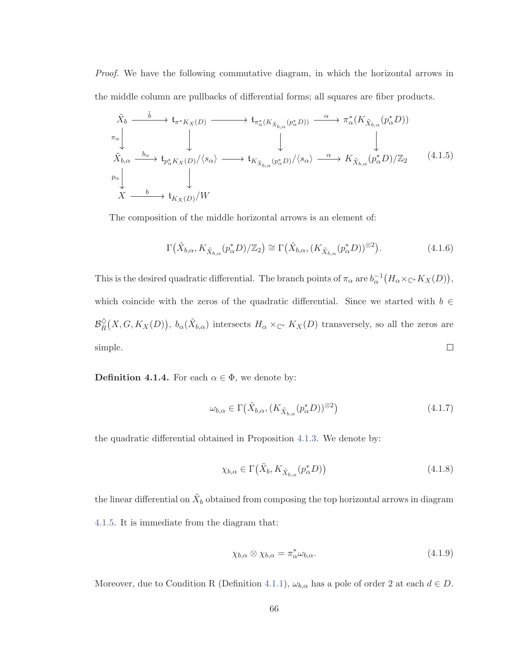Proof. We have the following commutative diagram, in which the horizontal arrows in the middle column are pullbacks of differential forms; all squares are fiber products.

$$
\tilde{X}_{b} \longrightarrow t_{\pi^{*}K_{X}(D)} \longrightarrow t_{\pi^{*}(K_{\tilde{X}_{b,\alpha}}(p_{\alpha}^{*}D))} \longrightarrow \pi_{\alpha}^{*}(K_{\tilde{X}_{b,\alpha}}(p_{\alpha}^{*}D))
$$
\n
$$
\pi_{\alpha} \downarrow \qquad \qquad \downarrow \qquad \qquad \downarrow \qquad \qquad \downarrow \qquad \qquad \downarrow
$$
\n
$$
\tilde{X}_{b,\alpha} \longrightarrow t_{p_{\alpha}^{*}K_{X}(D)}/\langle s_{\alpha} \rangle \longrightarrow t_{K_{\tilde{X}_{b,\alpha}}(p_{\alpha}^{*}D)}/\langle s_{\alpha} \rangle \longrightarrow K_{\tilde{X}_{b,\alpha}}(p_{\alpha}^{*}D)/\mathbb{Z}_{2} \qquad (4.1.5)
$$
\n
$$
\pi_{\alpha} \downarrow \qquad \qquad \downarrow \qquad \qquad \downarrow
$$
\n
$$
X \longrightarrow t_{K_{X}(D)}/W
$$

The composition of the middle horizontal arrows is an element of:

$$
\Gamma\big(\tilde{X}_{b,\alpha}, K_{\tilde{X}_{b,\alpha}}(p^*_{\alpha}D)/\mathbb{Z}_2\big) \cong \Gamma\big(\tilde{X}_{b,\alpha}, (K_{\tilde{X}_{b,\alpha}}(p^*_{\alpha}D))^{\otimes 2}\big).
$$
\n(4.1.6)

This is the desired quadratic differential. The branch points of  $\pi_{\alpha}$  are  $b_{\alpha}^{-1}(H_{\alpha} \times_{\mathbb{C}^*} K_X(D)),$ which coincide with the zeros of the quadratic differential. Since we started with  $b \in$  $\mathcal{B}_{R}^{\diamond}(X, G, K_X(D)), b_{\alpha}(\tilde{X}_{b,\alpha})$  intersects  $H_{\alpha} \times_{\mathbb{C}^*} K_X(D)$  transversely, so all the zeros are  $\Box$ simple.

**Definition 4.1.4.** For each  $\alpha \in \Phi$ , we denote by:

$$
\omega_{b,\alpha} \in \Gamma\left(\tilde{X}_{b,\alpha}, (K_{\tilde{X}_{b,\alpha}}(p^*_{\alpha}D))^{\otimes 2}\right) \tag{4.1.7}
$$

the quadratic differential obtained in Proposition 4.1.3. We denote by:

$$
\chi_{b,\alpha} \in \Gamma\big(\tilde{X}_b, K_{\tilde{X}_{b,\alpha}}(p_\alpha^* D)\big) \tag{4.1.8}
$$

the linear differential on  $\tilde{X}_b$  obtained from composing the top horizontal arrows in diagram 4.1.5. It is immediate from the diagram that:

$$
\chi_{b,\alpha} \otimes \chi_{b,\alpha} = \pi_{\alpha}^* \omega_{b,\alpha}.
$$
\n(4.1.9)

Moreover, due to Condition R (Definition 4.1.1),  $\omega_{b,\alpha}$  has a pole of order 2 at each  $d \in D$ .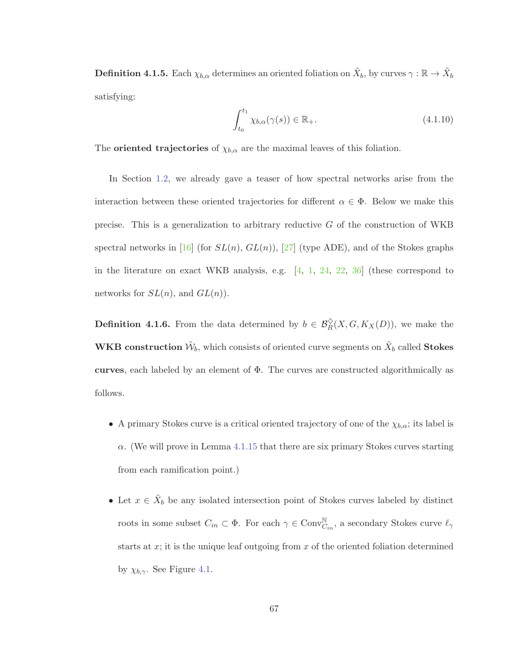**Definition 4.1.5.** Each  $\chi_{b,\alpha}$  determines an oriented foliation on  $\tilde{X}_b$ , by curves  $\gamma : \mathbb{R} \to \tilde{X}_b$ satisfying:

$$
\int_{t_0}^{t_1} \chi_{b,\alpha}(\gamma(s)) \in \mathbb{R}_+.
$$
\n(4.1.10)

The **oriented trajectories** of  $\chi_{b,\alpha}$  are the maximal leaves of this foliation.

In Section 1.2, we already gave a teaser of how spectral networks arise from the interaction between these oriented trajectories for different  $\alpha \in \Phi$ . Below we make this precise. This is a generalization to arbitrary reductive  $G$  of the construction of WKB spectral networks in [16] (for  $SL(n)$ ,  $GL(n)$ ), [27] (type ADE), and of the Stokes graphs in the literature on exact WKB analysis, e.g. [4, 1, 24, 22, 36] (these correspond to networks for  $SL(n)$ , and  $GL(n)$ .

**Definition 4.1.6.** From the data determined by  $b \in \mathcal{B}_R^{\lozenge}(X, G, K_X(D))$ , we make the **WKB construction**  $\tilde{\mathcal{W}}_b$ , which consists of oriented curve segments on  $\tilde{X}_b$  called **Stokes curves**, each labeled by an element of Φ. The curves are constructed algorithmically as follows.

- A primary Stokes curve is a critical oriented trajectory of one of the  $\chi_{b,\alpha}$ ; its label is  $\alpha$ . (We will prove in Lemma 4.1.15 that there are six primary Stokes curves starting from each ramification point.)
- Let  $x \in \tilde{X}_b$  be any isolated intersection point of Stokes curves labeled by distinct roots in some subset  $C_{in} \subset \Phi$ . For each  $\gamma \in Conv^{\mathbb{N}}_{C_{in}}$ , a secondary Stokes curve  $\ell_{\gamma}$ starts at  $x$ ; it is the unique leaf outgoing from  $x$  of the oriented foliation determined by  $\chi_{b,\gamma}$ . See Figure 4.1.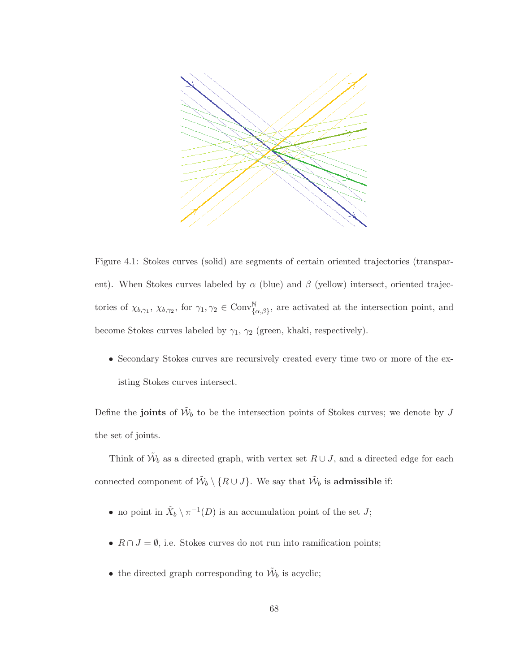

Figure 4.1: Stokes curves (solid) are segments of certain oriented trajectories (transparent). When Stokes curves labeled by  $\alpha$  (blue) and  $\beta$  (yellow) intersect, oriented trajectories of  $\chi_{b,\gamma_1}$ ,  $\chi_{b,\gamma_2}$ , for  $\gamma_1, \gamma_2 \in \text{Conv}_{\{\alpha,\beta\}}^{\mathbb{N}}$ , are activated at the intersection point, and become Stokes curves labeled by  $\gamma_1$ ,  $\gamma_2$  (green, khaki, respectively).

• Secondary Stokes curves are recursively created every time two or more of the existing Stokes curves intersect.

Define the **joints** of  $\tilde{\mathcal{W}}_b$  to be the intersection points of Stokes curves; we denote by J the set of joints.

Think of  $\tilde{\mathcal{W}}_b$  as a directed graph, with vertex set  $R \cup J$ , and a directed edge for each connected component of  $\tilde{\mathcal{W}}_b \setminus \{R \cup J\}$ . We say that  $\tilde{\mathcal{W}}_b$  is **admissible** if:

- no point in  $\tilde{X}_b \setminus \pi^{-1}(D)$  is an accumulation point of the set  $J$ ;
- $R \cap J = \emptyset$ , i.e. Stokes curves do not run into ramification points;
- the directed graph corresponding to  $\tilde{\mathcal{W}}_b$  is acyclic;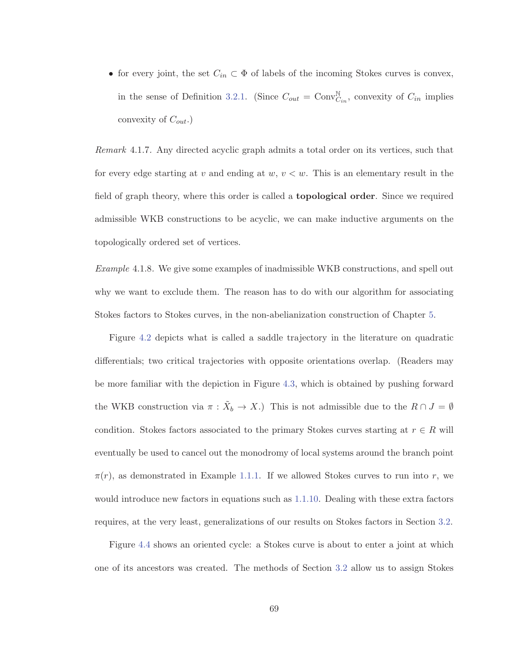• for every joint, the set  $C_{in} \subset \Phi$  of labels of the incoming Stokes curves is convex, in the sense of Definition 3.2.1. (Since  $C_{out} = \text{Conv}_{C_{in}}^{\mathbb{N}}$ , convexity of  $C_{in}$  implies convexity of  $C_{out}$ .)

Remark 4.1.7. Any directed acyclic graph admits a total order on its vertices, such that for every edge starting at v and ending at  $w, v < w$ . This is an elementary result in the field of graph theory, where this order is called a **topological order**. Since we required admissible WKB constructions to be acyclic, we can make inductive arguments on the topologically ordered set of vertices.

Example 4.1.8. We give some examples of inadmissible WKB constructions, and spell out why we want to exclude them. The reason has to do with our algorithm for associating Stokes factors to Stokes curves, in the non-abelianization construction of Chapter 5.

Figure 4.2 depicts what is called a saddle trajectory in the literature on quadratic differentials; two critical trajectories with opposite orientations overlap. (Readers may be more familiar with the depiction in Figure 4.3, which is obtained by pushing forward the WKB construction via  $\pi : \tilde{X}_b \to X$ .) This is not admissible due to the  $R \cap J = \emptyset$ condition. Stokes factors associated to the primary Stokes curves starting at  $r \in R$  will eventually be used to cancel out the monodromy of local systems around the branch point  $\pi(r)$ , as demonstrated in Example 1.1.1. If we allowed Stokes curves to run into r, we would introduce new factors in equations such as 1.1.10. Dealing with these extra factors requires, at the very least, generalizations of our results on Stokes factors in Section 3.2.

Figure 4.4 shows an oriented cycle: a Stokes curve is about to enter a joint at which one of its ancestors was created. The methods of Section 3.2 allow us to assign Stokes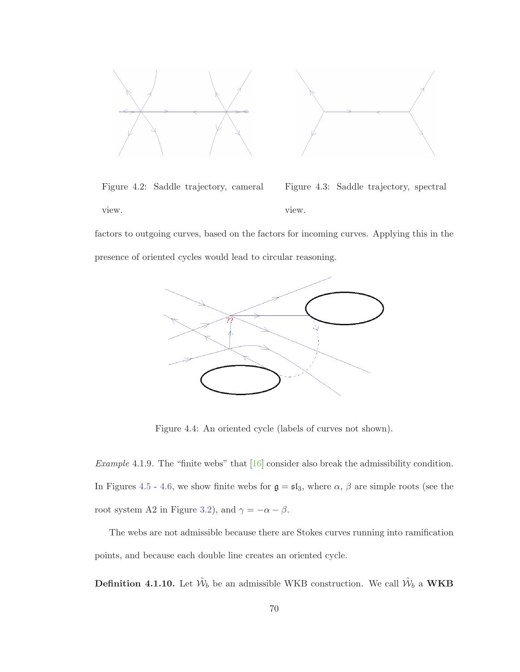

Figure 4.2: Saddle trajectory, cameral view. Figure 4.3: Saddle trajectory, spectral view.

factors to outgoing curves, based on the factors for incoming curves. Applying this in the presence of oriented cycles would lead to circular reasoning.



Figure 4.4: An oriented cycle (labels of curves not shown).

Example 4.1.9. The "finite webs" that [16] consider also break the admissibility condition. In Figures 4.5 - 4.6, we show finite webs for  $\mathfrak{g} = \mathfrak{sl}_3$ , where  $\alpha$ ,  $\beta$  are simple roots (see the root system A2 in Figure 3.2), and  $\gamma = -\alpha - \beta$ .

The webs are not admissible because there are Stokes curves running into ramification points, and because each double line creates an oriented cycle.

**Definition 4.1.10.** Let  $\tilde{W}_b$  be an admissible WKB construction. We call  $\tilde{W}_b$  a **WKB**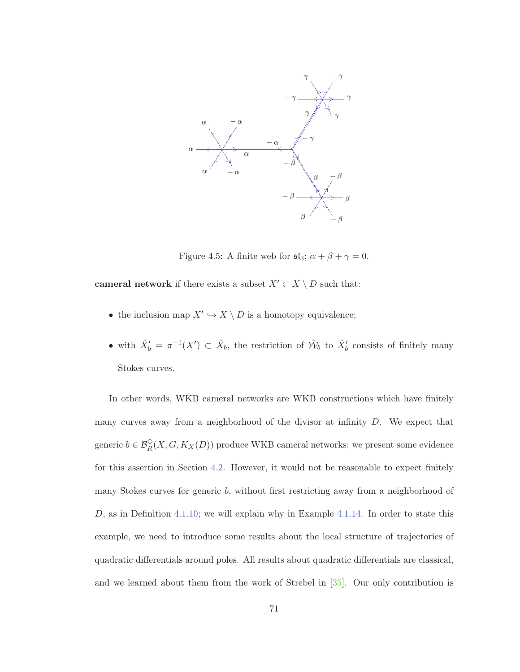

Figure 4.5: A finite web for  $\mathfrak{sl}_3$ ;  $\alpha + \beta + \gamma = 0$ .

**cameral network** if there exists a subset  $X' \subset X \setminus D$  such that:

- $\bullet\,$  the inclusion map  $X' \hookrightarrow X\setminus D$  is a homotopy equivalence;
- with  $\tilde{X}'_b = \pi^{-1}(X') \subset \tilde{X}_b$ , the restriction of  $\tilde{W}_b$  to  $\tilde{X}'_b$  consists of finitely many Stokes curves.

In other words, WKB cameral networks are WKB constructions which have finitely many curves away from a neighborhood of the divisor at infinity D. We expect that generic  $b \in \mathcal{B}_R^{\diamond}(X, G, K_X(D))$  produce WKB cameral networks; we present some evidence for this assertion in Section 4.2. However, it would not be reasonable to expect finitely many Stokes curves for generic b, without first restricting away from a neighborhood of  $D$ , as in Definition 4.1.10; we will explain why in Example 4.1.14. In order to state this example, we need to introduce some results about the local structure of trajectories of quadratic differentials around poles. All results about quadratic differentials are classical, and we learned about them from the work of Strebel in [35]. Our only contribution is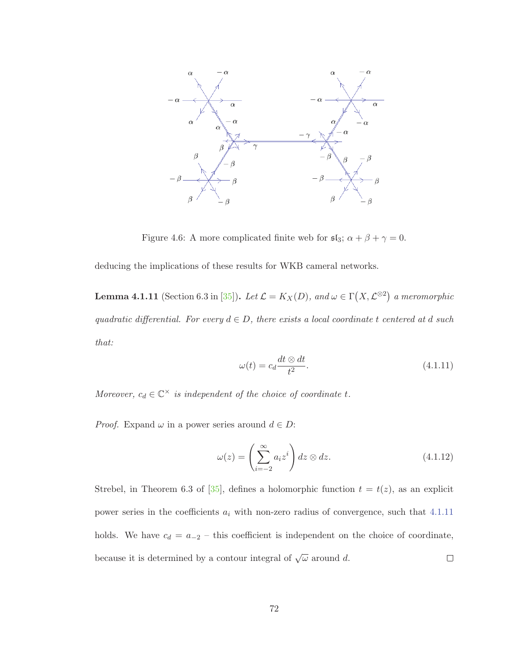

Figure 4.6: A more complicated finite web for  $\mathfrak{sl}_3$ ;  $\alpha + \beta + \gamma = 0$ .

deducing the implications of these results for WKB cameral networks.

**Lemma 4.1.11** (Section 6.3 in [35]). Let  $\mathcal{L} = K_X(D)$ , and  $\omega \in \Gamma(X, \mathcal{L}^{\otimes 2})$  a meromorphic quadratic differential. For every  $d \in D$ , there exists a local coordinate t centered at d such that:

$$
\omega(t) = c_d \frac{dt \otimes dt}{t^2}.
$$
\n(4.1.11)

Moreover,  $c_d \in \mathbb{C}^\times$  is independent of the choice of coordinate t.

*Proof.* Expand  $\omega$  in a power series around  $d \in D$ :

$$
\omega(z) = \left(\sum_{i=-2}^{\infty} a_i z^i\right) dz \otimes dz.
$$
\n(4.1.12)

Strebel, in Theorem 6.3 of [35], defines a holomorphic function  $t = t(z)$ , as an explicit power series in the coefficients  $a_i$  with non-zero radius of convergence, such that 4.1.11 holds. We have  $c_d = a_{-2}$  – this coefficient is independent on the choice of coordinate, because it is determined by a contour integral of  $\sqrt{\omega}$  around d.  $\Box$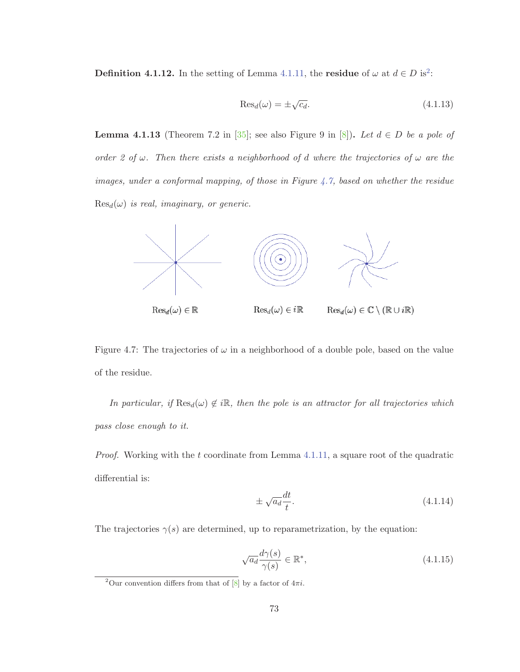**Definition 4.1.12.** In the setting of Lemma 4.1.11, the **residue** of  $\omega$  at  $d \in D$  is<sup>2</sup>:

$$
\text{Res}_d(\omega) = \pm \sqrt{c_d}.\tag{4.1.13}
$$

**Lemma 4.1.13** (Theorem 7.2 in [35]; see also Figure 9 in [8]). Let  $d \in D$  be a pole of order 2 of  $\omega$ . Then there exists a neighborhood of d where the trajectories of  $\omega$  are the images, under a conformal mapping, of those in Figure 4.7, based on whether the residue  $\text{Res}_{d}(\omega)$  is real, imaginary, or generic.



Figure 4.7: The trajectories of  $\omega$  in a neighborhood of a double pole, based on the value of the residue.

In particular, if  $\text{Res}_d(\omega) \notin i\mathbb{R}$ , then the pole is an attractor for all trajectories which pass close enough to it.

*Proof.* Working with the t coordinate from Lemma  $4.1.11$ , a square root of the quadratic differential is:

$$
\pm \sqrt{a_d} \frac{dt}{t}.\tag{4.1.14}
$$

The trajectories  $\gamma(s)$  are determined, up to reparametrization, by the equation:

$$
\sqrt{a_d} \frac{d\gamma(s)}{\gamma(s)} \in \mathbb{R}^*,\tag{4.1.15}
$$

<sup>&</sup>lt;sup>2</sup>Our convention differs from that of [8] by a factor of  $4\pi i$ .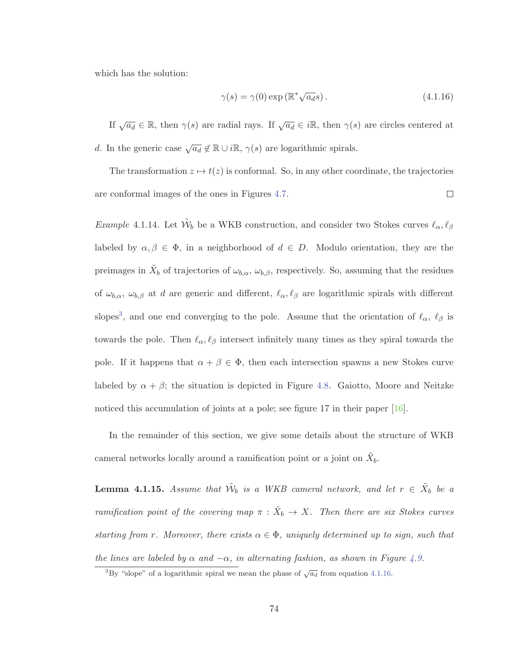which has the solution:

$$
\gamma(s) = \gamma(0) \exp\left(\mathbb{R}^* \sqrt{a_d} s\right). \tag{4.1.16}
$$

If  $\sqrt{a_d} \in \mathbb{R}$ , then  $\gamma(s)$  are radial rays. If  $\sqrt{a_d} \in i\mathbb{R}$ , then  $\gamma(s)$  are circles centered at d. In the generic case  $\sqrt{a_d} \notin \mathbb{R} \cup i\mathbb{R}, \gamma(s)$  are logarithmic spirals.

The transformation  $z \mapsto t(z)$  is conformal. So, in any other coordinate, the trajectories are conformal images of the ones in Figures 4.7.  $\Box$ 

Example 4.1.14. Let  $\tilde{\mathcal{W}}_b$  be a WKB construction, and consider two Stokes curves  $\ell_{\alpha}, \ell_{\beta}$ labeled by  $\alpha, \beta \in \Phi$ , in a neighborhood of  $d \in D$ . Modulo orientation, they are the preimages in  $X_b$  of trajectories of  $\omega_{b,\alpha}$ ,  $\omega_{b,\beta}$ , respectively. So, assuming that the residues of  $\omega_{b,\alpha}$ ,  $\omega_{b,\beta}$  at d are generic and different,  $\ell_{\alpha}, \ell_{\beta}$  are logarithmic spirals with different slopes<sup>3</sup>, and one end converging to the pole. Assume that the orientation of  $\ell_{\alpha}$ ,  $\ell_{\beta}$  is towards the pole. Then  $\ell_{\alpha}, \ell_{\beta}$  intersect infinitely many times as they spiral towards the pole. If it happens that  $\alpha + \beta \in \Phi$ , then each intersection spawns a new Stokes curve labeled by  $\alpha + \beta$ ; the situation is depicted in Figure 4.8. Gaiotto, Moore and Neitzke noticed this accumulation of joints at a pole; see figure 17 in their paper [16].

In the remainder of this section, we give some details about the structure of WKB cameral networks locally around a ramification point or a joint on  $X_b$ .

**Lemma 4.1.15.** Assume that  $\tilde{W}_b$  is a WKB cameral network, and let  $r \in \tilde{X}_b$  be a ramification point of the covering map  $\pi : \tilde{X}_b \to X$ . Then there are six Stokes curves starting from r. Moreover, there exists  $\alpha \in \Phi$ , uniquely determined up to sign, such that the lines are labeled by  $\alpha$  and  $-\alpha$ , in alternating fashion, as shown in Figure 4.9.

<sup>&</sup>lt;sup>3</sup>By "slope" of a logarithmic spiral we mean the phase of  $\sqrt{a_d}$  from equation 4.1.16.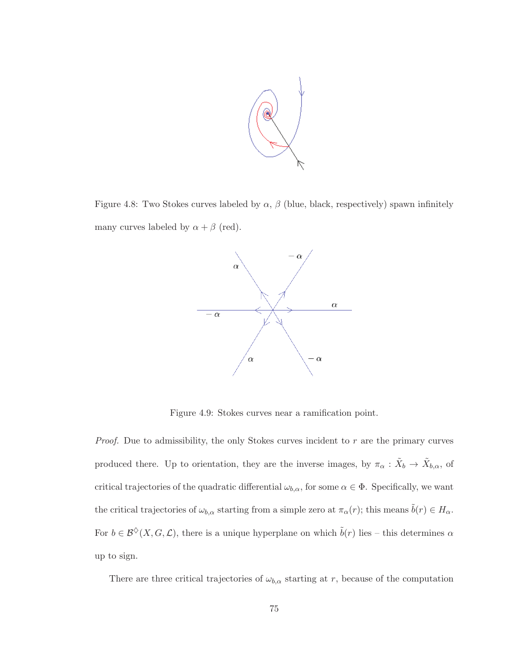

Figure 4.8: Two Stokes curves labeled by  $\alpha$ ,  $\beta$  (blue, black, respectively) spawn infinitely many curves labeled by  $\alpha + \beta$  (red).



Figure 4.9: Stokes curves near a ramification point.

*Proof.* Due to admissibility, the only Stokes curves incident to  $r$  are the primary curves produced there. Up to orientation, they are the inverse images, by  $\pi_{\alpha}: \tilde{X}_{b} \to \tilde{X}_{b,\alpha}$ , of critical trajectories of the quadratic differential  $\omega_{b,\alpha}$ , for some  $\alpha \in \Phi$ . Specifically, we want the critical trajectories of  $\omega_{b,\alpha}$  starting from a simple zero at  $\pi_\alpha(r)$ ; this means  $\tilde{b}(r) \in H_\alpha$ . For  $b \in \mathcal{B}^{\diamond}(X, G, \mathcal{L})$ , there is a unique hyperplane on which  $\tilde{b}(r)$  lies – this determines  $\alpha$ up to sign.

There are three critical trajectories of  $\omega_{b,\alpha}$  starting at r, because of the computation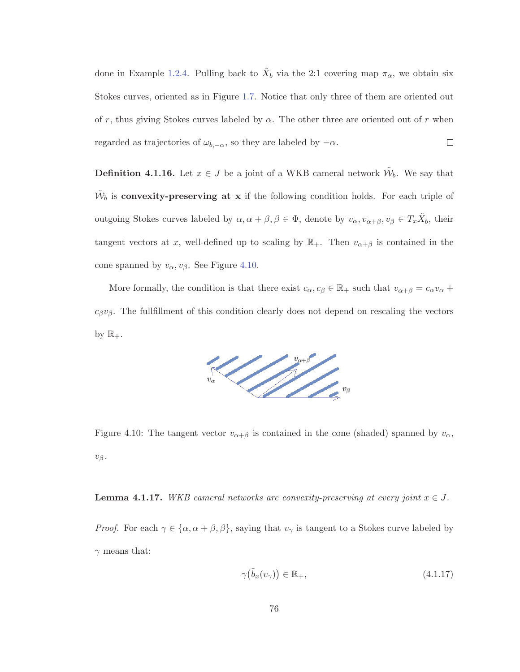done in Example 1.2.4. Pulling back to  $\tilde{X}_b$  via the 2:1 covering map  $\pi_{\alpha}$ , we obtain six Stokes curves, oriented as in Figure 1.7. Notice that only three of them are oriented out of r, thus giving Stokes curves labeled by  $\alpha$ . The other three are oriented out of r when  $\Box$ regarded as trajectories of  $\omega_{b,-\alpha}$ , so they are labeled by  $-\alpha$ .

**Definition 4.1.16.** Let  $x \in J$  be a joint of a WKB cameral network  $\tilde{\mathcal{W}}_b$ . We say that  $\tilde{\mathcal{W}}_b$  is **convexity-preserving at x** if the following condition holds. For each triple of outgoing Stokes curves labeled by  $\alpha, \alpha + \beta, \beta \in \Phi$ , denote by  $v_{\alpha}, v_{\alpha+\beta}, v_{\beta} \in T_x\tilde{X}_b$ , their tangent vectors at x, well-defined up to scaling by  $\mathbb{R}_+$ . Then  $v_{\alpha+\beta}$  is contained in the cone spanned by  $v_{\alpha}, v_{\beta}$ . See Figure 4.10.

More formally, the condition is that there exist  $c_{\alpha}, c_{\beta} \in \mathbb{R}_+$  such that  $v_{\alpha+\beta} = c_{\alpha}v_{\alpha} + c_{\beta}v_{\alpha}$  $c_{\beta}v_{\beta}$ . The fullfillment of this condition clearly does not depend on rescaling the vectors by  $\mathbb{R}_+$ .



Figure 4.10: The tangent vector  $v_{\alpha+\beta}$  is contained in the cone (shaded) spanned by  $v_{\alpha}$ ,  $v_{\beta}$ .

**Lemma 4.1.17.** WKB cameral networks are convexity-preserving at every joint  $x \in J$ .

*Proof.* For each  $\gamma \in \{\alpha, \alpha + \beta, \beta\}$ , saying that  $v_{\gamma}$  is tangent to a Stokes curve labeled by  $\gamma$  means that:

$$
\gamma(\tilde{b}_x(v_\gamma)) \in \mathbb{R}_+, \tag{4.1.17}
$$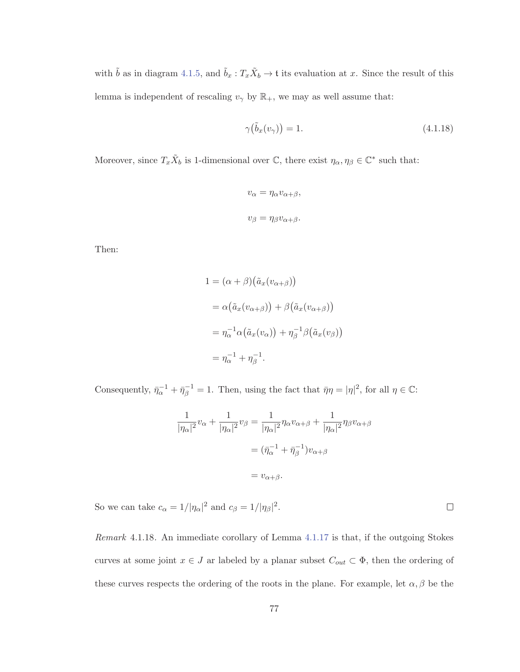with  $\tilde{b}$  as in diagram 4.1.5, and  $\tilde{b}_x : T_x\tilde{X}_b \to \mathfrak{t}$  its evaluation at x. Since the result of this lemma is independent of rescaling  $v_{\gamma}$  by  $\mathbb{R}_{+}$ , we may as well assume that:

$$
\gamma(\tilde{b}_x(v_\gamma)) = 1. \tag{4.1.18}
$$

Moreover, since  $T_x\tilde{X}_b$  is 1-dimensional over  $\mathbb{C}$ , there exist  $\eta_\alpha, \eta_\beta \in \mathbb{C}^*$  such that:

$$
v_{\alpha} = \eta_{\alpha} v_{\alpha+\beta},
$$
  

$$
v_{\beta} = \eta_{\beta} v_{\alpha+\beta}.
$$

Then:

$$
1 = (\alpha + \beta)(\tilde{a}_x(v_{\alpha+\beta}))
$$
  
=  $\alpha(\tilde{a}_x(v_{\alpha+\beta})) + \beta(\tilde{a}_x(v_{\alpha+\beta}))$   
=  $\eta_{\alpha}^{-1}\alpha(\tilde{a}_x(v_{\alpha})) + \eta_{\beta}^{-1}\beta(\tilde{a}_x(v_{\beta}))$   
=  $\eta_{\alpha}^{-1} + \eta_{\beta}^{-1}$ .

Consequently,  $\bar{\eta}_{\alpha}^{-1} + \bar{\eta}_{\beta}^{-1} = 1$ . Then, using the fact that  $\bar{\eta}\eta = |\eta|^2$ , for all  $\eta \in \mathbb{C}$ :

$$
\frac{1}{|\eta_{\alpha}|^2}v_{\alpha} + \frac{1}{|\eta_{\alpha}|^2}v_{\beta} = \frac{1}{|\eta_{\alpha}|^2}\eta_{\alpha}v_{\alpha+\beta} + \frac{1}{|\eta_{\alpha}|^2}\eta_{\beta}v_{\alpha+\beta}
$$

$$
= (\bar{\eta}_{\alpha}^{-1} + \bar{\eta}_{\beta}^{-1})v_{\alpha+\beta}
$$

$$
= v_{\alpha+\beta}.
$$

So we can take  $c_{\alpha} = 1/|\eta_{\alpha}|^2$  and  $c_{\beta} = 1/|\eta_{\beta}|^2$ .

Remark 4.1.18. An immediate corollary of Lemma 4.1.17 is that, if the outgoing Stokes curves at some joint  $x \in J$  ar labeled by a planar subset  $C_{out} \subset \Phi$ , then the ordering of these curves respects the ordering of the roots in the plane. For example, let  $\alpha, \beta$  be the

 $\Box$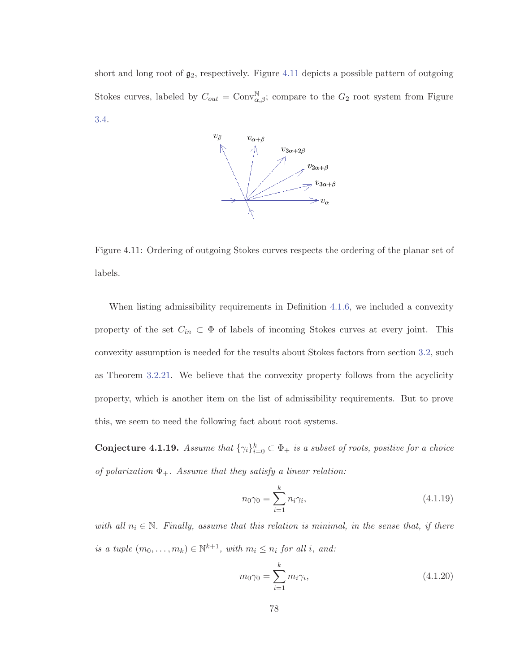short and long root of  $g_2$ , respectively. Figure 4.11 depicts a possible pattern of outgoing Stokes curves, labeled by  $C_{out} = \text{Conv}_{\alpha,\beta}^{\mathbb{N}}$ ; compare to the  $G_2$  root system from Figure 3.4.



Figure 4.11: Ordering of outgoing Stokes curves respects the ordering of the planar set of labels.

When listing admissibility requirements in Definition 4.1.6, we included a convexity property of the set  $C_{in} \subset \Phi$  of labels of incoming Stokes curves at every joint. This convexity assumption is needed for the results about Stokes factors from section 3.2, such as Theorem 3.2.21. We believe that the convexity property follows from the acyclicity property, which is another item on the list of admissibility requirements. But to prove this, we seem to need the following fact about root systems.

**Conjecture 4.1.19.** Assume that  $\{\gamma_i\}_{i=0}^k \subset \Phi_+$  is a subset of roots, positive for a choice of polarization  $\Phi_+$ . Assume that they satisfy a linear relation:

$$
n_0 \gamma_0 = \sum_{i=1}^k n_i \gamma_i,
$$
\n(4.1.19)

with all  $n_i \in \mathbb{N}$ . Finally, assume that this relation is minimal, in the sense that, if there is a tuple  $(m_0, \ldots, m_k) \in \mathbb{N}^{k+1}$ , with  $m_i \leq n_i$  for all i, and:

$$
m_0 \gamma_0 = \sum_{i=1}^k m_i \gamma_i, \tag{4.1.20}
$$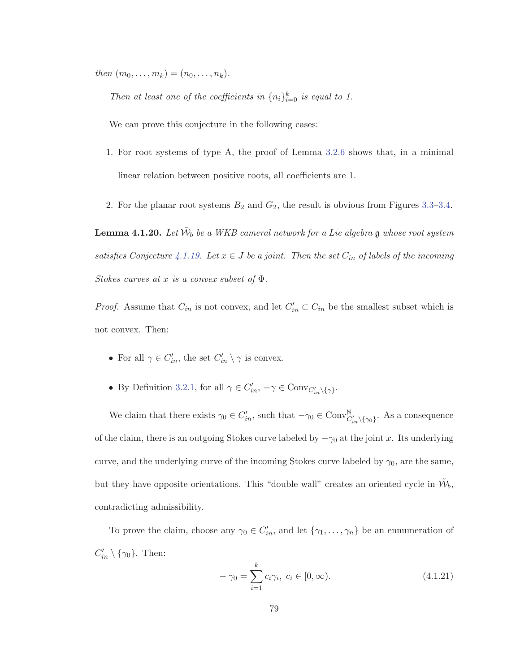then  $(m_0, \ldots, m_k) = (n_0, \ldots, n_k)$ .

Then at least one of the coefficients in  $\{n_i\}_{i=0}^k$  is equal to 1.

We can prove this conjecture in the following cases:

- 1. For root systems of type A, the proof of Lemma 3.2.6 shows that, in a minimal linear relation between positive roots, all coefficients are 1.
- 2. For the planar root systems  $B_2$  and  $G_2$ , the result is obvious from Figures 3.3–3.4.

**Lemma 4.1.20.** Let  $\tilde{W}_b$  be a WKB cameral network for a Lie algebra g whose root system satisfies Conjecture 4.1.19. Let  $x \in J$  be a joint. Then the set  $C_{in}$  of labels of the incoming Stokes curves at x is a convex subset of  $\Phi$ .

*Proof.* Assume that  $C_{in}$  is not convex, and let  $C'_{in} \subset C_{in}$  be the smallest subset which is not convex. Then:

- For all  $\gamma \in C'_{in}$ , the set  $C'_{in} \setminus \gamma$  is convex.
- By Definition 3.2.1, for all  $\gamma \in C'_{in}, -\gamma \in Conv_{C'_{in} \setminus {\{\gamma\}}}.$

We claim that there exists  $\gamma_0 \in C'_{in}$ , such that  $-\gamma_0 \in Conv^{\mathbb{N}}_{C'_{in}\setminus{\{\gamma_0\}}}$ . As a consequence of the claim, there is an outgoing Stokes curve labeled by  $-\gamma_0$  at the joint x. Its underlying curve, and the underlying curve of the incoming Stokes curve labeled by  $\gamma_0$ , are the same, but they have opposite orientations. This "double wall" creates an oriented cycle in  $\mathcal{W}_b$ , contradicting admissibility.

To prove the claim, choose any  $\gamma_0 \in C'_{in}$ , and let  $\{\gamma_1, \ldots, \gamma_n\}$  be an ennumeration of  $C'_{in} \setminus {\gamma_0}$ . Then:

$$
-\gamma_0 = \sum_{i=1}^{k} c_i \gamma_i, \ c_i \in [0, \infty).
$$
 (4.1.21)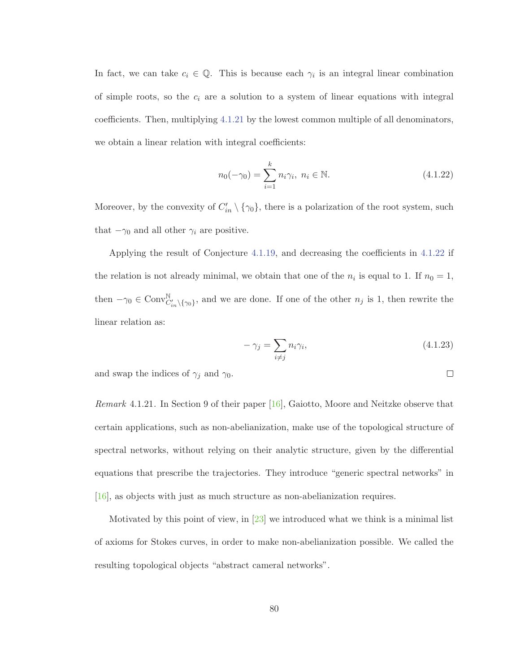In fact, we can take  $c_i \in \mathbb{Q}$ . This is because each  $\gamma_i$  is an integral linear combination of simple roots, so the  $c_i$  are a solution to a system of linear equations with integral coefficients. Then, multiplying 4.1.21 by the lowest common multiple of all denominators, we obtain a linear relation with integral coefficients:

$$
n_0(-\gamma_0) = \sum_{i=1}^k n_i \gamma_i, \ n_i \in \mathbb{N}.
$$
 (4.1.22)

Moreover, by the convexity of  $C'_{in} \setminus {\gamma_0}$ , there is a polarization of the root system, such that  $-\gamma_0$  and all other  $\gamma_i$  are positive.

Applying the result of Conjecture 4.1.19, and decreasing the coefficients in 4.1.22 if the relation is not already minimal, we obtain that one of the  $n_i$  is equal to 1. If  $n_0 = 1$ , then  $-\gamma_0 \in \text{Conv}^{\mathbb{N}}_{C'_{in}\setminus{\{\gamma_0\}}},$  and we are done. If one of the other  $n_j$  is 1, then rewrite the linear relation as:

$$
-\gamma_j = \sum_{i \neq j} n_i \gamma_i,\tag{4.1.23}
$$

and swap the indices of  $\gamma_j$  and  $\gamma_0$ .

Remark 4.1.21. In Section 9 of their paper [16], Gaiotto, Moore and Neitzke observe that certain applications, such as non-abelianization, make use of the topological structure of spectral networks, without relying on their analytic structure, given by the differential equations that prescribe the trajectories. They introduce "generic spectral networks" in [16], as objects with just as much structure as non-abelianization requires.

Motivated by this point of view, in [23] we introduced what we think is a minimal list of axioms for Stokes curves, in order to make non-abelianization possible. We called the resulting topological objects "abstract cameral networks".

 $\Box$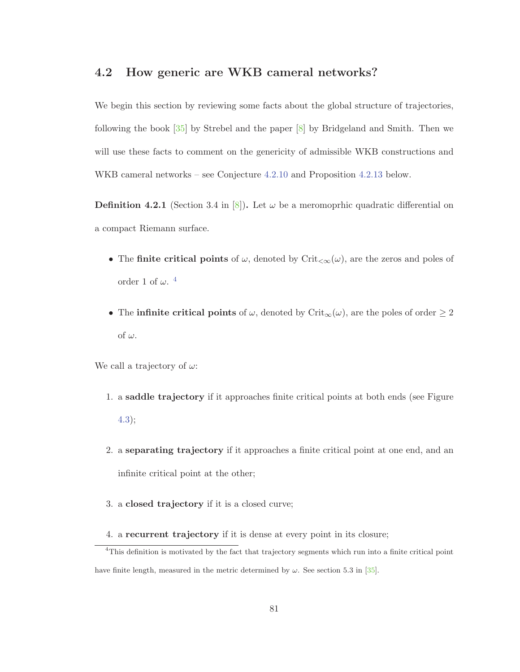#### **4.2 How generic are WKB cameral networks?**

We begin this section by reviewing some facts about the global structure of trajectories, following the book [35] by Strebel and the paper [8] by Bridgeland and Smith. Then we will use these facts to comment on the genericity of admissible WKB constructions and WKB cameral networks – see Conjecture 4.2.10 and Proposition 4.2.13 below.

**Definition 4.2.1** (Section 3.4 in [8]). Let  $\omega$  be a meromoprhic quadratic differential on a compact Riemann surface.

- The **finite critical points** of  $\omega$ , denoted by Crit<sub> $< \infty$ </sub> $(\omega)$ , are the zeros and poles of order 1 of  $\omega$ .<sup>4</sup>
- The **infinite critical points** of  $\omega$ , denoted by Crit<sub>∞</sub> $(\omega)$ , are the poles of order  $\geq 2$ of  $\omega$ .

We call a trajectory of  $\omega$ :

- 1. a **saddle trajectory** if it approaches finite critical points at both ends (see Figure 4.3);
- 2. a **separating trajectory** if it approaches a finite critical point at one end, and an infinite critical point at the other;
- 3. a **closed trajectory** if it is a closed curve;
- 4. a **recurrent trajectory** if it is dense at every point in its closure;

<sup>&</sup>lt;sup>4</sup>This definition is motivated by the fact that trajectory segments which run into a finite critical point have finite length, measured in the metric determined by  $\omega$ . See section 5.3 in [35].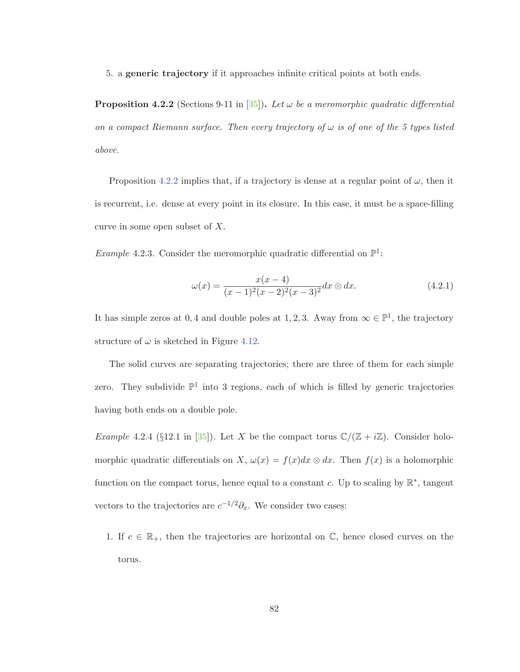5. a **generic trajectory** if it approaches infinite critical points at both ends.

**Proposition 4.2.2** (Sections 9-11 in [35]). Let  $\omega$  be a meromorphic quadratic differential on a compact Riemann surface. Then every trajectory of  $\omega$  is of one of the 5 types listed above.

Proposition 4.2.2 implies that, if a trajectory is dense at a regular point of  $\omega$ , then it is recurrent, i.e. dense at every point in its closure. In this case, it must be a space-filling curve in some open subset of X.

*Example* 4.2.3. Consider the meromorphic quadratic differential on  $\mathbb{P}^1$ :

$$
\omega(x) = \frac{x(x-4)}{(x-1)^2(x-2)^2(x-3)^2} dx \otimes dx.
$$
 (4.2.1)

It has simple zeros at 0,4 and double poles at 1, 2, 3. Away from  $\infty \in \mathbb{P}^1$ , the trajectory structure of  $\omega$  is sketched in Figure 4.12.

The solid curves are separating trajectories; there are three of them for each simple zero. They subdivide  $\mathbb{P}^1$  into 3 regions, each of which is filled by generic trajectories having both ends on a double pole.

*Example* 4.2.4 (§12.1 in [35]). Let X be the compact torus  $\mathbb{C}/(\mathbb{Z} + i\mathbb{Z})$ . Consider holomorphic quadratic differentials on X,  $\omega(x) = f(x)dx \otimes dx$ . Then  $f(x)$  is a holomorphic function on the compact torus, hence equal to a constant c. Up to scaling by  $\mathbb{R}^*$ , tangent vectors to the trajectories are  $c^{-1/2}\partial_x$ . We consider two cases:

1. If  $c \in \mathbb{R}_+$ , then the trajectories are horizontal on  $\mathbb{C}$ , hence closed curves on the torus.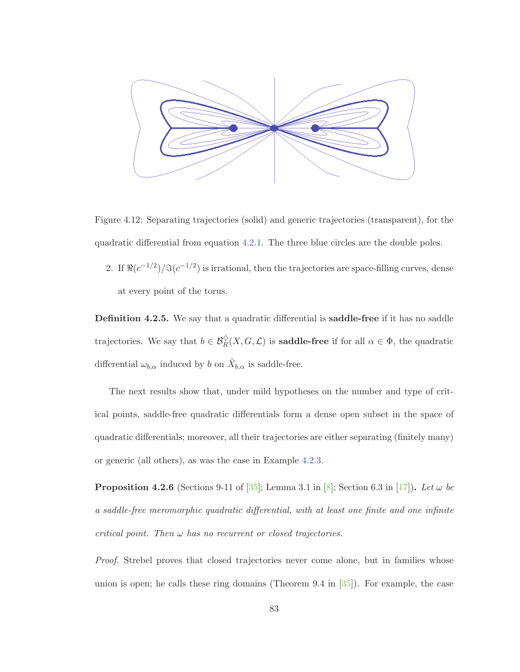

Figure 4.12: Separating trajectories (solid) and generic trajectories (transparent), for the quadratic differential from equation 4.2.1. The three blue circles are the double poles.

2. If  $\Re(c^{-1/2})/\Im(c^{-1/2})$  is irrational, then the trajectories are space-filling curves, dense at every point of the torus.

**Definition 4.2.5.** We say that a quadratic differential is **saddle-free** if it has no saddle trajectories. We say that  $b \in \mathcal{B}_R^{\diamond}(X, G, \mathcal{L})$  is **saddle-free** if for all  $\alpha \in \Phi$ , the quadratic differential  $\omega_{b,\alpha}$  induced by b on  $\tilde{X}_{b,\alpha}$  is saddle-free.

The next results show that, under mild hypotheses on the number and type of critical points, saddle-free quadratic differentials form a dense open subset in the space of quadratic differentials; moreover, all their trajectories are either separating (finitely many) or generic (all others), as was the case in Example 4.2.3.

**Proposition 4.2.6** (Sections 9-11 of [35]; Lemma 3.1 in [8]; Section 6.3 in [17]). Let  $\omega$  be a saddle-free meromorphic quadratic differential, with at least one finite and one infinite critical point. Then  $\omega$  has no recurrent or closed trajectories.

Proof. Strebel proves that closed trajectories never come alone, but in families whose union is open; he calls these ring domains (Theorem 9.4 in  $[35]$ ). For example, the case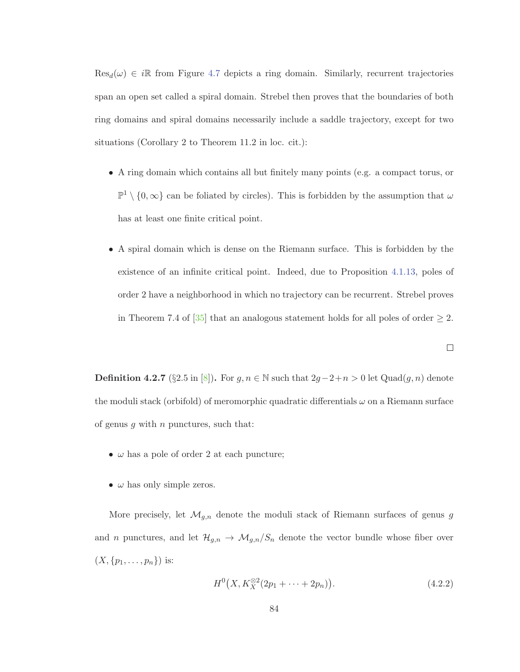$\text{Res}_{d}(\omega) \in i\mathbb{R}$  from Figure 4.7 depicts a ring domain. Similarly, recurrent trajectories span an open set called a spiral domain. Strebel then proves that the boundaries of both ring domains and spiral domains necessarily include a saddle trajectory, except for two situations (Corollary 2 to Theorem 11.2 in loc. cit.):

- A ring domain which contains all but finitely many points (e.g. a compact torus, or  $\mathbb{P}^1 \setminus \{0,\infty\}$  can be foliated by circles). This is forbidden by the assumption that  $\omega$ has at least one finite critical point.
- A spiral domain which is dense on the Riemann surface. This is forbidden by the existence of an infinite critical point. Indeed, due to Proposition 4.1.13, poles of order 2 have a neighborhood in which no trajectory can be recurrent. Strebel proves in Theorem 7.4 of  $\left[35\right]$  that an analogous statement holds for all poles of order  $\geq 2$ .

**Definition 4.2.7** (§2.5 in [8])**.** For  $g, n \in \mathbb{N}$  such that  $2g-2+n > 0$  let  $\text{Quad}(g, n)$  denote the moduli stack (orbifold) of meromorphic quadratic differentials  $\omega$  on a Riemann surface of genus  $q$  with  $n$  punctures, such that:

- $\omega$  has a pole of order 2 at each puncture;
- $\omega$  has only simple zeros.

More precisely, let  $\mathcal{M}_{g,n}$  denote the moduli stack of Riemann surfaces of genus g and n punctures, and let  $\mathcal{H}_{g,n} \to \mathcal{M}_{g,n}/S_n$  denote the vector bundle whose fiber over  $(X, \{p_1, \ldots, p_n\})$  is:

$$
H^{0}\big(X, K_{X}^{\otimes 2}(2p_{1} + \cdots + 2p_{n})\big). \tag{4.2.2}
$$

 $\Box$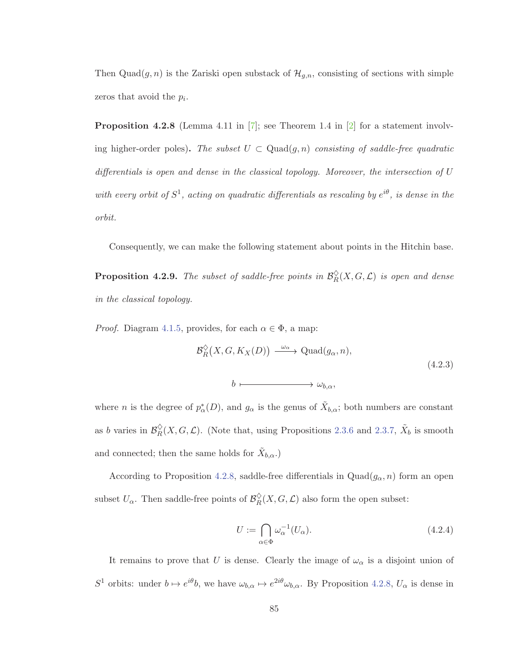Then Quad $(g, n)$  is the Zariski open substack of  $\mathcal{H}_{g,n}$ , consisting of sections with simple zeros that avoid the  $p_i$ .

**Proposition 4.2.8** (Lemma 4.11 in [7]; see Theorem 1.4 in [2] for a statement involving higher-order poles). The subset  $U \subset \text{Quad}(g, n)$  consisting of saddle-free quadratic differentials is open and dense in the classical topology. Moreover, the intersection of U with every orbit of  $S^1$ , acting on quadratic differentials as rescaling by  $e^{i\theta}$ , is dense in the orbit.

Consequently, we can make the following statement about points in the Hitchin base.

**Proposition 4.2.9.** The subset of saddle-free points in  $\mathcal{B}_R^{\diamond}(X, G, \mathcal{L})$  is open and dense in the classical topology.

*Proof.* Diagram 4.1.5, provides, for each  $\alpha \in \Phi$ , a map:

$$
\mathcal{B}_{R}^{\diamond}(X, G, K_X(D)) \xrightarrow{\omega_{\alpha}} \mathrm{Quad}(g_{\alpha}, n),
$$
\n(4.2.3)

 $b \longmapsto \omega_{h\alpha}$ 

where *n* is the degree of  $p^*_{\alpha}(D)$ , and  $g_{\alpha}$  is the genus of  $\tilde{X}_{b,\alpha}$ ; both numbers are constant as b varies in  $\mathcal{B}_{R}^{\Diamond}(X, G, \mathcal{L})$ . (Note that, using Propositions 2.3.6 and 2.3.7,  $\tilde{X}_{b}$  is smooth and connected; then the same holds for  $\tilde{X}_{b,\alpha}$ .)

According to Proposition 4.2.8, saddle-free differentials in  $Quad(g_{\alpha}, n)$  form an open subset  $U_{\alpha}$ . Then saddle-free points of  $\mathcal{B}_{R}^{\diamond}(X, G, \mathcal{L})$  also form the open subset:

$$
U := \bigcap_{\alpha \in \Phi} \omega_{\alpha}^{-1}(U_{\alpha}).
$$
\n(4.2.4)

It remains to prove that U is dense. Clearly the image of  $\omega_{\alpha}$  is a disjoint union of S<sup>1</sup> orbits: under  $b \mapsto e^{i\theta}b$ , we have  $\omega_{b,\alpha} \mapsto e^{2i\theta}\omega_{b,\alpha}$ . By Proposition 4.2.8,  $U_{\alpha}$  is dense in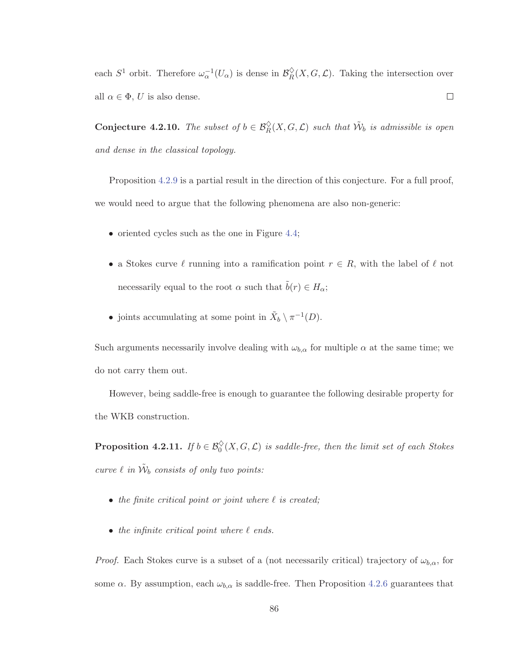each  $S^1$  orbit. Therefore  $\omega_\alpha^{-1}(U_\alpha)$  is dense in  $\mathcal{B}_R^{\diamond}(X, G, \mathcal{L})$ . Taking the intersection over all  $\alpha \in \Phi$ , U is also dense.  $\Box$ 

**Conjecture 4.2.10.** The subset of  $b \in \mathcal{B}_R^{\Diamond}(X, G, \mathcal{L})$  such that  $\tilde{\mathcal{W}}_b$  is admissible is open and dense in the classical topology.

Proposition 4.2.9 is a partial result in the direction of this conjecture. For a full proof, we would need to argue that the following phenomena are also non-generic:

- oriented cycles such as the one in Figure 4.4;
- a Stokes curve  $\ell$  running into a ramification point  $r \in R$ , with the label of  $\ell$  not necessarily equal to the root  $\alpha$  such that  $\tilde{b}(r) \in H_{\alpha}$ ;
- joints accumulating at some point in  $\tilde{X}_b \setminus \pi^{-1}(D)$ .

Such arguments necessarily involve dealing with  $\omega_{b,\alpha}$  for multiple  $\alpha$  at the same time; we do not carry them out.

However, being saddle-free is enough to guarantee the following desirable property for the WKB construction.

**Proposition 4.2.11.** If  $b \in \mathcal{B}_0^{\diamond}(X, G, \mathcal{L})$  is saddle-free, then the limit set of each Stokes curve  $\ell$  in  $\tilde{\mathcal{W}}_b$  consists of only two points:

- the finite critical point or joint where  $\ell$  is created;
- $\bullet$  the infinite critical point where  $\ell$  ends.

*Proof.* Each Stokes curve is a subset of a (not necessarily critical) trajectory of  $\omega_{b,\alpha}$ , for some  $\alpha$ . By assumption, each  $\omega_{b,\alpha}$  is saddle-free. Then Proposition 4.2.6 guarantees that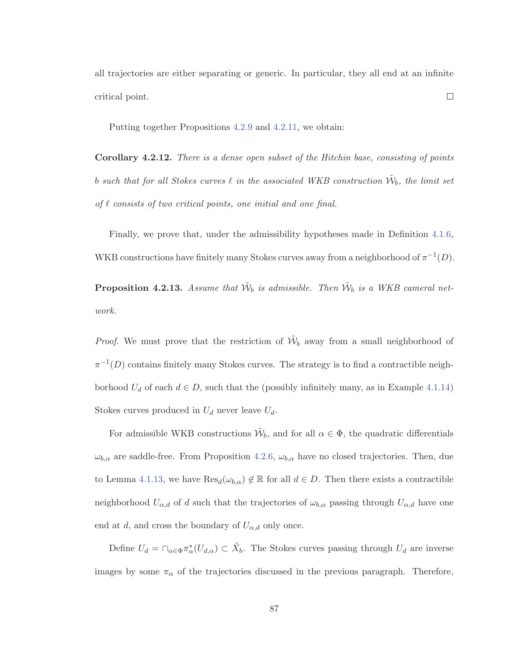all trajectories are either separating or generic. In particular, they all end at an infinite critical point.  $\Box$ 

Putting together Propositions 4.2.9 and 4.2.11, we obtain:

**Corollary 4.2.12.** There is a dense open subset of the Hitchin base, consisting of points b such that for all Stokes curves  $\ell$  in the associated WKB construction  $\mathcal{W}_b$ , the limit set of  $\ell$  consists of two critical points, one initial and one final.

Finally, we prove that, under the admissibility hypotheses made in Definition 4.1.6, WKB constructions have finitely many Stokes curves away from a neighborhood of  $\pi^{-1}(D)$ .

**Proposition 4.2.13.** Assume that  $\tilde{W}_b$  is admissible. Then  $\tilde{W}_b$  is a WKB cameral network.

*Proof.* We must prove that the restriction of  $\tilde{\mathcal{W}}_b$  away from a small neighborhood of  $\pi^{-1}(D)$  contains finitely many Stokes curves. The strategy is to find a contractible neighborhood  $U_d$  of each  $d \in D$ , such that the (possibly infinitely many, as in Example 4.1.14) Stokes curves produced in  $U_d$  never leave  $U_d$ .

For admissible WKB constructions  $\tilde{\mathcal{W}}_b$ , and for all  $\alpha \in \Phi$ , the quadratic differentials  $\omega_{b,\alpha}$  are saddle-free. From Proposition 4.2.6,  $\omega_{b,\alpha}$  have no closed trajectories. Then, due to Lemma 4.1.13, we have  $\text{Res}_{d}(\omega_{b,\alpha}) \notin \mathbb{R}$  for all  $d \in D$ . Then there exists a contractible neighborhood  $U_{\alpha,d}$  of d such that the trajectories of  $\omega_{b,\alpha}$  passing through  $U_{\alpha,d}$  have one end at d, and cross the boundary of  $U_{\alpha,d}$  only once.

Define  $U_d = \bigcap_{\alpha \in \Phi} \pi_{\alpha}^*(U_{d,\alpha}) \subset \tilde{X}_b$ . The Stokes curves passing through  $U_d$  are inverse images by some  $\pi_{\alpha}$  of the trajectories discussed in the previous paragraph. Therefore,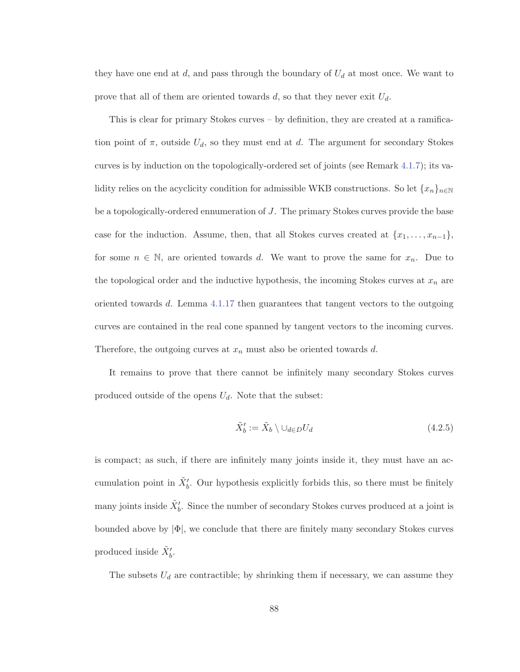they have one end at  $d$ , and pass through the boundary of  $U_d$  at most once. We want to prove that all of them are oriented towards  $d$ , so that they never exit  $U_d$ .

This is clear for primary Stokes curves – by definition, they are created at a ramification point of  $\pi$ , outside  $U_d$ , so they must end at d. The argument for secondary Stokes curves is by induction on the topologically-ordered set of joints (see Remark 4.1.7); its validity relies on the acyclicity condition for admissible WKB constructions. So let  $\{x_n\}_{n\in\mathbb{N}}$ be a topologically-ordered ennumeration of J. The primary Stokes curves provide the base case for the induction. Assume, then, that all Stokes curves created at  $\{x_1,\ldots,x_{n-1}\},$ for some  $n \in \mathbb{N}$ , are oriented towards d. We want to prove the same for  $x_n$ . Due to the topological order and the inductive hypothesis, the incoming Stokes curves at  $x_n$  are oriented towards d. Lemma 4.1.17 then guarantees that tangent vectors to the outgoing curves are contained in the real cone spanned by tangent vectors to the incoming curves. Therefore, the outgoing curves at  $x_n$  must also be oriented towards d.

It remains to prove that there cannot be infinitely many secondary Stokes curves produced outside of the opens  $U_d$ . Note that the subset:

$$
\tilde{X}'_b := \tilde{X}_b \setminus \cup_{d \in D} U_d \tag{4.2.5}
$$

is compact; as such, if there are infinitely many joints inside it, they must have an accumulation point in  $\tilde{X}'_b$ . Our hypothesis explicitly forbids this, so there must be finitely many joints inside  $\tilde{X}'_b$ . Since the number of secondary Stokes curves produced at a joint is bounded above by  $|\Phi|$ , we conclude that there are finitely many secondary Stokes curves produced inside  $\tilde{X}'_b$ .

The subsets  $U_d$  are contractible; by shrinking them if necessary, we can assume they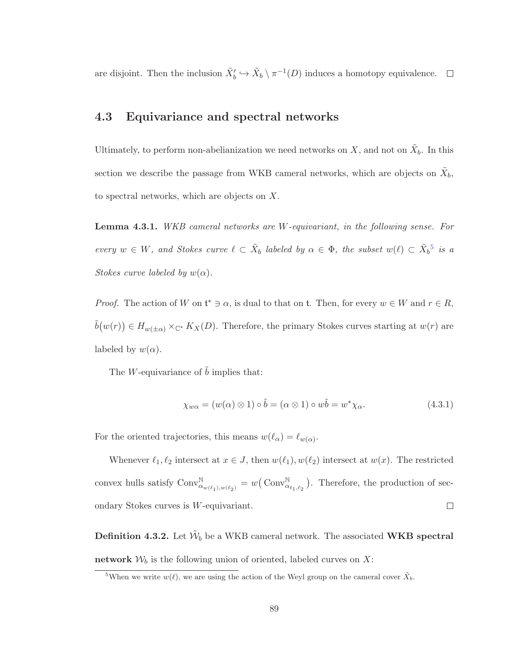are disjoint. Then the inclusion  $\tilde{X}'_b \hookrightarrow \tilde{X}_b \setminus \pi^{-1}(D)$  induces a homotopy equivalence.

## **4.3 Equivariance and spectral networks**

Ultimately, to perform non-abelianization we need networks on X, and not on  $\tilde{X}_b$ . In this section we describe the passage from WKB cameral networks, which are objects on  $\tilde{X}_b$ , to spectral networks, which are objects on X.

**Lemma 4.3.1.** WKB cameral networks are W-equivariant, in the following sense. For every  $w \in W$ , and Stokes curve  $\ell \subset \tilde{X}_b$  labeled by  $\alpha \in \Phi$ , the subset  $w(\ell) \subset \tilde{X}_b^5$  is a Stokes curve labeled by  $w(\alpha)$ .

*Proof.* The action of W on  $\mathfrak{t}^* \ni \alpha$ , is dual to that on  $\mathfrak{t}$ . Then, for every  $w \in W$  and  $r \in R$ ,  $\tilde{b}(w(r)) \in H_{w(\pm\alpha)} \times_{\mathbb{C}^*} K_X(D)$ . Therefore, the primary Stokes curves starting at  $w(r)$  are labeled by  $w(\alpha)$ .

The W-equivariance of  $\tilde{b}$  implies that:

$$
\chi_{w\alpha} = (w(\alpha) \otimes 1) \circ \tilde{b} = (\alpha \otimes 1) \circ w\tilde{b} = w^* \chi_{\alpha}.
$$
 (4.3.1)

For the oriented trajectories, this means  $w(\ell_{\alpha}) = \ell_{w(\alpha)}$ .

Whenever  $\ell_1, \ell_2$  intersect at  $x \in J$ , then  $w(\ell_1), w(\ell_2)$  intersect at  $w(x)$ . The restricted convex hulls satisfy  $\text{Conv}^{\mathbb{N}}_{\alpha_{w(\ell_1),w(\ell_2)}} = w(\text{Conv}^{\mathbb{N}}_{\alpha_{\ell_1,\ell_2}})$ . Therefore, the production of sec- $\Box$ ondary Stokes curves is W-equivariant.

**Definition 4.3.2.** Let  $\tilde{W}_b$  be a WKB cameral network. The associated **WKB** spectral **network**  $W_b$  is the following union of oriented, labeled curves on X:

<sup>&</sup>lt;sup>5</sup>When we write  $w(\ell)$ , we are using the action of the Weyl group on the cameral cover  $\tilde{X}_b$ .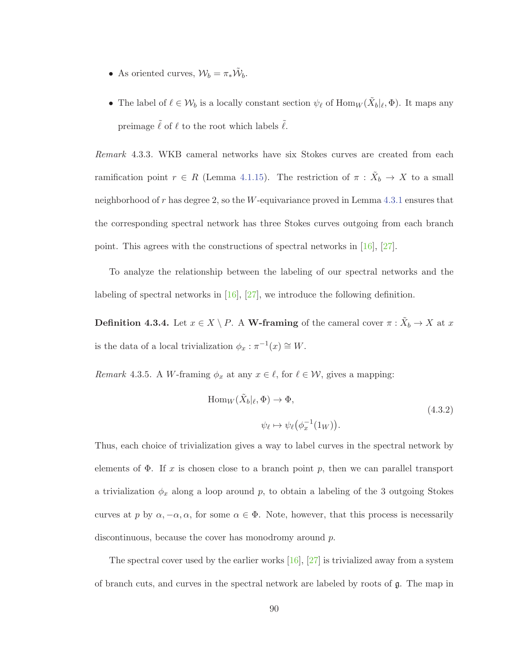- As oriented curves,  $W_b = \pi_* \tilde{W}_b$ .
- The label of  $\ell \in W_b$  is a locally constant section  $\psi_{\ell}$  of  $\text{Hom}_W(\tilde{X}_b|\ell,\Phi)$ . It maps any preimage  $\tilde{\ell}$  of  $\ell$  to the root which labels  $\tilde{\ell}$ .

Remark 4.3.3. WKB cameral networks have six Stokes curves are created from each ramification point  $r \in R$  (Lemma 4.1.15). The restriction of  $\pi : \tilde{X}_b \to X$  to a small neighborhood of  $r$  has degree 2, so the W-equivariance proved in Lemma 4.3.1 ensures that the corresponding spectral network has three Stokes curves outgoing from each branch point. This agrees with the constructions of spectral networks in [16], [27].

To analyze the relationship between the labeling of our spectral networks and the labeling of spectral networks in  $[16]$ ,  $[27]$ , we introduce the following definition.

**Definition 4.3.4.** Let  $x \in X \setminus P$ . A **W-framing** of the cameral cover  $\pi : \tilde{X}_b \to X$  at x is the data of a local trivialization  $\phi_x : \pi^{-1}(x) \cong W$ .

*Remark* 4.3.5. A *W*-framing  $\phi_x$  at any  $x \in \ell$ , for  $\ell \in \mathcal{W}$ , gives a mapping:

$$
\text{Hom}_W(\tilde{X}_b|\ell, \Phi) \to \Phi,
$$
\n
$$
\psi_\ell \mapsto \psi_\ell(\phi_x^{-1}(1_W)).
$$
\n(4.3.2)

Thus, each choice of trivialization gives a way to label curves in the spectral network by elements of  $\Phi$ . If x is chosen close to a branch point p, then we can parallel transport a trivialization  $\phi_x$  along a loop around p, to obtain a labeling of the 3 outgoing Stokes curves at p by  $\alpha, -\alpha, \alpha$ , for some  $\alpha \in \Phi$ . Note, however, that this process is necessarily discontinuous, because the cover has monodromy around p.

The spectral cover used by the earlier works [16], [27] is trivialized away from a system of branch cuts, and curves in the spectral network are labeled by roots of g. The map in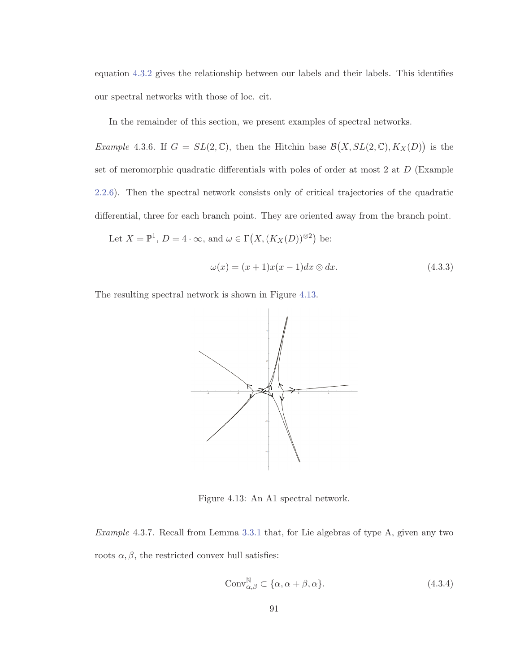equation 4.3.2 gives the relationship between our labels and their labels. This identifies our spectral networks with those of loc. cit.

In the remainder of this section, we present examples of spectral networks.

*Example 4.3.6.* If  $G = SL(2, \mathbb{C})$ , then the Hitchin base  $\mathcal{B}(X, SL(2, \mathbb{C}), K_X(D))$  is the set of meromorphic quadratic differentials with poles of order at most 2 at D (Example 2.2.6). Then the spectral network consists only of critical trajectories of the quadratic differential, three for each branch point. They are oriented away from the branch point.

Let  $X = \mathbb{P}^1$ ,  $D = 4 \cdot \infty$ , and  $\omega \in \Gamma(X, (K_X(D))^{\otimes 2})$  be:

$$
\omega(x) = (x+1)x(x-1)dx \otimes dx.
$$
\n(4.3.3)

The resulting spectral network is shown in Figure 4.13.



Figure 4.13: An A1 spectral network.

Example 4.3.7. Recall from Lemma 3.3.1 that, for Lie algebras of type A, given any two roots  $\alpha, \beta$ , the restricted convex hull satisfies:

$$
Conv_{\alpha,\beta}^{\mathbb{N}} \subset \{\alpha, \alpha + \beta, \alpha\}.
$$
\n(4.3.4)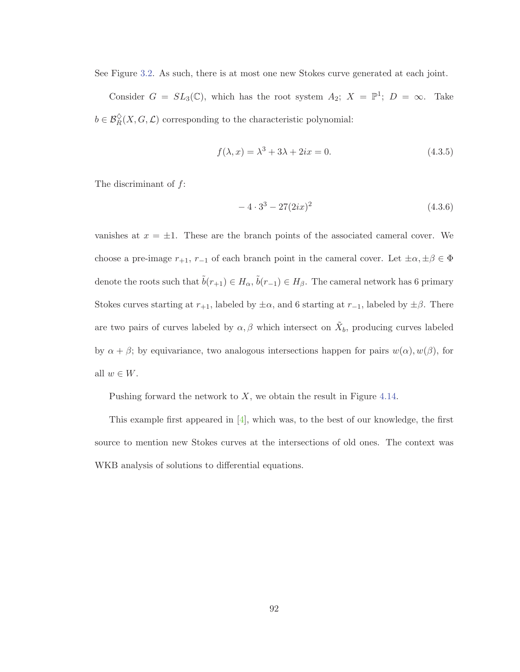See Figure 3.2. As such, there is at most one new Stokes curve generated at each joint.

Consider  $G = SL_3(\mathbb{C})$ , which has the root system  $A_2$ ;  $X = \mathbb{P}^1$ ;  $D = \infty$ . Take  $b \in \mathcal{B}_{R}^{\diamond}(X, G, \mathcal{L})$  corresponding to the characteristic polynomial:

$$
f(\lambda, x) = \lambda^3 + 3\lambda + 2ix = 0.
$$
 (4.3.5)

The discriminant of  $f$ :

$$
-4 \cdot 3^3 - 27(2ix)^2 \tag{4.3.6}
$$

vanishes at  $x = \pm 1$ . These are the branch points of the associated cameral cover. We choose a pre-image  $r_{+1}$ ,  $r_{-1}$  of each branch point in the cameral cover. Let  $\pm \alpha, \pm \beta \in \Phi$ denote the roots such that  $\tilde{b}(r_{+1}) \in H_{\alpha}$ ,  $\tilde{b}(r_{-1}) \in H_{\beta}$ . The cameral network has 6 primary Stokes curves starting at  $r_{+1}$ , labeled by  $\pm \alpha$ , and 6 starting at  $r_{-1}$ , labeled by  $\pm \beta$ . There are two pairs of curves labeled by  $\alpha, \beta$  which intersect on  $\tilde{X}_b$ , producing curves labeled by  $\alpha + \beta$ ; by equivariance, two analogous intersections happen for pairs  $w(\alpha)$ ,  $w(\beta)$ , for all  $w \in W$ .

Pushing forward the network to  $X$ , we obtain the result in Figure 4.14.

This example first appeared in  $[4]$ , which was, to the best of our knowledge, the first source to mention new Stokes curves at the intersections of old ones. The context was WKB analysis of solutions to differential equations.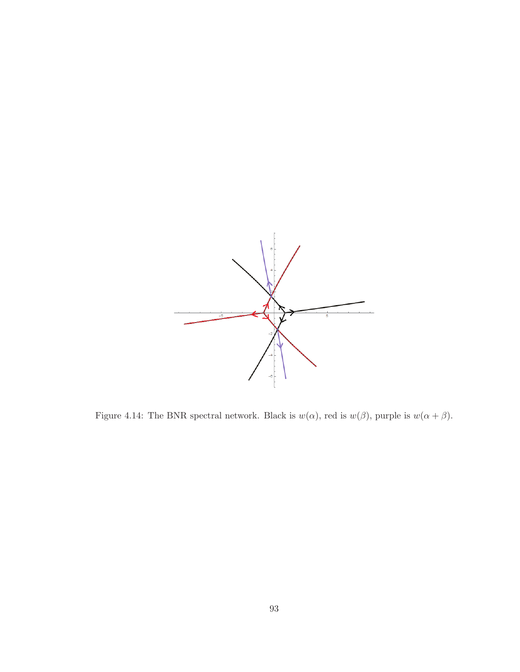

Figure 4.14: The BNR spectral network. Black is  $w(\alpha)$ , red is  $w(\beta)$ , purple is  $w(\alpha + \beta)$ .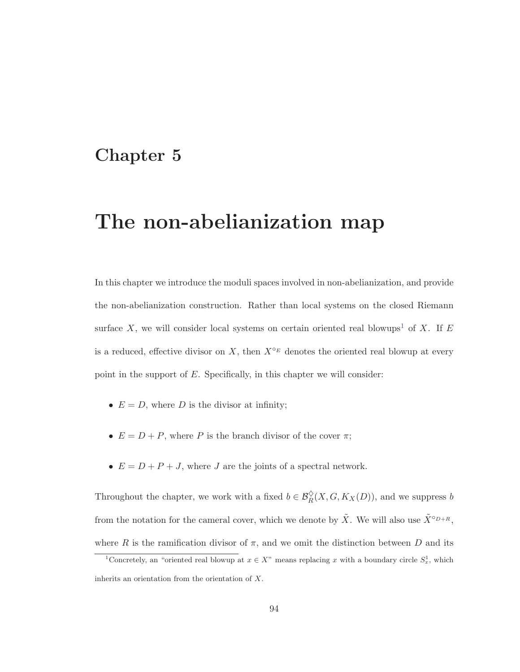# **Chapter 5**

# **The non-abelianization map**

In this chapter we introduce the moduli spaces involved in non-abelianization, and provide the non-abelianization construction. Rather than local systems on the closed Riemann surface X, we will consider local systems on certain oriented real blowups<sup>1</sup> of X. If E is a reduced, effective divisor on X, then  $X^{\circ_E}$  denotes the oriented real blowup at every point in the support of  $E$ . Specifically, in this chapter we will consider:

- $E = D$ , where D is the divisor at infinity;
- $E = D + P$ , where P is the branch divisor of the cover  $\pi$ ;
- $E = D + P + J$ , where J are the joints of a spectral network.

Throughout the chapter, we work with a fixed  $b \in \mathcal{B}_R^{\diamond}(X, G, K_X(D))$ , and we suppress b from the notation for the cameral cover, which we denote by  $\tilde{X}$ . We will also use  $\tilde{X}^{\circ D+R}$ , where R is the ramification divisor of  $\pi$ , and we omit the distinction between D and its

<sup>&</sup>lt;sup>1</sup>Concretely, an "oriented real blowup at  $x \in X$ " means replacing x with a boundary circle  $S_x^1$ , which inherits an orientation from the orientation of X.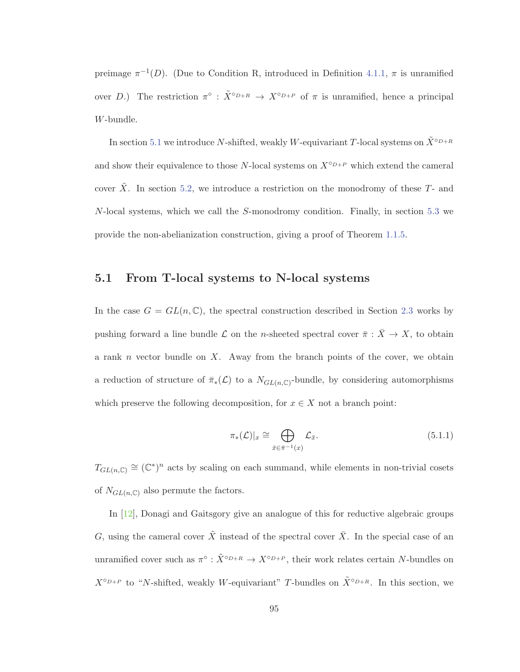preimage  $\pi^{-1}(D)$ . (Due to Condition R, introduced in Definition 4.1.1,  $\pi$  is unramified over D.) The restriction  $\pi^{\circ}$ :  $\tilde{X}^{\circ D+R} \to X^{\circ D+P}$  of  $\pi$  is unramified, hence a principal W-bundle.

In section 5.1 we introduce N-shifted, weakly W-equivariant T-local systems on  $\tilde{X}^{\circ D+R}$ and show their equivalence to those N-local systems on  $X^{\circ D+P}$  which extend the cameral cover  $\tilde{X}$ . In section 5.2, we introduce a restriction on the monodromy of these  $T$ - and N-local systems, which we call the S-monodromy condition. Finally, in section 5.3 we provide the non-abelianization construction, giving a proof of Theorem 1.1.5.

### **5.1 From T-local systems to N-local systems**

In the case  $G = GL(n, \mathbb{C})$ , the spectral construction described in Section 2.3 works by pushing forward a line bundle  $\mathcal L$  on the n-sheeted spectral cover  $\bar \pi : \bar X \to X$ , to obtain a rank  $n$  vector bundle on  $X$ . Away from the branch points of the cover, we obtain a reduction of structure of  $\bar{\pi}_*(\mathcal{L})$  to a  $N_{GL(n,\mathbb{C})}$ -bundle, by considering automorphisms which preserve the following decomposition, for  $x \in X$  not a branch point:

$$
\pi_*(\mathcal{L})|_x \cong \bigoplus_{\bar{x} \in \bar{\pi}^{-1}(x)} \mathcal{L}_{\bar{x}}.\tag{5.1.1}
$$

 $T_{GL(n,\mathbb{C})} \cong (\mathbb{C}^*)^n$  acts by scaling on each summand, while elements in non-trivial cosets of  $N_{GL(n,\mathbb{C})}$  also permute the factors.

In [12], Donagi and Gaitsgory give an analogue of this for reductive algebraic groups G, using the cameral cover  $\tilde{X}$  instead of the spectral cover  $\bar{X}$ . In the special case of an unramified cover such as  $\pi^{\circ}$ :  $\tilde{X}^{\circ D+R} \to X^{\circ D+P}$ , their work relates certain N-bundles on  $X^{\circ D+P}$  to "N-shifted, weakly W-equivariant" T-bundles on  $\tilde{X}^{\circ D+R}$ . In this section, we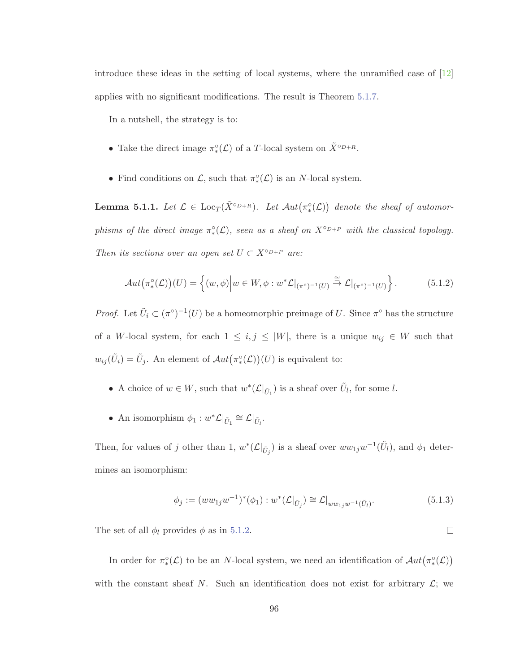introduce these ideas in the setting of local systems, where the unramified case of [12] applies with no significant modifications. The result is Theorem 5.1.7.

In a nutshell, the strategy is to:

- Take the direct image  $\pi^{\circ}_{*}(\mathcal{L})$  of a T-local system on  $\tilde{X}^{\circ_{D+R}}$ .
- Find conditions on  $\mathcal{L}$ , such that  $\pi^{\circ}_{*}(\mathcal{L})$  is an N-local system.

**Lemma 5.1.1.** Let  $\mathcal{L} \in \text{Loc}_T(\tilde{X}^{\circ D+R})$ . Let  $\mathcal{A}ut(\pi^{\circ}_*(\mathcal{L}))$  denote the sheaf of automorphisms of the direct image  $\pi^{\circ}_{*}(\mathcal{L})$ , seen as a sheaf on  $X^{\circ_{D+P}}$  with the classical topology. Then its sections over an open set  $U \subset X^{\circ_{D+P}}$  are:

$$
\mathcal{A}ut(\pi^{\circ}_{*}(\mathcal{L}))(U) = \left\{ (w,\phi) \Big| w \in W, \phi : w^{*}\mathcal{L}|_{(\pi^{\circ})^{-1}(U)} \stackrel{\cong}{\to} \mathcal{L}|_{(\pi^{\circ})^{-1}(U)} \right\}.
$$
 (5.1.2)

*Proof.* Let  $\tilde{U}_i \subset (\pi^{\circ})^{-1}(U)$  be a homeomorphic preimage of U. Since  $\pi^{\circ}$  has the structure of a W-local system, for each  $1 \leq i, j \leq |W|$ , there is a unique  $w_{ij} \in W$  such that  $w_{ij}(\tilde{U}_i) = \tilde{U}_j$ . An element of  $Aut(\pi^{\circ}_*(\mathcal{L}))(U)$  is equivalent to:

- A choice of  $w \in W$ , such that  $w^*(\mathcal{L}|_{\tilde{U}_1})$  is a sheaf over  $\tilde{U}_l$ , for some l.
- An isomorphism  $\phi_1 : w^* \mathcal{L} |_{\tilde{U}_1} \cong \mathcal{L} |_{\tilde{U}_l}.$

Then, for values of j other than 1,  $w^*(\mathcal{L}|_{\tilde{U}_j})$  is a sheaf over  $ww_{1j}w^{-1}(\tilde{U}_l)$ , and  $\phi_1$  determines an isomorphism:

$$
\phi_j := (ww_{1j}w^{-1})^*(\phi_1) : w^*(\mathcal{L}|_{\tilde{U}_j}) \cong \mathcal{L}|_{ww_{1j}w^{-1}(\tilde{U}_l)}.
$$
\n(5.1.3)

 $\Box$ 

The set of all  $\phi_l$  provides  $\phi$  as in 5.1.2.

In order for  $\pi^{\circ}_*(\mathcal{L})$  to be an N-local system, we need an identification of  $Aut(\pi^{\circ}_*(\mathcal{L}))$ with the constant sheaf N. Such an identification does not exist for arbitrary  $\mathcal{L}$ ; we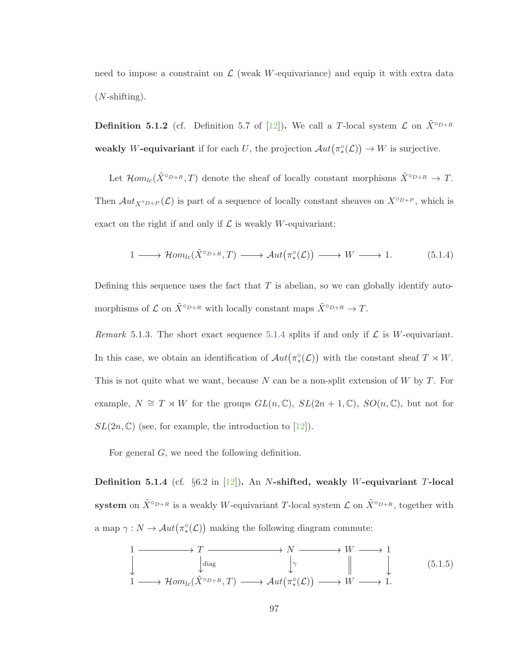need to impose a constraint on  $\mathcal L$  (weak W-equivariance) and equip it with extra data  $(N\text{-shifting}).$ 

**Definition 5.1.2** (cf. Definition 5.7 of [12]). We call a T-local system  $\mathcal{L}$  on  $\tilde{X}^{\circ D+R}$ **weakly** W-equivariant if for each U, the projection  $Aut(\pi^{\circ}_*(\mathcal{L})) \to W$  is surjective.

Let  $\mathcal{H}om_{lc}(\tilde{X}^{\circ_{D+R}},T)$  denote the sheaf of locally constant morphisms  $\tilde{X}^{\circ_{D+R}} \to T$ . Then  $Aut_{X^{\circ D+p}}(\mathcal{L})$  is part of a sequence of locally constant sheaves on  $X^{\circ D+p}$ , which is exact on the right if and only if  $\mathcal L$  is weakly W-equivariant:

$$
1 \longrightarrow \mathcal{H}om_{lc}(\tilde{X}^{\circ}_{\rho+R},T) \longrightarrow \mathcal{A}ut(\pi^{\circ}_{*}(\mathcal{L})) \longrightarrow W \longrightarrow 1. \tag{5.1.4}
$$

Defining this sequence uses the fact that  $T$  is abelian, so we can globally identify automorphisms of  $\mathcal L$  on  $\tilde X^{\circ p_R}$  with locally constant maps  $\tilde X^{\circ p_R} \to T$ .

Remark 5.1.3. The short exact sequence 5.1.4 splits if and only if  $\mathcal L$  is W-equivariant. In this case, we obtain an identification of  $Aut(\pi^{\circ}_*(\mathcal{L}))$  with the constant sheaf  $T \rtimes W$ . This is not quite what we want, because N can be a non-split extension of  $W$  by  $T$ . For example,  $N \cong T \rtimes W$  for the groups  $GL(n,\mathbb{C}), SL(2n+1,\mathbb{C}), SO(n,\mathbb{C}),$  but not for  $SL(2n, \mathbb{C})$  (see, for example, the introduction to [12]).

For general G, we need the following definition.

**Definition 5.1.4** (cf. §6.2 in [12])**.** An N**-shifted, weakly** W**-equivariant** T**-local system** on  $\tilde{X}^{\circ D+R}$  is a weakly W-equivariant T-local system  $\mathcal{L}$  on  $\tilde{X}^{\circ D+R}$ , together with a map  $\gamma: N \to Aut(\pi^{\circ}_*(\mathcal{L}))$  making the following diagram commute:

$$
\begin{array}{ccc}\n1 & \longrightarrow & T \longrightarrow N \longrightarrow W \longrightarrow 1 \\
\downarrow & \downarrow & \downarrow \\
1 & \longrightarrow \mathcal{H}om_{lc}(\tilde{X}^{\circ D+R}, T) \longrightarrow \mathcal{A}ut(\pi^{\circ}_{*}(\mathcal{L})) \longrightarrow W \longrightarrow 1.\n\end{array} \tag{5.1.5}
$$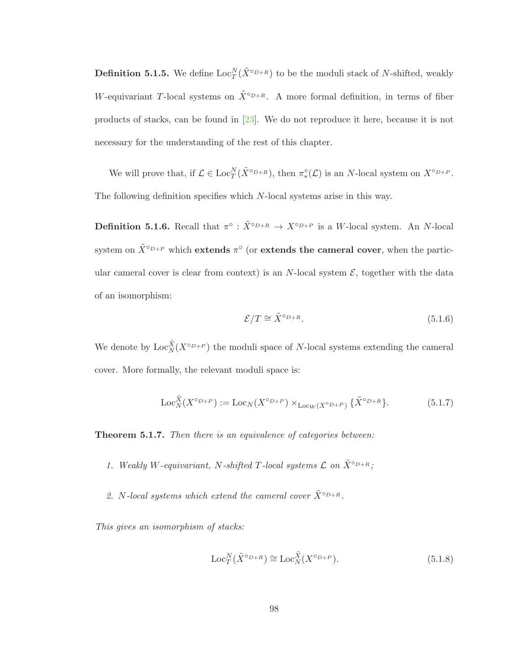**Definition 5.1.5.** We define  $\text{Loc}_T^N(\tilde{X}^{\circ D+R})$  to be the moduli stack of N-shifted, weakly W-equivariant T-local systems on  $\tilde{X}^{\circ D+R}$ . A more formal definition, in terms of fiber products of stacks, can be found in [23]. We do not reproduce it here, because it is not necessary for the understanding of the rest of this chapter.

We will prove that, if  $\mathcal{L} \in \text{Loc}_{T}^{N}(\tilde{X}^{\circ_{D+R}})$ , then  $\pi_{*}^{\circ}(\mathcal{L})$  is an N-local system on  $X^{\circ_{D+P}}$ . The following definition specifies which N-local systems arise in this way.

**Definition 5.1.6.** Recall that  $\pi^{\circ}$  :  $\tilde{X}^{\circ D+R} \to X^{\circ D+P}$  is a W-local system. An N-local system on  $\tilde{X}^{\circ D+P}$  which **extends**  $\pi^{\circ}$  (or **extends the cameral cover**, when the particular cameral cover is clear from context) is an N-local system  $\mathcal{E}$ , together with the data of an isomorphism:

$$
\mathcal{E}/T \cong \tilde{X}^{\circ_{D+R}}.\tag{5.1.6}
$$

We denote by  $\text{Loc}_{N}^{\tilde{X}}(X^{\circ_{D+P}})$  the moduli space of N-local systems extending the cameral cover. More formally, the relevant moduli space is:

$$
\operatorname{Loc}_N^{\tilde{X}}(X^{\circ D+P}) := \operatorname{Loc}_N(X^{\circ D+P}) \times_{\operatorname{Loc}_W(X^{\circ D+P})} {\tilde{X}}^{\circ D+R}.
$$
 (5.1.7)

**Theorem 5.1.7.** Then there is an equivalence of categories between:

- 1. Weakly W-equivariant, N-shifted T-local systems  $\mathcal L$  on  $\tilde X^{\circ D+R}$ ;
- 2. N-local systems which extend the cameral cover  $\tilde{X}^{\circ D+R}$ .

This gives an isomorphism of stacks:

$$
\operatorname{Loc}_{T}^{N}(\tilde{X}^{\circ D+R}) \cong \operatorname{Loc}_{N}^{\tilde{X}}(X^{\circ D+P}).\tag{5.1.8}
$$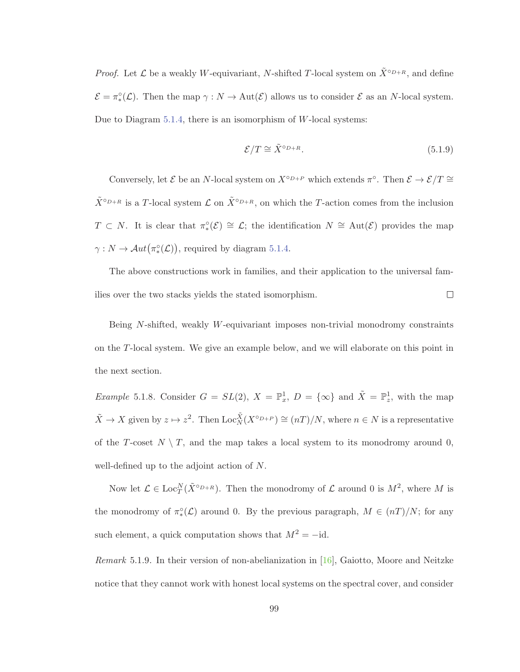*Proof.* Let  $\mathcal L$  be a weakly W-equivariant, N-shifted T-local system on  $\tilde{X}^{\circ_{D+R}}$ , and define  $\mathcal{E} = \pi^{\circ}_{*}(\mathcal{L})$ . Then the map  $\gamma : N \to \text{Aut}(\mathcal{E})$  allows us to consider  $\mathcal{E}$  as an N-local system. Due to Diagram 5.1.4, there is an isomorphism of W-local systems:

$$
\mathcal{E}/T \cong \tilde{X}^{\circ D + R}.\tag{5.1.9}
$$

Conversely, let  $\mathcal E$  be an N-local system on  $X^{\circ_{D+P}}$  which extends  $\pi^{\circ}$ . Then  $\mathcal E \to \mathcal E/T \cong$  $\tilde{X}^{\circ_{D+R}}$  is a T-local system  $\mathcal L$  on  $\tilde{X}^{\circ_{D+R}}$ , on which the T-action comes from the inclusion  $T \subset N$ . It is clear that  $\pi^{\circ}(\mathcal{E}) \cong \mathcal{L}$ ; the identification  $N \cong \text{Aut}(\mathcal{E})$  provides the map  $\gamma: N \to Aut(\pi^{\circ}_*(\mathcal{L}))$ , required by diagram 5.1.4.

The above constructions work in families, and their application to the universal fam- $\Box$ ilies over the two stacks yields the stated isomorphism.

Being N-shifted, weakly W-equivariant imposes non-trivial monodromy constraints on the T-local system. We give an example below, and we will elaborate on this point in the next section.

*Example* 5.1.8. Consider  $G = SL(2)$ ,  $X = \mathbb{P}_x^1$ ,  $D = \{\infty\}$  and  $\tilde{X} = \mathbb{P}_z^1$ , with the map  $\tilde{X} \to X$  given by  $z \mapsto z^2$ . Then  $\text{Loc}_{N}^{\tilde{X}}(X^{\circ p+p}) \cong (nT)/N$ , where  $n \in N$  is a representative of the T-coset  $N \setminus T$ , and the map takes a local system to its monodromy around 0, well-defined up to the adjoint action of N.

Now let  $\mathcal{L} \in \text{Loc}_{T}^{N}(\tilde{X}^{\circ_{D+R}})$ . Then the monodromy of  $\mathcal{L}$  around 0 is  $M^{2}$ , where M is the monodromy of  $\pi^{\circ}_{*}(\mathcal{L})$  around 0. By the previous paragraph,  $M \in (nT)/N$ ; for any such element, a quick computation shows that  $M^2 = -id$ .

*Remark* 5.1.9. In their version of non-abelianization in [16], Gaiotto, Moore and Neitzke notice that they cannot work with honest local systems on the spectral cover, and consider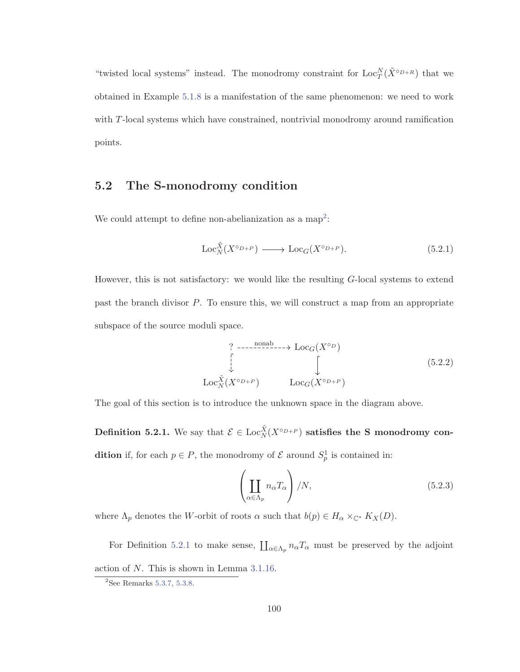"twisted local systems" instead. The monodromy constraint for  $\text{Loc}_{T}^{N}(\tilde{X}^{\circ_{D+R}})$  that we obtained in Example 5.1.8 is a manifestation of the same phenomenon: we need to work with T-local systems which have constrained, nontrivial monodromy around ramification points.

### **5.2 The S-monodromy condition**

We could attempt to define non-abelianization as a map<sup>2</sup>:

$$
\operatorname{Loc}_N^{\tilde{X}}(X^{\circ D+P}) \longrightarrow \operatorname{Loc}_G(X^{\circ D+P}).\tag{5.2.1}
$$

However, this is not satisfactory: we would like the resulting G-local systems to extend past the branch divisor P. To ensure this, we will construct a map from an appropriate subspace of the source moduli space.

$$
\begin{array}{ccc}\n? & \cdots \xrightarrow{\text{nonab}} \cdots \rightarrow \text{Loc}_G(X^{\circ D}) \\
\downarrow & & \downarrow \\
\text{Loc}_{N}^{\tilde{X}}(X^{\circ D+P}) & & \text{Loc}_G(X^{\circ D+P})\n\end{array} \tag{5.2.2}
$$

The goal of this section is to introduce the unknown space in the diagram above.

**Definition 5.2.1.** We say that  $\mathcal{E} \in \text{Loc}_{N}^{\tilde{X}}(X^{\circ D+P})$  satisfies the S monodromy con**dition** if, for each  $p \in P$ , the monodromy of  $\mathcal{E}$  around  $S_p^1$  is contained in:

$$
\left(\coprod_{\alpha \in \Lambda_p} n_{\alpha} T_{\alpha}\right) / N, \tag{5.2.3}
$$

where  $\Lambda_p$  denotes the W-orbit of roots  $\alpha$  such that  $b(p) \in H_\alpha \times_{\mathbb{C}^*} K_X(D)$ .

For Definition 5.2.1 to make sense,  $\prod_{\alpha \in \Lambda_p} n_{\alpha} T_{\alpha}$  must be preserved by the adjoint action of N. This is shown in Lemma 3.1.16.

 $2$ See Remarks 5.3.7, 5.3.8.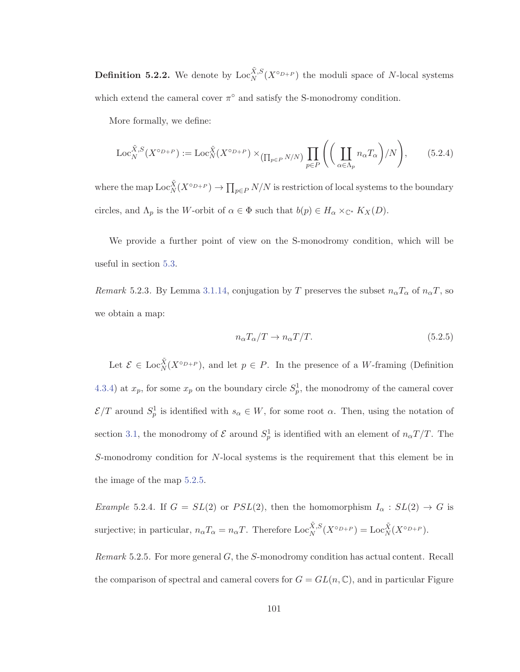**Definition 5.2.2.** We denote by  $\text{Loc}_{N}^{\tilde{X},S}(X^{\circ D+P})$  the moduli space of N-local systems which extend the cameral cover  $\pi$ <sup>°</sup> and satisfy the S-monodromy condition.

More formally, we define:

$$
\operatorname{Loc}_{N}^{\tilde{X},S}(X^{\circ D+P}) := \operatorname{Loc}_{N}^{\tilde{X}}(X^{\circ D+P}) \times_{\left(\prod_{p \in P} N/N\right)} \prod_{p \in P} \left(\left(\coprod_{\alpha \in \Lambda_{p}} n_{\alpha} T_{\alpha}\right) / N\right),\tag{5.2.4}
$$

where the map  $\text{Loc}_{N}^{\tilde{X}}(X^{\circ p+p}) \to \prod_{p \in P} N/N$  is restriction of local systems to the boundary circles, and  $\Lambda_p$  is the W-orbit of  $\alpha \in \Phi$  such that  $b(p) \in H_\alpha \times_{\mathbb{C}^*} K_X(D)$ .

We provide a further point of view on the S-monodromy condition, which will be useful in section 5.3.

Remark 5.2.3. By Lemma 3.1.14, conjugation by T preserves the subset  $n_{\alpha}T_{\alpha}$  of  $n_{\alpha}T$ , so we obtain a map:

$$
n_{\alpha}T_{\alpha}/T \to n_{\alpha}T/T. \tag{5.2.5}
$$

Let  $\mathcal{E} \in \text{Loc}_{N}^{\tilde{X}}(X^{\circ p+p}),$  and let  $p \in P$ . In the presence of a W-framing (Definition 4.3.4) at  $x_p$ , for some  $x_p$  on the boundary circle  $S_p^1$ , the monodromy of the cameral cover  $\mathcal{E}/T$  around  $S_p^1$  is identified with  $s_\alpha \in W$ , for some root  $\alpha$ . Then, using the notation of section 3.1, the monodromy of  $\mathcal E$  around  $S_p^1$  is identified with an element of  $n_\alpha T/T$ . The S-monodromy condition for N-local systems is the requirement that this element be in the image of the map 5.2.5.

Example 5.2.4. If  $G = SL(2)$  or  $PSL(2)$ , then the homomorphism  $I_{\alpha} : SL(2) \rightarrow G$  is surjective; in particular,  $n_{\alpha}T_{\alpha} = n_{\alpha}T$ . Therefore  $\text{Loc}_{N}^{\tilde{X},S}(X^{\circ D+P}) = \text{Loc}_{N}^{\tilde{X}}(X^{\circ D+P})$ .

Remark 5.2.5. For more general G, the S-monodromy condition has actual content. Recall the comparison of spectral and cameral covers for  $G = GL(n, \mathbb{C})$ , and in particular Figure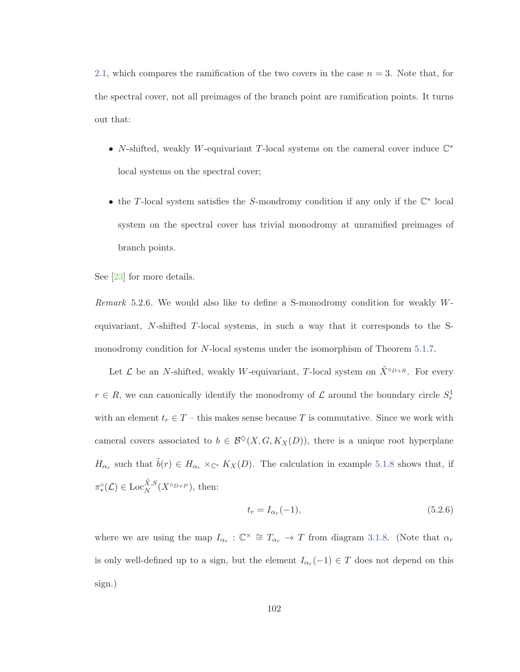2.1, which compares the ramification of the two covers in the case  $n = 3$ . Note that, for the spectral cover, not all preimages of the branch point are ramification points. It turns out that:

- N-shifted, weakly W-equivariant T-local systems on the cameral cover induce C<sup>∗</sup> local systems on the spectral cover;
- the T-local system satisfies the S-mondromy condition if any only if the C<sup>∗</sup> local system on the spectral cover has trivial monodromy at unramified preimages of branch points.

See [23] for more details.

Remark 5.2.6. We would also like to define a S-monodromy condition for weakly Wequivariant,  $N$ -shifted  $T$ -local systems, in such a way that it corresponds to the Smonodromy condition for N-local systems under the isomorphism of Theorem 5.1.7.

Let  $\mathcal L$  be an N-shifted, weakly W-equivariant, T-local system on  $\tilde{X}^{\circ D+R}$ . For every  $r \in R$ , we can canonically identify the monodromy of  $\mathcal L$  around the boundary circle  $S_r^1$ with an element  $t_r \in T$  – this makes sense because T is commutative. Since we work with cameral covers associated to  $b \in \mathcal{B}^{\diamond}(X, G, K_X(D))$ , there is a unique root hyperplane  $H_{\alpha_r}$  such that  $\tilde{b}(r) \in H_{\alpha_r} \times_{\mathbb{C}^*} K_X(D)$ . The calculation in example 5.1.8 shows that, if  $\pi^{\circ}_*(\mathcal{L}) \in \mathrm{Loc}_N^{\tilde{X},S}(X^{\circ_{D+P}})$ , then:

$$
t_r = I_{\alpha_r}(-1),\tag{5.2.6}
$$

where we are using the map  $I_{\alpha_r} : \mathbb{C}^\times \cong T_{\alpha_r} \to T$  from diagram 3.1.8. (Note that  $\alpha_r$ is only well-defined up to a sign, but the element  $I_{\alpha_r}(-1) \in T$  does not depend on this sign.)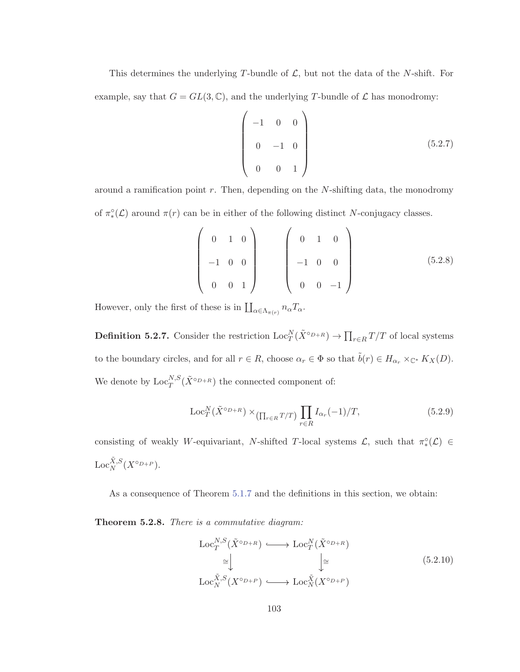This determines the underlying T-bundle of  $\mathcal{L}$ , but not the data of the N-shift. For example, say that  $G = GL(3, \mathbb{C})$ , and the underlying T-bundle of  $\mathcal L$  has monodromy:

$$
\begin{pmatrix}\n-1 & 0 & 0 \\
0 & -1 & 0 \\
0 & 0 & 1\n\end{pmatrix}
$$
\n(5.2.7)

around a ramification point  $r$ . Then, depending on the  $N$ -shifting data, the monodromy of  $\pi^{\circ}_*(\mathcal{L})$  around  $\pi(r)$  can be in either of the following distinct N-conjugacy classes.

$$
\begin{pmatrix}\n0 & 1 & 0 \\
-1 & 0 & 0 \\
0 & 0 & 1\n\end{pmatrix}\n\begin{pmatrix}\n0 & 1 & 0 \\
-1 & 0 & 0 \\
0 & 0 & -1\n\end{pmatrix}
$$
\n(5.2.8)

However, only the first of these is in  $\prod_{\alpha \in \Lambda_{\pi(r)}} n_{\alpha} T_{\alpha}$ .

**Definition 5.2.7.** Consider the restriction  $\text{Loc}_{T}^{N}(\tilde{X}^{\circ D+R}) \to \prod_{r \in R} T/T$  of local systems to the boundary circles, and for all  $r \in R$ , choose  $\alpha_r \in \Phi$  so that  $\tilde{b}(r) \in H_{\alpha_r} \times_{\mathbb{C}^*} K_X(D)$ . We denote by  $\text{Loc}_T^{N,S}(\tilde{X}^{\circ D+R})$  the connected component of:

$$
\operatorname{Loc}_{T}^{N}(\tilde{X}^{\circ_{D+R}}) \times_{\left(\prod_{r \in R} T/T\right)} \prod_{r \in R} I_{\alpha_r}(-1)/T,
$$
\n(5.2.9)

consisting of weakly W-equivariant, N-shifted T-local systems  $\mathcal{L}$ , such that  $\pi^{\circ}_{*}(\mathcal{L}) \in$  $\mathrm{Loc}_N^{\tilde{X},S}(X^{\circ_{D+P}}).$ 

As a consequence of Theorem 5.1.7 and the definitions in this section, we obtain:

**Theorem 5.2.8.** There is a commutative diagram:

$$
\operatorname{Loc}_{T}^{N,S}(\tilde{X}^{\circ D+R}) \longleftrightarrow \operatorname{Loc}_{T}^{N}(\tilde{X}^{\circ D+R})
$$
  
\n
$$
\cong \downarrow \qquad \qquad \downarrow \cong
$$
  
\n
$$
\operatorname{Loc}_{N}^{\tilde{X},S}(X^{\circ D+P}) \longrightarrow \operatorname{Loc}_{N}^{\tilde{X}}(X^{\circ D+P})
$$
  
\n(5.2.10)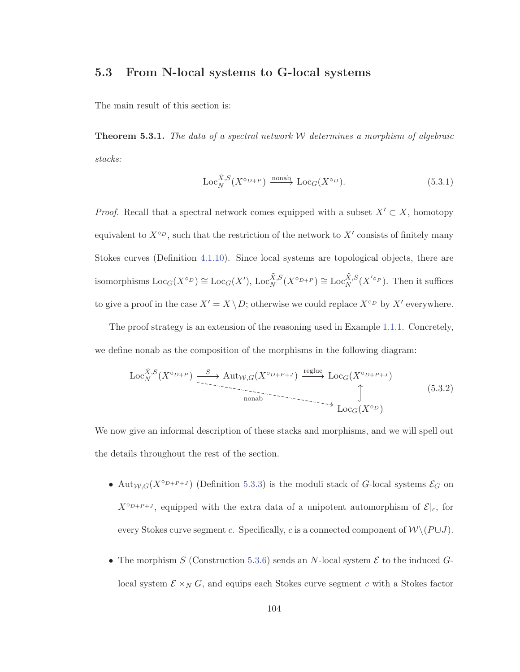## **5.3 From N-local systems to G-local systems**

The main result of this section is:

**Theorem 5.3.1.** The data of a spectral network  $W$  determines a morphism of algebraic stacks:

$$
\operatorname{Loc}_N^{\tilde{X},S}(X^{\circ D+P}) \xrightarrow{\text{nonab}} \operatorname{Loc}_G(X^{\circ D}).\tag{5.3.1}
$$

*Proof.* Recall that a spectral network comes equipped with a subset  $X' \subset X$ , homotopy equivalent to  $X^{\circ_D}$ , such that the restriction of the network to  $X'$  consists of finitely many Stokes curves (Definition 4.1.10). Since local systems are topological objects, there are isomorphisms  $\text{Loc}_G(X^{\circ_D}) \cong \text{Loc}_G(X')$ ,  $\text{Loc}_{N}^{\tilde{X},S}(X^{\circ_{D+P}}) \cong \text{Loc}_{N}^{\tilde{X},S}(X'^{\circ_{P}})$ . Then it suffices to give a proof in the case  $X' = X \setminus D$ ; otherwise we could replace  $X^{\circ D}$  by  $X'$  everywhere.

The proof strategy is an extension of the reasoning used in Example 1.1.1. Concretely, we define nonab as the composition of the morphisms in the following diagram:

$$
\operatorname{Loc}_{N}^{\tilde{X},S}(X^{\circ D+P}) \xrightarrow{\ S} \operatorname{Aut}_{W,G}(X^{\circ D+P+J}) \xrightarrow{\operatorname{reglue}} \operatorname{Loc}_{G}(X^{\circ D+P+J})
$$
  
nonab  

$$
\updownarrow
$$
  

$$
\operatorname{Loc}_{G}(X^{\circ D})
$$
  

$$
\downarrow
$$
  

$$
\operatorname{Loc}_{G}(X^{\circ D})
$$
  

$$
(5.3.2)
$$

We now give an informal description of these stacks and morphisms, and we will spell out the details throughout the rest of the section.

- Aut $_{W,G}(X^{\circ_{D+P+J}})$  (Definition 5.3.3) is the moduli stack of G-local systems  $\mathcal{E}_G$  on  $X^{\circ_{D+P+J}}$ , equipped with the extra data of a unipotent automorphism of  $\mathcal{E}|_c$ , for every Stokes curve segment c. Specifically, c is a connected component of  $W \setminus (P \cup J)$ .
- The morphism S (Construction 5.3.6) sends an N-local system  $\mathcal E$  to the induced  $G$ local system  $\mathcal{E} \times_N G$ , and equips each Stokes curve segment c with a Stokes factor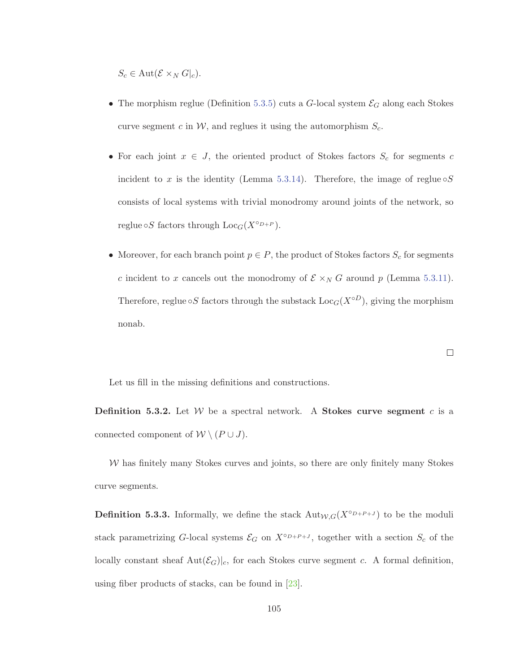$S_c \in \mathrm{Aut}(\mathcal{E} \times_N G|_c).$ 

- The morphism reglue (Definition 5.3.5) cuts a G-local system  $\mathcal{E}_G$  along each Stokes curve segment c in  $W$ , and reglues it using the automorphism  $S_c$ .
- For each joint  $x \in J$ , the oriented product of Stokes factors  $S_c$  for segments c incident to x is the identity (Lemma 5.3.14). Therefore, the image of reglue  $\circ S$ consists of local systems with trivial monodromy around joints of the network, so reglue  $\circ S$  factors through  $Loc<sub>G</sub>(X<sup>o<sub>D+P</sub></sup>)$ .
- Moreover, for each branch point  $p \in P$ , the product of Stokes factors  $S_c$  for segments c incident to x cancels out the monodromy of  $\mathcal{E} \times_N G$  around p (Lemma 5.3.11). Therefore, reglue  $\circ S$  factors through the substack  $Loc_G(X \circ D)$ , giving the morphism nonab.

$$
\Box
$$

Let us fill in the missing definitions and constructions.

**Definition 5.3.2.** Let  $W$  be a spectral network. A **Stokes curve segment** c is a connected component of  $W \setminus (P \cup J)$ .

 $W$  has finitely many Stokes curves and joints, so there are only finitely many Stokes curve segments.

**Definition 5.3.3.** Informally, we define the stack  $\text{Aut}_{W,G}(X^{\circ D+P+J})$  to be the moduli stack parametrizing G-local systems  $\mathcal{E}_G$  on  $X^{\circ_{D+P+J}}$ , together with a section  $S_c$  of the locally constant sheaf  $Aut(\mathcal{E}_G)|_c$ , for each Stokes curve segment c. A formal definition, using fiber products of stacks, can be found in [23].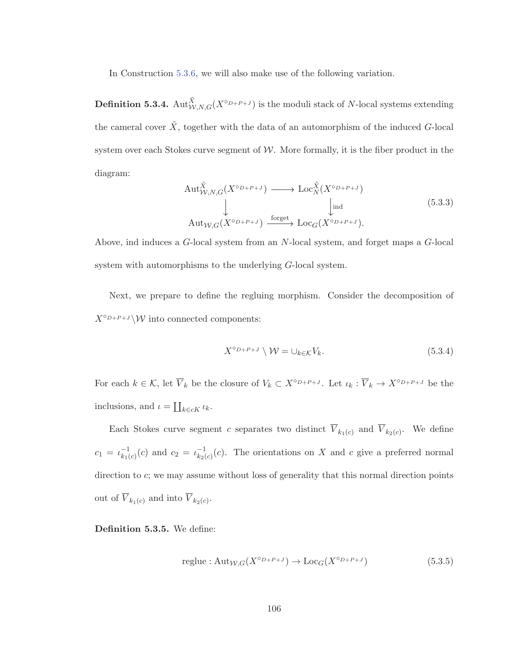In Construction 5.3.6, we will also make use of the following variation.

**Definition 5.3.4.**  $\text{Aut}^{\tilde{X}}_{W,N,G}(X^{\circ_{D+P+J}})$  is the moduli stack of N-local systems extending the cameral cover  $\tilde{X}$ , together with the data of an automorphism of the induced G-local system over each Stokes curve segment of  $W$ . More formally, it is the fiber product in the diagram:

$$
\begin{array}{ccc}\n\text{Aut}_{W,N,G}^{\tilde{X}}(X^{\circ D+P+J}) & \longrightarrow \text{Loc}_{N}^{\tilde{X}}(X^{\circ D+P+J}) \\
\downarrow & & \downarrow \text{ind} \\
\text{Aut}_{W,G}(X^{\circ D+P+J}) & \xrightarrow{\text{forget}} \text{Loc}_{G}(X^{\circ D+P+J}).\n\end{array} (5.3.3)
$$

Above, ind induces a G-local system from an N-local system, and forget maps a G-local system with automorphisms to the underlying G-local system.

Next, we prepare to define the regluing morphism. Consider the decomposition of  $X^{\circ_{D+P+J}}\backslash W$  into connected components:

$$
X^{\circ_{D+P+J}} \setminus \mathcal{W} = \cup_{k \in \mathcal{K}} V_k. \tag{5.3.4}
$$

For each  $k \in \mathcal{K}$ , let  $\overline{V}_k$  be the closure of  $V_k \subset X^{\circ D + P + J}$ . Let  $\iota_k : \overline{V}_k \to X^{\circ D + P + J}$  be the inclusions, and  $\iota = \coprod_{k \in cK} \iota_k$ .

Each Stokes curve segment c separates two distinct  $\overline{V}_{k_1(c)}$  and  $\overline{V}_{k_2(c)}$ . We define  $c_1 = \iota_{k_1(c)}^{-1}(c)$  and  $c_2 = \iota_{k_2(c)}^{-1}(c)$ . The orientations on X and c give a preferred normal direction to c; we may assume without loss of generality that this normal direction points out of  $\overline{V}_{k_1(c)}$  and into  $\overline{V}_{k_2(c)}$ .

**Definition 5.3.5.** We define:

$$
reglue: Aut_{\mathcal{W},G}(X^{\circ D+P+J}) \to Loc_G(X^{\circ D+P+J})
$$
\n
$$
(5.3.5)
$$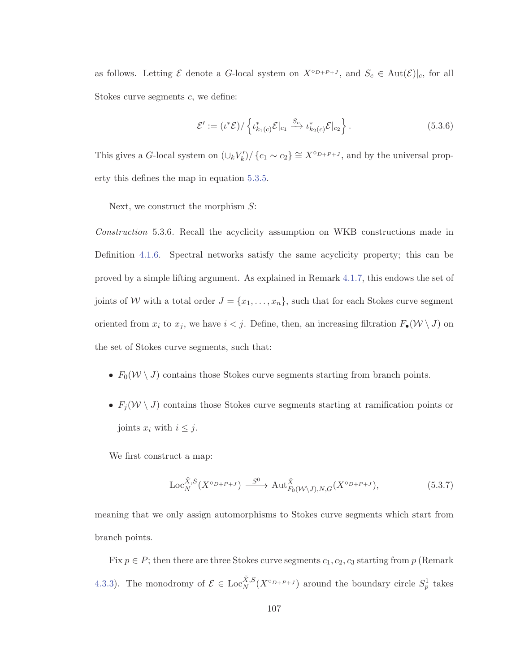as follows. Letting  $\mathcal E$  denote a G-local system on  $X^{\circ_{D+P+J}}$ , and  $S_c \in \text{Aut}(\mathcal E)|_c$ , for all Stokes curve segments c, we define:

$$
\mathcal{E}' := (\iota^*\mathcal{E})/\left\{\iota^*_{k_1(c)}\mathcal{E}|_{c_1} \xrightarrow{S_c} \iota^*_{k_2(c)}\mathcal{E}|_{c_2}\right\}.
$$
\n(5.3.6)

This gives a G-local system on  $(\cup_k V'_k) / \{c_1 \sim c_2\} \cong X^{\circ D + P + J}$ , and by the universal property this defines the map in equation 5.3.5.

Next, we construct the morphism  $S$ :

Construction 5.3.6. Recall the acyclicity assumption on WKB constructions made in Definition 4.1.6. Spectral networks satisfy the same acyclicity property; this can be proved by a simple lifting argument. As explained in Remark 4.1.7, this endows the set of joints of W with a total order  $J = \{x_1, \ldots, x_n\}$ , such that for each Stokes curve segment oriented from  $x_i$  to  $x_j$ , we have  $i < j$ . Define, then, an increasing filtration  $F_{\bullet}(\mathcal{W} \setminus J)$  on the set of Stokes curve segments, such that:

- $F_0(\mathcal{W} \setminus J)$  contains those Stokes curve segments starting from branch points.
- $F_j(W \setminus J)$  contains those Stokes curve segments starting at ramification points or joints  $x_i$  with  $i \leq j$ .

We first construct a map:

$$
\operatorname{Loc}_{N}^{\tilde{X},S}(X^{\circ D+P+J}) \xrightarrow{S^{0}} \operatorname{Aut}_{F_{0}(\mathcal{W}\backslash J),N,G}^{\tilde{X}}(X^{\circ D+P+J}),
$$
(5.3.7)

meaning that we only assign automorphisms to Stokes curve segments which start from branch points.

Fix  $p \in P$ ; then there are three Stokes curve segments  $c_1, c_2, c_3$  starting from  $p$  (Remark 4.3.3). The monodromy of  $\mathcal{E} \in \text{Loc}_{N}^{\tilde{X},S}(X^{\circ D+P+J})$  around the boundary circle  $S_p^1$  takes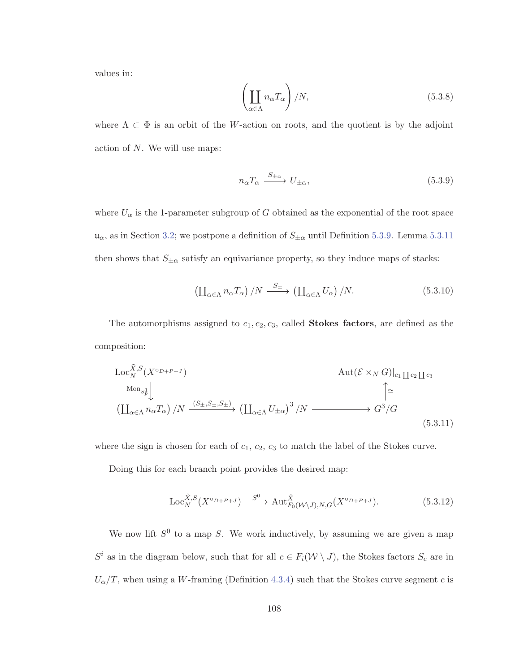values in:

$$
\left(\coprod_{\alpha\in\Lambda} n_{\alpha}T_{\alpha}\right)/N,
$$
\n(5.3.8)

where  $\Lambda \subset \Phi$  is an orbit of the W-action on roots, and the quotient is by the adjoint action of N. We will use maps:

$$
n_{\alpha}T_{\alpha} \xrightarrow{S_{\pm\alpha}} U_{\pm\alpha}, \tag{5.3.9}
$$

where  $U_{\alpha}$  is the 1-parameter subgroup of G obtained as the exponential of the root space  $\mathfrak{u}_{\alpha}$ , as in Section 3.2; we postpone a definition of  $S_{\pm\alpha}$  until Definition 5.3.9. Lemma 5.3.11 then shows that  $S_{\pm\alpha}$  satisfy an equivariance property, so they induce maps of stacks:

$$
\left(\coprod_{\alpha\in\Lambda}n_{\alpha}T_{\alpha}\right)/N\stackrel{S_{\pm}}{\longrightarrow}\left(\coprod_{\alpha\in\Lambda}U_{\alpha}\right)/N.\tag{5.3.10}
$$

The automorphisms assigned to  $c_1, c_2, c_3$ , called **Stokes factors**, are defined as the composition:

$$
\operatorname{Loc}_{N}^{\tilde{X},S}(X^{\circ D+P+J}) \qquad \operatorname{Aut}(\mathcal{E} \times_{N} G)|_{c_{1}} \amalg c_{2} \amalg c_{3}
$$
\n
$$
\operatorname{Mon}_{S_{p}^{1}} \downarrow \qquad \qquad \downarrow \qquad \qquad \downarrow
$$
\n
$$
\left(\coprod_{\alpha \in \Lambda} n_{\alpha} T_{\alpha}\right) / N \xrightarrow{(S_{\pm}, S_{\pm}, S_{\pm})} \left(\coprod_{\alpha \in \Lambda} U_{\pm \alpha}\right)^{3} / N \xrightarrow{\qquad \qquad \downarrow} G^{3} / G
$$
\n
$$
(5.3.11)
$$

where the sign is chosen for each of  $c_1, c_2, c_3$  to match the label of the Stokes curve.

Doing this for each branch point provides the desired map:

$$
\operatorname{Loc}_{N}^{\tilde{X},S}(X^{\circ D+P+J}) \xrightarrow{S^{0}} \operatorname{Aut}_{F_{0}(\mathcal{W}\backslash J),N,G}^{\tilde{X}}(X^{\circ D+P+J}).
$$
\n(5.3.12)

We now lift  $S^0$  to a map S. We work inductively, by assuming we are given a map  $S^i$  as in the diagram below, such that for all  $c \in F_i(\mathcal{W} \setminus J)$ , the Stokes factors  $S_c$  are in  $U_{\alpha}/T$ , when using a W-framing (Definition 4.3.4) such that the Stokes curve segment c is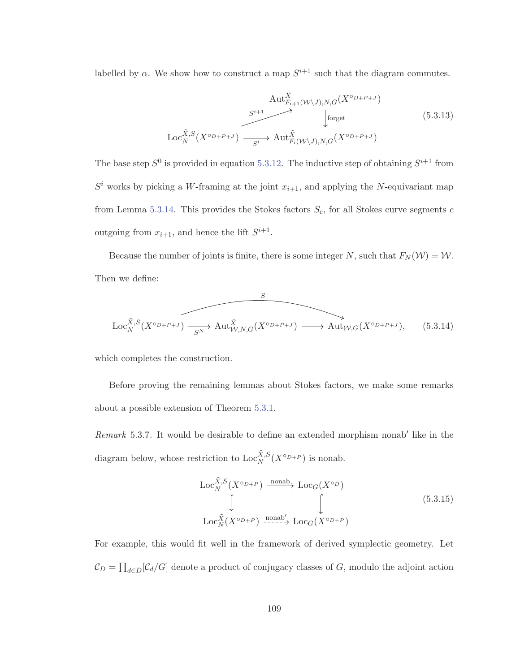labelled by  $\alpha$ . We show how to construct a map  $S^{i+1}$  such that the diagram commutes.

$$
\operatorname{Aut}_{F_{i+1}(W\setminus J),N,G}^{\tilde{X}}(X^{\circ D+P+J})\xrightarrow[S^{i+1}]{S^{i+1}}\downarrow^{\tilde{X}}\operatorname{forget} \qquad (5.3.13)
$$
  
\n
$$
\operatorname{Loc}_{N}^{\tilde{X},S}(X^{\circ D+P+J})\xrightarrow[S^{i+1}]{S^{i+1}}\operatorname{Aut}_{F_{i}(W\setminus J),N,G}^{\tilde{X}}(X^{\circ D+P+J})
$$

The base step  $S^0$  is provided in equation 5.3.12. The inductive step of obtaining  $S^{i+1}$  from  $S<sup>i</sup>$  works by picking a W-framing at the joint  $x_{i+1}$ , and applying the N-equivariant map from Lemma 5.3.14. This provides the Stokes factors  $S_c$ , for all Stokes curve segments c outgoing from  $x_{i+1}$ , and hence the lift  $S^{i+1}$ .

Because the number of joints is finite, there is some integer N, such that  $F_N(\mathcal{W}) = \mathcal{W}$ . Then we define:

$$
\begin{array}{ccc}\n & S \\
\hline\n\text{Loc}_{N}^{\tilde{X},S}(X^{\circ D+p+j}) & \xrightarrow{SN} \text{Aut}_{\mathcal{W},N,G}^{\tilde{X}}(X^{\circ D+p+j}) & \xrightarrow{\longrightarrow} \text{Aut}_{\mathcal{W},G}(X^{\circ D+p+j}), \qquad (5.3.14)\n\end{array}
$$

which completes the construction.

Before proving the remaining lemmas about Stokes factors, we make some remarks about a possible extension of Theorem 5.3.1.

*Remark* 5.3.7. It would be desirable to define an extended morphism nonab<sup>'</sup> like in the diagram below, whose restriction to  $\text{Loc}_N^{\tilde{X},S}(X^{\circ_{D+P}})$  is nonab.

$$
\begin{array}{ccc}\n\text{Loc}_{N}^{\tilde{X},S}(X^{\circ D+P}) & \xrightarrow{\text{nonab}} & \text{Loc}_{G}(X^{\circ D}) \\
\downarrow & & \downarrow & \\
\text{Loc}_{N}^{\tilde{X}}(X^{\circ D+P}) & \xrightarrow{\text{nonab}'} & \text{Loc}_{G}(X^{\circ D+P})\n\end{array} \tag{5.3.15}
$$

For example, this would fit well in the framework of derived symplectic geometry. Let  $\mathcal{C}_D = \prod_{d \in D} [\mathcal{C}_d/G]$  denote a product of conjugacy classes of G, modulo the adjoint action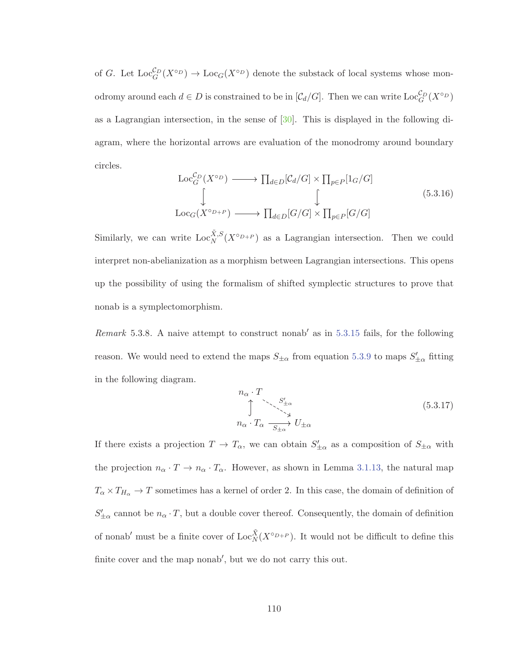of G. Let  $\text{Loc}_G^{C_D}(X^{\circ D}) \to \text{Loc}_G(X^{\circ D})$  denote the substack of local systems whose monodromy around each  $d \in D$  is constrained to be in  $[\mathcal{C}_d/G]$ . Then we can write  $\text{Loc}_G^{\mathcal{C}_D}(X^{\circ_D})$ as a Lagrangian intersection, in the sense of  $[30]$ . This is displayed in the following diagram, where the horizontal arrows are evaluation of the monodromy around boundary circles.

$$
\begin{array}{ccc}\n\text{Loc}_{G}^{\mathcal{C}_{D}}(X^{\circ D}) & \longrightarrow \prod_{d \in D}[\mathcal{C}_{d}/G] \times \prod_{p \in P}[\mathbf{1}_{G}/G] \\
\downarrow & \downarrow & \\
\text{Loc}_{G}(X^{\circ D+P}) & \longrightarrow \prod_{d \in D}[G/G] \times \prod_{p \in P}[G/G]\n\end{array} \tag{5.3.16}
$$

Similarly, we can write  $\text{Loc}_N^{\tilde{X},S}(X^{\circ D+P})$  as a Lagrangian intersection. Then we could interpret non-abelianization as a morphism between Lagrangian intersections. This opens up the possibility of using the formalism of shifted symplectic structures to prove that nonab is a symplectomorphism.

Remark 5.3.8. A naive attempt to construct nonab' as in  $5.3.15$  fails, for the following reason. We would need to extend the maps  $S_{\pm\alpha}$  from equation 5.3.9 to maps  $S'_{\pm\alpha}$  fitting in the following diagram.

$$
n_{\alpha} \cdot T
$$
\n
$$
\uparrow \qquad \qquad \searrow \qquad S'_{\pm \alpha}
$$
\n
$$
n_{\alpha} \cdot T_{\alpha} \xrightarrow[S_{\pm \alpha}]{S'_{\pm \alpha}} U_{\pm \alpha}
$$
\n
$$
(5.3.17)
$$

If there exists a projection  $T \to T_{\alpha}$ , we can obtain  $S'_{\pm \alpha}$  as a composition of  $S_{\pm \alpha}$  with the projection  $n_{\alpha} \cdot T \to n_{\alpha} \cdot T_{\alpha}$ . However, as shown in Lemma 3.1.13, the natural map  $T_{\alpha} \times T_{H_{\alpha}} \to T$  sometimes has a kernel of order 2. In this case, the domain of definition of  $S'_{\pm\alpha}$  cannot be  $n_{\alpha} \cdot T$ , but a double cover thereof. Consequently, the domain of definition of nonab' must be a finite cover of  $\text{Loc}_{N}^{\tilde{X}}(X^{\circ D+P})$ . It would not be difficult to define this finite cover and the map nonab', but we do not carry this out.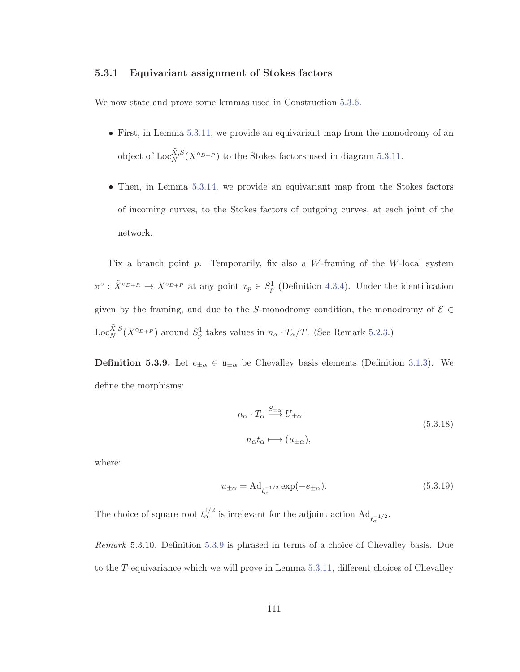## **5.3.1 Equivariant assignment of Stokes factors**

We now state and prove some lemmas used in Construction 5.3.6.

- First, in Lemma 5.3.11, we provide an equivariant map from the monodromy of an object of  $\text{Loc}_N^{\tilde{X},S}(X^{\circ_{D+P}})$  to the Stokes factors used in diagram 5.3.11.
- Then, in Lemma 5.3.14, we provide an equivariant map from the Stokes factors of incoming curves, to the Stokes factors of outgoing curves, at each joint of the network.

Fix a branch point  $p$ . Temporarily, fix also a W-framing of the W-local system  $\pi^{\circ}$ :  $\tilde{X}^{\circ D+R} \to X^{\circ D+P}$  at any point  $x_p \in S_p^1$  (Definition 4.3.4). Under the identification given by the framing, and due to the S-monodromy condition, the monodromy of  $\mathcal{E} \in$ Loc<sup> $\tilde{X}$ </sup>, $S(X^{\circ D+P})$  around  $S_p^1$  takes values in  $n_\alpha \cdot T_\alpha/T$ . (See Remark 5.2.3.)

**Definition 5.3.9.** Let  $e_{\pm\alpha} \in \mathfrak{u}_{\pm\alpha}$  be Chevalley basis elements (Definition 3.1.3). We define the morphisms:

$$
n_{\alpha} \cdot T_{\alpha} \xrightarrow{S_{\pm \alpha}} U_{\pm \alpha}
$$
  
\n
$$
n_{\alpha} t_{\alpha} \longmapsto (u_{\pm \alpha}),
$$
\n(5.3.18)

where:

$$
u_{\pm\alpha} = \text{Ad}_{t_{\alpha}^{-1/2}} \exp(-e_{\pm\alpha}).\tag{5.3.19}
$$

The choice of square root  $t_{\alpha}^{1/2}$  is irrelevant for the adjoint action  $\text{Ad}_{t_{\alpha}^{-1/2}}$ .

Remark 5.3.10. Definition 5.3.9 is phrased in terms of a choice of Chevalley basis. Due to the T-equivariance which we will prove in Lemma 5.3.11, different choices of Chevalley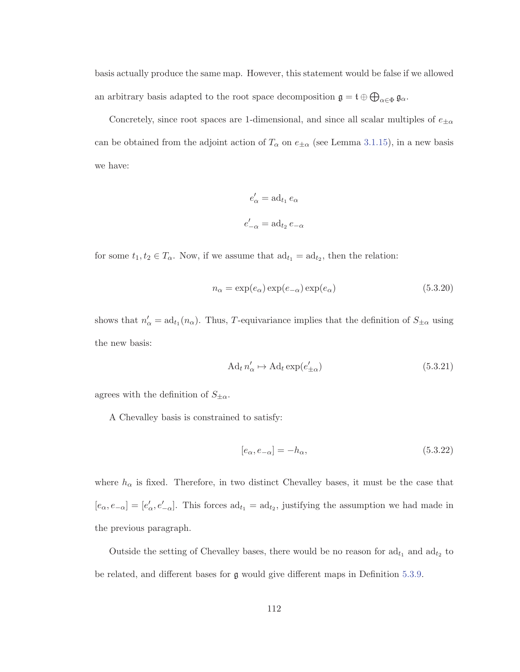basis actually produce the same map. However, this statement would be false if we allowed an arbitrary basis adapted to the root space decomposition  $\mathfrak{g} = \mathfrak{t} \oplus \bigoplus_{\alpha \in \Phi} \mathfrak{g}_{\alpha}$ .

Concretely, since root spaces are 1-dimensional, and since all scalar multiples of  $e_{\pm\alpha}$ can be obtained from the adjoint action of  $T_{\alpha}$  on  $e_{\pm\alpha}$  (see Lemma 3.1.15), in a new basis we have:

$$
e'_{\alpha} = \text{ad}_{t_1} e_{\alpha}
$$

$$
e'_{-\alpha} = \text{ad}_{t_2} e_{-\alpha}
$$

for some  $t_1, t_2 \in T_\alpha$ . Now, if we assume that  $ad_{t_1} = ad_{t_2}$ , then the relation:

$$
n_{\alpha} = \exp(e_{\alpha}) \exp(e_{-\alpha}) \exp(e_{\alpha})
$$
\n(5.3.20)

shows that  $n'_\n\alpha = \text{ad}_{t_1}(n_\alpha)$ . Thus, T-equivariance implies that the definition of  $S_{\pm\alpha}$  using the new basis:

$$
\mathrm{Ad}_t n'_\alpha \mapsto \mathrm{Ad}_t \exp(e'_{\pm \alpha}) \tag{5.3.21}
$$

agrees with the definition of  $S_{\pm\alpha}$ .

A Chevalley basis is constrained to satisfy:

$$
[e_{\alpha}, e_{-\alpha}] = -h_{\alpha},\tag{5.3.22}
$$

where  $h_{\alpha}$  is fixed. Therefore, in two distinct Chevalley bases, it must be the case that  $[e_{\alpha}, e_{-\alpha}] = [e'_{\alpha}, e'_{-\alpha}]$ . This forces  $ad_{t_1} = ad_{t_2}$ , justifying the assumption we had made in the previous paragraph.

Outside the setting of Chevalley bases, there would be no reason for  $\mathrm{ad}_{t_1}$  and  $\mathrm{ad}_{t_2}$  to be related, and different bases for g would give different maps in Definition 5.3.9.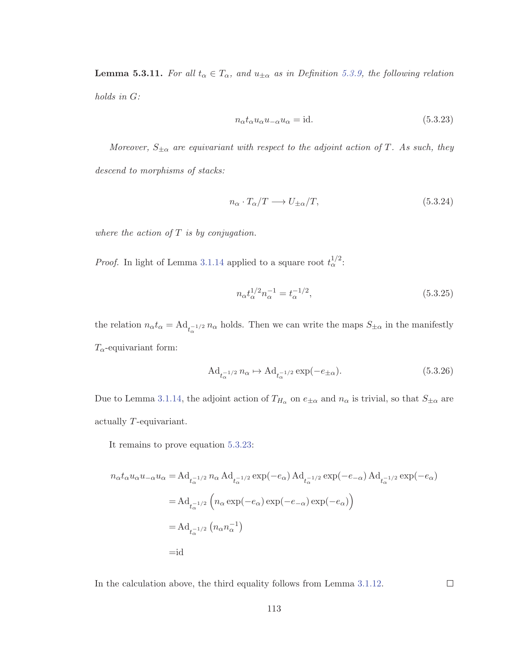**Lemma 5.3.11.** For all  $t_{\alpha} \in T_{\alpha}$ , and  $u_{\pm \alpha}$  as in Definition 5.3.9, the following relation holds in G:

$$
n_{\alpha}t_{\alpha}u_{\alpha}u_{-\alpha}u_{\alpha} = id.
$$
\n(5.3.23)

Moreover,  $S_{\pm\alpha}$  are equivariant with respect to the adjoint action of T. As such, they descend to morphisms of stacks:

$$
n_{\alpha} \cdot T_{\alpha}/T \longrightarrow U_{\pm \alpha}/T, \tag{5.3.24}
$$

where the action of  $T$  is by conjugation.

*Proof.* In light of Lemma 3.1.14 applied to a square root  $t_{\alpha}^{1/2}$ :

$$
n_{\alpha}t_{\alpha}^{1/2}n_{\alpha}^{-1} = t_{\alpha}^{-1/2},\tag{5.3.25}
$$

the relation  $n_{\alpha}t_{\alpha} = \text{Ad}_{t_{\alpha}^{-1/2}} n_{\alpha}$  holds. Then we can write the maps  $S_{\pm \alpha}$  in the manifestly  $T_{\alpha}$ -equivariant form:

$$
\operatorname{Ad}_{t_{\alpha}^{-1/2}} n_{\alpha} \mapsto \operatorname{Ad}_{t_{\alpha}^{-1/2}} \exp(-e_{\pm \alpha}).\tag{5.3.26}
$$

Due to Lemma 3.1.14, the adjoint action of  $T_{H_{\alpha}}$  on  $e_{\pm\alpha}$  and  $n_{\alpha}$  is trivial, so that  $S_{\pm\alpha}$  are actually T-equivariant.

It remains to prove equation 5.3.23:

$$
n_{\alpha}t_{\alpha}u_{\alpha}u_{-\alpha}u_{\alpha} = \mathrm{Ad}_{t_{\alpha}^{-1/2}} n_{\alpha} \mathrm{Ad}_{t_{\alpha}^{-1/2}} \exp(-e_{\alpha}) \mathrm{Ad}_{t_{\alpha}^{-1/2}} \exp(-e_{-\alpha}) \mathrm{Ad}_{t_{\alpha}^{-1/2}} \exp(-e_{\alpha})
$$

$$
= \mathrm{Ad}_{t_{\alpha}^{-1/2}} \left( n_{\alpha} \exp(-e_{\alpha}) \exp(-e_{-\alpha}) \exp(-e_{\alpha}) \right)
$$

$$
= \mathrm{Ad}_{t_{\alpha}^{-1/2}} \left( n_{\alpha}n_{\alpha}^{-1} \right)
$$

$$
= \mathrm{id}
$$

In the calculation above, the third equality follows from Lemma 3.1.12.

 $\Box$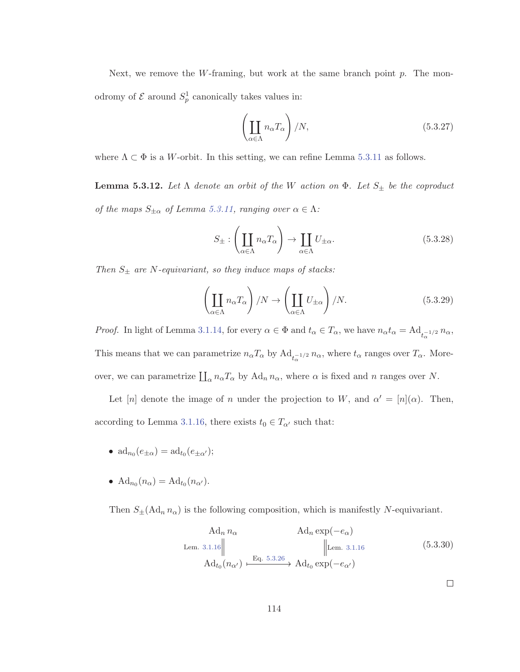Next, we remove the W-framing, but work at the same branch point  $p$ . The monodromy of  $\mathcal E$  around  $S_p^1$  canonically takes values in:

$$
\left(\coprod_{\alpha\in\Lambda} n_{\alpha}T_{\alpha}\right)/N, \tag{5.3.27}
$$

where  $\Lambda \subset \Phi$  is a W-orbit. In this setting, we can refine Lemma 5.3.11 as follows.

**Lemma 5.3.12.** Let  $\Lambda$  denote an orbit of the W action on  $\Phi$ . Let  $S_{\pm}$  be the coproduct of the maps  $S_{\pm\alpha}$  of Lemma 5.3.11, ranging over  $\alpha \in \Lambda$ :

$$
S_{\pm} : \left(\coprod_{\alpha \in \Lambda} n_{\alpha} T_{\alpha}\right) \to \coprod_{\alpha \in \Lambda} U_{\pm \alpha}.\tag{5.3.28}
$$

Then  $S_{\pm}$  are N-equivariant, so they induce maps of stacks:

$$
\left(\coprod_{\alpha\in\Lambda} n_{\alpha}T_{\alpha}\right)/N \to \left(\coprod_{\alpha\in\Lambda} U_{\pm\alpha}\right)/N.
$$
\n(5.3.29)

*Proof.* In light of Lemma 3.1.14, for every  $\alpha \in \Phi$  and  $t_{\alpha} \in T_{\alpha}$ , we have  $n_{\alpha}t_{\alpha} = \text{Ad}_{t_{\alpha}^{-1/2}} n_{\alpha}$ , This means that we can parametrize  $n_{\alpha}T_{\alpha}$  by  $\text{Ad}_{t_{\alpha}^{-1/2}} n_{\alpha}$ , where  $t_{\alpha}$  ranges over  $T_{\alpha}$ . Moreover, we can parametrize  $\prod_{\alpha} n_{\alpha}T_{\alpha}$  by  $\text{Ad}_n n_{\alpha}$ , where  $\alpha$  is fixed and n ranges over N.

Let [n] denote the image of n under the projection to W, and  $\alpha' = [n](\alpha)$ . Then, according to Lemma 3.1.16, there exists  $t_0 \in T_{\alpha'}$  such that:

- $\mathrm{ad}_{n_0}(e_{\pm\alpha}) = \mathrm{ad}_{t_0}(e_{\pm\alpha'})$ ;
- $\operatorname{Ad}_{n_0}(n_\alpha) = \operatorname{Ad}_{t_0}(n_{\alpha'})$ .

Then  $S_{\pm}(\text{Ad}_n n_{\alpha})$  is the following composition, which is manifestly N-equivariant.

$$
\operatorname{Ad}_{n} n_{\alpha} \qquad \operatorname{Ad}_{n} \exp(-e_{\alpha})
$$
\n
$$
\operatorname{Lem. 3.1.16} \parallel \qquad \qquad \parallel \operatorname{Lem. 3.1.16} \qquad \qquad \parallel \operatorname{5.3.30}
$$
\n
$$
\operatorname{Ad}_{t_{0}}(n_{\alpha'}) \xrightarrow{\text{Eq. 5.3.26}} \operatorname{Ad}_{t_{0}} \exp(-e_{\alpha'})
$$
\n
$$
\Box
$$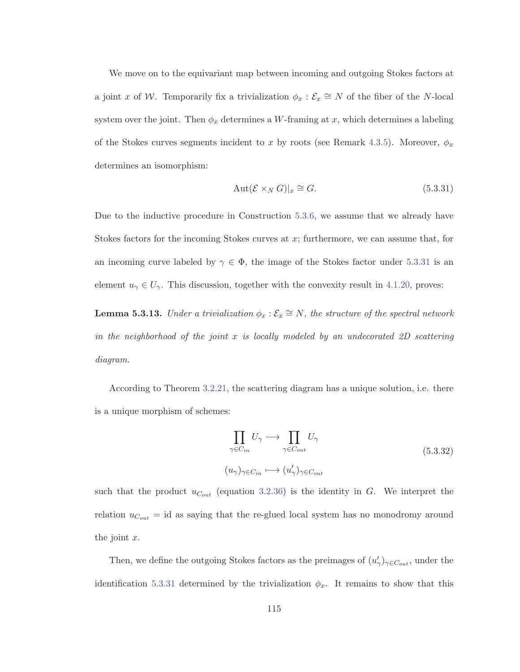We move on to the equivariant map between incoming and outgoing Stokes factors at a joint x of W. Temporarily fix a trivialization  $\phi_x : \mathcal{E}_x \cong N$  of the fiber of the N-local system over the joint. Then  $\phi_x$  determines a W-framing at x, which determines a labeling of the Stokes curves segments incident to x by roots (see Remark 4.3.5). Moreover,  $\phi_x$ determines an isomorphism:

$$
Aut(\mathcal{E} \times_N G)|_x \cong G. \tag{5.3.31}
$$

Due to the inductive procedure in Construction 5.3.6, we assume that we already have Stokes factors for the incoming Stokes curves at  $x$ ; furthermore, we can assume that, for an incoming curve labeled by  $\gamma \in \Phi$ , the image of the Stokes factor under 5.3.31 is an element  $u_{\gamma} \in U_{\gamma}$ . This discussion, together with the convexity result in 4.1.20, proves:

**Lemma 5.3.13.** Under a trivialization  $\phi_x : \mathcal{E}_x \cong N$ , the structure of the spectral network in the neighborhood of the joint  $x$  is locally modeled by an undecorated 2D scattering diagram.

According to Theorem 3.2.21, the scattering diagram has a unique solution, i.e. there is a unique morphism of schemes:

$$
\prod_{\gamma \in C_{in}} U_{\gamma} \longrightarrow \prod_{\gamma \in C_{out}} U_{\gamma}
$$
\n
$$
(u_{\gamma})_{\gamma \in C_{in}} \longmapsto (u_{\gamma}')_{\gamma \in C_{out}} \tag{5.3.32}
$$

such that the product  $u_{C_{out}}$  (equation 3.2.36) is the identity in G. We interpret the relation  $u_{C_{out}}$  = id as saying that the re-glued local system has no monodromy around the joint  $x$ .

Then, we define the outgoing Stokes factors as the preimages of  $(u'_\gamma)_{\gamma \in C_{out}}$ , under the identification 5.3.31 determined by the trivialization  $\phi_x$ . It remains to show that this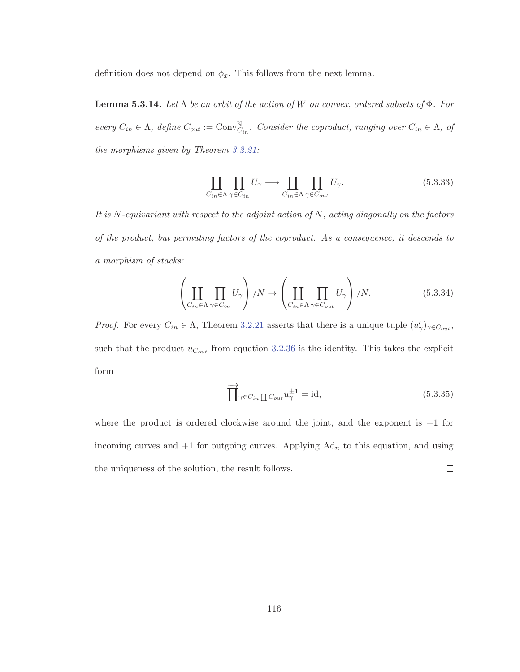definition does not depend on  $\phi_x$ . This follows from the next lemma.

**Lemma 5.3.14.** Let  $\Lambda$  be an orbit of the action of W on convex, ordered subsets of  $\Phi$ . For every  $C_{in} \in \Lambda$ , define  $C_{out} := \text{Conv}_{C_{in}}^{\mathbb{N}}$ . Consider the coproduct, ranging over  $C_{in} \in \Lambda$ , of the morphisms given by Theorem 3.2.21:

$$
\coprod_{C_{in} \in \Lambda} \prod_{\gamma \in C_{in}} U_{\gamma} \longrightarrow \coprod_{C_{in} \in \Lambda} \prod_{\gamma \in C_{out}} U_{\gamma}.
$$
\n(5.3.33)

It is  $N$ -equivariant with respect to the adjoint action of  $N$ , acting diagonally on the factors of the product, but permuting factors of the coproduct. As a consequence, it descends to a morphism of stacks:

$$
\left(\coprod_{C_{in}\in\Lambda}\prod_{\gamma\in C_{in}}U_{\gamma}\right)/N\to\left(\coprod_{C_{in}\in\Lambda}\prod_{\gamma\in C_{out}}U_{\gamma}\right)/N.\tag{5.3.34}
$$

*Proof.* For every  $C_{in} \in \Lambda$ , Theorem 3.2.21 asserts that there is a unique tuple  $(u'_\gamma)_{\gamma \in C_{out}}$ , such that the product  $u_{C_{out}}$  from equation 3.2.36 is the identity. This takes the explicit form

$$
\overrightarrow{\prod}_{\gamma \in C_{in}} \prod_{C_{out}} u_{\gamma}^{\pm 1} = \text{id},\tag{5.3.35}
$$

where the product is ordered clockwise around the joint, and the exponent is  $-1$  for incoming curves and  $+1$  for outgoing curves. Applying  $Ad<sub>n</sub>$  to this equation, and using the uniqueness of the solution, the result follows.  $\Box$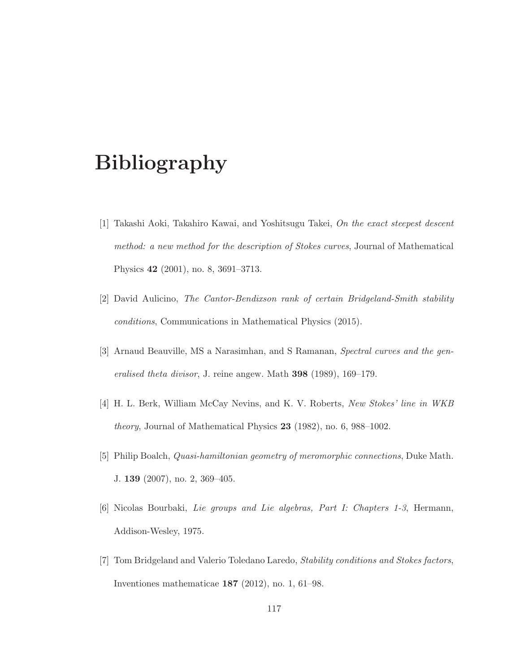## **Bibliography**

- [1] Takashi Aoki, Takahiro Kawai, and Yoshitsugu Takei, On the exact steepest descent method: a new method for the description of Stokes curves, Journal of Mathematical Physics **42** (2001), no. 8, 3691–3713.
- [2] David Aulicino, The Cantor-Bendixson rank of certain Bridgeland-Smith stability conditions, Communications in Mathematical Physics (2015).
- [3] Arnaud Beauville, MS a Narasimhan, and S Ramanan, Spectral curves and the generalised theta divisor, J. reine angew. Math **398** (1989), 169–179.
- [4] H. L. Berk, William McCay Nevins, and K. V. Roberts, New Stokes' line in WKB theory, Journal of Mathematical Physics **23** (1982), no. 6, 988–1002.
- [5] Philip Boalch, Quasi-hamiltonian geometry of meromorphic connections, Duke Math. J. **139** (2007), no. 2, 369–405.
- [6] Nicolas Bourbaki, Lie groups and Lie algebras, Part I: Chapters 1-3, Hermann, Addison-Wesley, 1975.
- [7] Tom Bridgeland and Valerio Toledano Laredo, Stability conditions and Stokes factors, Inventiones mathematicae **187** (2012), no. 1, 61–98.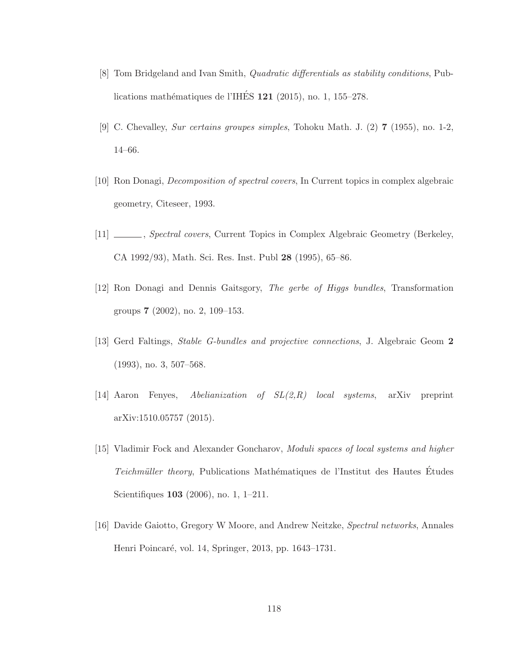- [8] Tom Bridgeland and Ivan Smith, Quadratic differentials as stability conditions, Publications mathématiques de l'IHÉS **121** (2015), no. 1, 155–278.
- [9] C. Chevalley, Sur certains groupes simples, Tohoku Math. J. (2) **7** (1955), no. 1-2, 14–66.
- [10] Ron Donagi, Decomposition of spectral covers, In Current topics in complex algebraic geometry, Citeseer, 1993.
- [11] \_\_\_\_\_, Spectral covers, Current Topics in Complex Algebraic Geometry (Berkeley, CA 1992/93), Math. Sci. Res. Inst. Publ **28** (1995), 65–86.
- [12] Ron Donagi and Dennis Gaitsgory, The gerbe of Higgs bundles, Transformation groups **7** (2002), no. 2, 109–153.
- [13] Gerd Faltings, Stable G-bundles and projective connections, J. Algebraic Geom **2** (1993), no. 3, 507–568.
- [14] Aaron Fenyes, Abelianization of SL(2,R) local systems, arXiv preprint arXiv:1510.05757 (2015).
- [15] Vladimir Fock and Alexander Goncharov, Moduli spaces of local systems and higher Teichmüller theory, Publications Mathématiques de l'Institut des Hautes Études Scientifiques **103** (2006), no. 1, 1–211.
- [16] Davide Gaiotto, Gregory W Moore, and Andrew Neitzke, Spectral networks, Annales Henri Poincaré, vol. 14, Springer, 2013, pp. 1643–1731.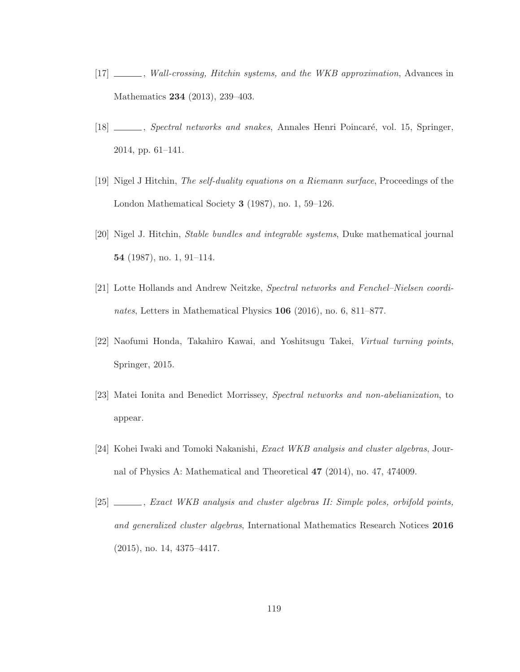- [17]  $\_\_\_\_\$ , Wall-crossing, Hitchin systems, and the WKB approximation, Advances in Mathematics **234** (2013), 239–403.
- [18] , Spectral networks and snakes, Annales Henri Poincaré, vol. 15, Springer, 2014, pp. 61–141.
- [19] Nigel J Hitchin, The self-duality equations on a Riemann surface, Proceedings of the London Mathematical Society **3** (1987), no. 1, 59–126.
- [20] Nigel J. Hitchin, Stable bundles and integrable systems, Duke mathematical journal **54** (1987), no. 1, 91–114.
- [21] Lotte Hollands and Andrew Neitzke, Spectral networks and Fenchel–Nielsen coordinates, Letters in Mathematical Physics **106** (2016), no. 6, 811–877.
- [22] Naofumi Honda, Takahiro Kawai, and Yoshitsugu Takei, Virtual turning points, Springer, 2015.
- [23] Matei Ionita and Benedict Morrissey, Spectral networks and non-abelianization, to appear.
- [24] Kohei Iwaki and Tomoki Nakanishi, Exact WKB analysis and cluster algebras, Journal of Physics A: Mathematical and Theoretical **47** (2014), no. 47, 474009.
- [25] , Exact WKB analysis and cluster algebras II: Simple poles, orbifold points, and generalized cluster algebras, International Mathematics Research Notices **2016** (2015), no. 14, 4375–4417.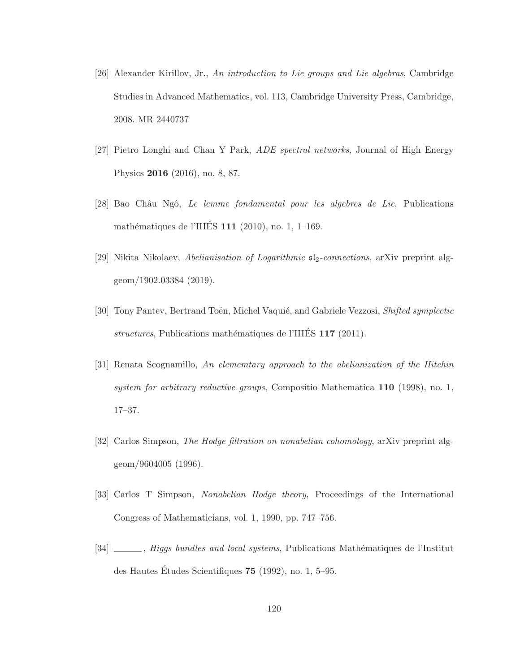- [26] Alexander Kirillov, Jr., An introduction to Lie groups and Lie algebras, Cambridge Studies in Advanced Mathematics, vol. 113, Cambridge University Press, Cambridge, 2008. MR 2440737
- [27] Pietro Longhi and Chan Y Park, ADE spectral networks, Journal of High Energy Physics **2016** (2016), no. 8, 87.
- [28] Bao Châu Ngô, Le lemme fondamental pour les algebres de Lie, Publications mathématiques de l'IHÉS 111 (2010), no. 1, 1–169.
- [29] Nikita Nikolaev, Abelianisation of Logarithmic  $sI_2$ -connections, arXiv preprint alggeom/1902.03384 (2019).
- [30] Tony Pantev, Bertrand Toën, Michel Vaquié, and Gabriele Vezzosi, Shifted symplectic structures, Publications mathématiques de l'IHÉS 117 (2011).
- [31] Renata Scognamillo, An elememtary approach to the abelianization of the Hitchin system for arbitrary reductive groups, Compositio Mathematica **110** (1998), no. 1, 17–37.
- [32] Carlos Simpson, The Hodge filtration on nonabelian cohomology, arXiv preprint alggeom/9604005 (1996).
- [33] Carlos T Simpson, Nonabelian Hodge theory, Proceedings of the International Congress of Mathematicians, vol. 1, 1990, pp. 747–756.
- [34] , Higgs bundles and local systems, Publications Mathématiques de l'Institut des Hautes Études Scientifiques  $75$  (1992), no. 1, 5–95.